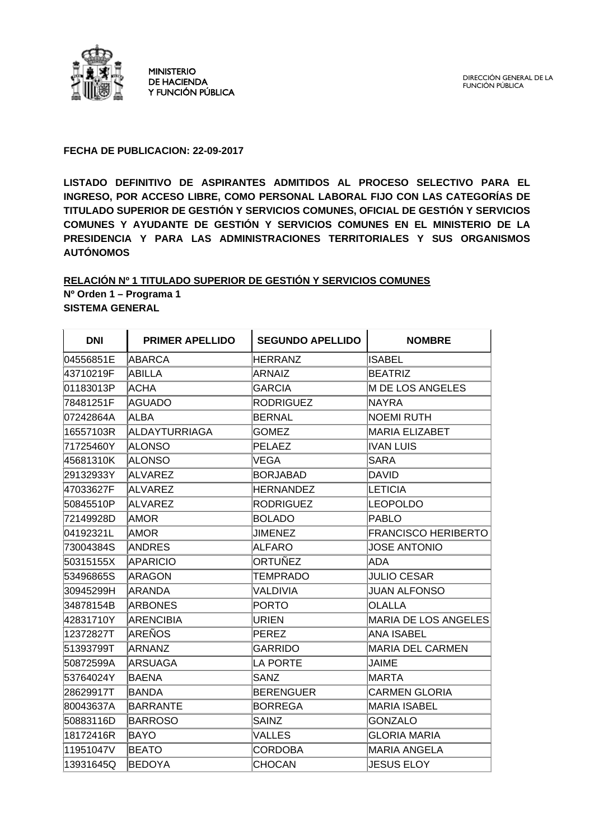

MINISTERIO DE HACIENDA Y FUNCIÓN PÚBLICA

### **FECHA DE PUBLICACION: 22-09-2017**

**LISTADO DEFINITIVO DE ASPIRANTES ADMITIDOS AL PROCESO SELECTIVO PARA EL INGRESO, POR ACCESO LIBRE, COMO PERSONAL LABORAL FIJO CON LAS CATEGORÍAS DE TITULADO SUPERIOR DE GESTIÓN Y SERVICIOS COMUNES, OFICIAL DE GESTIÓN Y SERVICIOS COMUNES Y AYUDANTE DE GESTIÓN Y SERVICIOS COMUNES EN EL MINISTERIO DE LA PRESIDENCIA Y PARA LAS ADMINISTRACIONES TERRITORIALES Y SUS ORGANISMOS AUTÓNOMOS** 

### **RELACIÓN Nº 1 TITULADO SUPERIOR DE GESTIÓN Y SERVICIOS COMUNES Nº Orden 1 – Programa 1 SISTEMA GENERAL**

| <b>DNI</b> | <b>PRIMER APELLIDO</b> | <b>SEGUNDO APELLIDO</b> | <b>NOMBRE</b>              |
|------------|------------------------|-------------------------|----------------------------|
| 04556851E  | <b>ABARCA</b>          | <b>HERRANZ</b>          | <b>ISABEL</b>              |
| 43710219F  | ABILLA                 | ARNAIZ                  | <b>BEATRIZ</b>             |
| 01183013P  | ACHA                   | <b>GARCIA</b>           | M DE LOS ANGELES           |
| 78481251F  | <b>AGUADO</b>          | <b>RODRIGUEZ</b>        | <b>NAYRA</b>               |
| 07242864A  | <b>ALBA</b>            | <b>BERNAL</b>           | NOEMI RUTH                 |
| 16557103R  | <b>ALDAYTURRIAGA</b>   | <b>GOMEZ</b>            | MARIA ELIZABET             |
| 71725460Y  | <b>ALONSO</b>          | PELAEZ                  | IVAN LUIS                  |
| 45681310K  | ALONSO                 | VEGA                    | SARA                       |
| 29132933Y  | <b>ALVAREZ</b>         | <b>BORJABAD</b>         | DAVID                      |
| 47033627F  | <b>ALVAREZ</b>         | <b>HERNANDEZ</b>        | LETICIA                    |
| 50845510P  | ALVAREZ                | <b>RODRIGUEZ</b>        | <b>LEOPOLDO</b>            |
| 72149928D  | <b>AMOR</b>            | <b>BOLADO</b>           | PABLO                      |
| 04192321L  | <b>AMOR</b>            | <b>JIMENEZ</b>          | <b>FRANCISCO HERIBERTO</b> |
| 73004384S  | ANDRES                 | <b>ALFARO</b>           | <b>JOSE ANTONIO</b>        |
| 50315155X  | <b>APARICIO</b>        | ORTUÑEZ                 | <b>ADA</b>                 |
| 53496865S  | ARAGON                 | TEMPRADO                | <b>JULIO CESAR</b>         |
| 30945299H  | <b>ARANDA</b>          | VALDIVIA                | <b>JUAN ALFONSO</b>        |
| 34878154B  | <b>ARBONES</b>         | <b>PORTO</b>            | <b>OLALLA</b>              |
| 42831710Y  | <b>ARENCIBIA</b>       | URIEN                   | MARIA DE LOS ANGELES       |
| 12372827T  | <b>AREÑOS</b>          | PEREZ                   | <b>ANA ISABEL</b>          |
| 51393799T  | ARNANZ                 | <b>GARRIDO</b>          | <b>MARIA DEL CARMEN</b>    |
| 50872599A  | IARSUAGA               | <b>LA PORTE</b>         | JAIME                      |
| 53764024Y  | <b>BAENA</b>           | SANZ                    | <b>MARTA</b>               |
| 28629917T  | <b>BANDA</b>           | <b>BERENGUER</b>        | <b>CARMEN GLORIA</b>       |
| 80043637A  | <b>BARRANTE</b>        | BORREGA                 | MARIA ISABEL               |
| 50883116D  | <b>BARROSO</b>         | SAINZ                   | <b>GONZALO</b>             |
| 18172416R  | <b>BAYO</b>            | <b>VALLES</b>           | <b>GLORIA MARIA</b>        |
| 11951047V  | <b>BEATO</b>           | CORDOBA                 | MARIA ANGELA               |
| 13931645Q  | <b>BEDOYA</b>          | CHOCAN                  | <b>JESUS ELOY</b>          |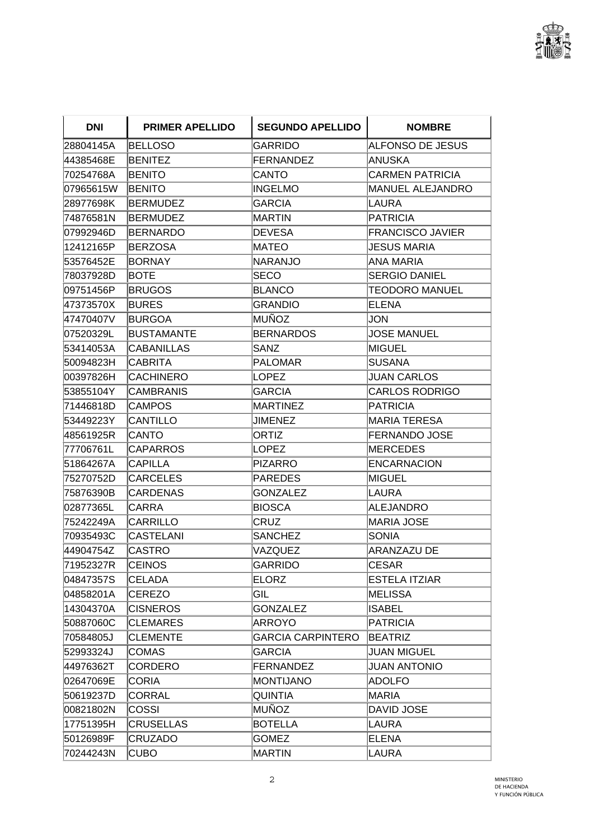

| <b>DNI</b> | <b>PRIMER APELLIDO</b> | <b>SEGUNDO APELLIDO</b>  | <b>NOMBRE</b>           |
|------------|------------------------|--------------------------|-------------------------|
| 28804145A  | <b>BELLOSO</b>         | GARRIDO                  | ALFONSO DE JESUS        |
| 44385468E  | BENITEZ                | FERNANDEZ                | <b>ANUSKA</b>           |
| 70254768A  | <b>BENITO</b>          | CANTO                    | CARMEN PATRICIA         |
| 07965615W  | <b>BENITO</b>          | INGELMO                  | <b>MANUEL ALEJANDRO</b> |
| 28977698K  | <b>BERMUDEZ</b>        | GARCIA                   | LAURA                   |
| 74876581N  | <b>BERMUDEZ</b>        | MARTIN                   | <b>PATRICIA</b>         |
| 07992946D  | <b>BERNARDO</b>        | DEVESA                   | FRANCISCO JAVIER        |
| 12412165P  | <b>BERZOSA</b>         | MATEO                    | JESUS MARIA             |
| 53576452E  | <b>BORNAY</b>          | NARANJO                  | ANA MARIA               |
| 78037928D  | BOTE                   | SECO                     | <b>SERGIO DANIEL</b>    |
| 09751456P  | <b>BRUGOS</b>          | <b>BLANCO</b>            | <b>TEODORO MANUEL</b>   |
| 47373570X  | BURES                  | <b>GRANDIO</b>           | ELENA                   |
| 47470407V  | <b>BURGOA</b>          | MUÑOZ                    | JON                     |
| 07520329L  | <b>BUSTAMANTE</b>      | <b>BERNARDOS</b>         | <b>JOSE MANUEL</b>      |
| 53414053A  | <b>CABANILLAS</b>      | SANZ                     | MIGUEL                  |
| 50094823H  | <b>CABRITA</b>         | PALOMAR                  | <b>SUSANA</b>           |
| 00397826H  | <b>CACHINERO</b>       | LOPEZ                    | <b>JUAN CARLOS</b>      |
| 53855104Y  | <b>CAMBRANIS</b>       | GARCIA                   | <b>CARLOS RODRIGO</b>   |
| 71446818D  | <b>CAMPOS</b>          | MARTINEZ                 | PATRICIA                |
| 53449223Y  | CANTILLO               | JIMENEZ                  | MARIA TERESA            |
| 48561925R  | <b>CANTO</b>           | <b>ORTIZ</b>             | FERNANDO JOSE           |
| 77706761L  | <b>CAPARROS</b>        | LOPEZ                    | MERCEDES                |
| 51864267A  | <b>CAPILLA</b>         | <b>PIZARRO</b>           | <b>ENCARNACION</b>      |
| 75270752D  | <b>CARCELES</b>        | <b>PAREDES</b>           | MIGUEL                  |
| 75876390B  | <b>CARDENAS</b>        | <b>GONZALEZ</b>          | LAURA                   |
| 02877365L  | CARRA                  | BIOSCA                   | ALEJANDRO               |
| 75242249A  | CARRILLO               | CRUZ                     | <b>MARIA JOSE</b>       |
| 70935493C  | CASTELANI              | <b>SANCHEZ</b>           | SONIA                   |
| 44904754Z  | CASTRO                 | VAZQUEZ                  | <b>ARANZAZU DE</b>      |
| 71952327R  | <b>CEINOS</b>          | GARRIDO                  | <b>CESAR</b>            |
| 04847357S  | <b>CELADA</b>          | <b>ELORZ</b>             | <b>ESTELA ITZIAR</b>    |
| 04858201A  | <b>CEREZO</b>          | GIL                      | MELISSA                 |
| 14304370A  | <b>CISNEROS</b>        | <b>GONZALEZ</b>          | ∥SABEL                  |
| 50887060C  | <b>CLEMARES</b>        | ARROYO                   | PATRICIA                |
| 70584805J  | <b>CLEMENTE</b>        | <b>GARCIA CARPINTERO</b> | <b>BEATRIZ</b>          |
| 52993324J  | <b>COMAS</b>           | <b>GARCIA</b>            | <b>JUAN MIGUEL</b>      |
| 44976362T  | <b>CORDERO</b>         | FERNANDEZ                | <b>JUAN ANTONIO</b>     |
| 02647069E  | <b>CORIA</b>           | MONTIJANO                | ADOLFO                  |
| 50619237D  | <b>CORRAL</b>          | <b>QUINTIA</b>           | MARIA                   |
| 00821802N  | <b>COSSI</b>           | MUÑOZ                    | <b>DAVID JOSE</b>       |
| 17751395H  | <b>CRUSELLAS</b>       | <b>BOTELLA</b>           | LAURA                   |
| 50126989F  | <b>CRUZADO</b>         | <b>GOMEZ</b>             | <b>ELENA</b>            |
| 70244243N  | <b>CUBO</b>            | MARTIN                   | LAURA                   |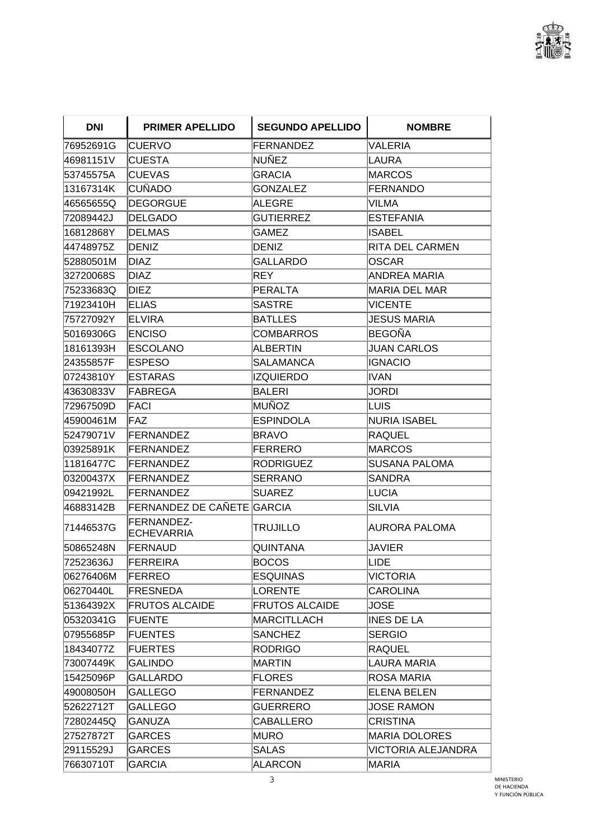

| <b>DNI</b> | <b>PRIMER APELLIDO</b>          | <b>SEGUNDO APELLIDO</b> | <b>NOMBRE</b>        |
|------------|---------------------------------|-------------------------|----------------------|
| 76952691G  | <b>CUERVO</b>                   | FERNANDEZ               | <b>VALERIA</b>       |
| 46981151V  | <b>CUESTA</b>                   | NUÑEZ                   | LAURA                |
| 53745575A  | <b>CUEVAS</b>                   | <b>GRACIA</b>           | <b>IMARCOS</b>       |
| 13167314K  | <b>CUÑADO</b>                   | <b>GONZALEZ</b>         | FERNANDO             |
| 46565655Q  | <b>DEGORGUE</b>                 | ALEGRE                  | VILMA                |
| 72089442J  | DELGADO                         | <b>GUTIERREZ</b>        | <b>IESTEFANIA</b>    |
| 16812868Y  | <b>DELMAS</b>                   | GAMEZ                   | ISABEL               |
| 44748975Z  | <b>DENIZ</b>                    | DENIZ                   | RITA DEL CARMEN      |
| 52880501M  | DIAZ                            | <b>GALLARDO</b>         | <b>IOSCAR</b>        |
| 32720068S  | <b>DIAZ</b>                     | REY                     | ANDREA MARIA         |
| 75233683Q  | DIEZ                            | PERALTA                 | MARIA DEL MAR        |
| 71923410H  | <b>ELIAS</b>                    | SASTRE                  | VICENTE              |
| 75727092Y  | ELVIRA                          | <b>BATLLES</b>          | <b>JESUS MARIA</b>   |
| 50169306G  | <b>ENCISO</b>                   | <b>COMBARROS</b>        | <b>BEGOÑA</b>        |
| 18161393H  | <b>ESCOLANO</b>                 | ALBERTIN                | <b>JUAN CARLOS</b>   |
| 24355857F  | <b>ESPESO</b>                   | SALAMANCA               | IIGNACIO             |
| 07243810Y  | <b>ESTARAS</b>                  | <b>IZQUIERDO</b>        | IIVAN                |
| 43630833V  | FABREGA                         | <b>BALERI</b>           | JORDI                |
| 72967509D  | FACI                            | MUÑOZ                   | ILUIS                |
| 45900461M  | FAZ                             | <b>ESPINDOLA</b>        | NURIA ISABEL         |
| 52479071V  | FERNANDEZ                       | BRAVO                   | RAQUEL               |
| 03925891K  | <b>FERNANDEZ</b>                | FERRERO                 | MARCOS               |
| 11816477C  | <b>FERNANDEZ</b>                | RODRIGUEZ               | <b>SUSANA PALOMA</b> |
| 03200437X  | <b>FERNANDEZ</b>                | <b>SERRANO</b>          | <b>ISANDRA</b>       |
| 09421992L  | <b>FERNANDEZ</b>                | <b>SUAREZ</b>           | LUCIA                |
| 46883142B  | FERNANDEZ DE CAÑETE GARCIA      |                         | <b>SILVIA</b>        |
| 71446537G  | FERNANDEZ-<br><b>ECHEVARRIA</b> | TRUJILLO                | AURORA PALOMA        |
| 50865248N  | <b>FERNAUD</b>                  | <b>QUINTANA</b>         | JAVIER               |
| 72523636J  | FERREIRA                        | BOCOS                   | <b>LIDE</b>          |
| 06276406M  | <b>FERREO</b>                   | <b>ESQUINAS</b>         | <b>VICTORIA</b>      |
| 06270440L  | FRESNEDA                        | LORENTE                 | <b>CAROLINA</b>      |
| 51364392X  | <b>FRUTOS ALCAIDE</b>           | <b>FRUTOS ALCAIDE</b>   | <b>JOSE</b>          |
| 05320341G  | <b>FUENTE</b>                   | MARCITLLACH             | <b>INES DE LA</b>    |
| 07955685P  | <b>FUENTES</b>                  | <b>SANCHEZ</b>          | <b>SERGIO</b>        |
| 18434077Z  | <b>FUERTES</b>                  | <b>RODRIGO</b>          | <b>RAQUEL</b>        |
| 73007449K  | <b>GALINDO</b>                  | MARTIN                  | LAURA MARIA          |
| 15425096P  | <b>GALLARDO</b>                 | <b>FLORES</b>           | ROSA MARIA           |
| 49008050H  | <b>GALLEGO</b>                  | FERNANDEZ               | ELENA BELEN          |
| 52622712T  | <b>GALLEGO</b>                  | <b>GUERRERO</b>         | <b>JOSE RAMON</b>    |
| 72802445Q  | GANUZA                          | CABALLERO               | <b>CRISTINA</b>      |
| 27527872T  | <b>GARCES</b>                   | <b>MURO</b>             | MARIA DOLORES        |
| 29115529J  | <b>GARCES</b>                   | <b>SALAS</b>            | VICTORIA ALEJANDRA   |
| 76630710T  | <b>GARCIA</b>                   | <b>ALARCON</b>          | MARIA                |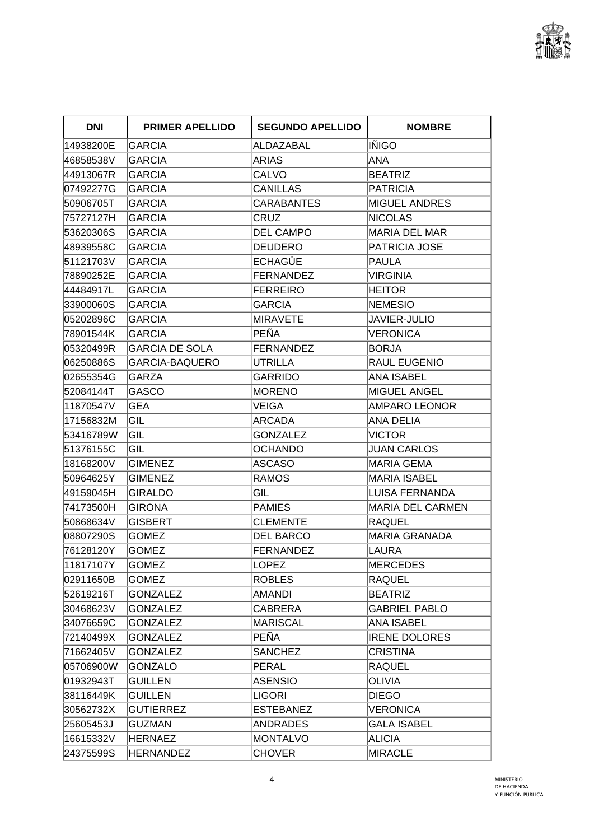

| <b>DNI</b> | <b>PRIMER APELLIDO</b> | <b>SEGUNDO APELLIDO</b> | <b>NOMBRE</b>        |
|------------|------------------------|-------------------------|----------------------|
| 14938200E  | <b>GARCIA</b>          | ALDAZABAL               | ∣IÑIGO               |
| l46858538V | GARCIA                 | ARIAS                   | ANA                  |
| 44913067R  | <b>GARCIA</b>          | CALVO                   | <b>BEATRIZ</b>       |
| 07492277G  | <b>GARCIA</b>          | <b>CANILLAS</b>         | PATRICIA             |
| 50906705T  | <b>GARCIA</b>          | <b>CARABANTES</b>       | <b>MIGUEL ANDRES</b> |
| 75727127H  | <b>GARCIA</b>          | CRUZ                    | <b>NICOLAS</b>       |
| 53620306S  | <b>GARCIA</b>          | <b>DEL CAMPO</b>        | MARIA DEL MAR        |
| 48939558C  | <b>GARCIA</b>          | DEUDERO                 | PATRICIA JOSE        |
| 51121703V  | <b>GARCIA</b>          | ECHAGÜE                 | PAULA                |
| 78890252E  | GARCIA                 | <b>FERNANDEZ</b>        | VIRGINIA             |
| 44484917L  | <b>GARCIA</b>          | FERREIRO                | HEITOR               |
| 33900060S  | <b>GARCIA</b>          | <b>GARCIA</b>           | <b>NEMESIO</b>       |
| 05202896C  | <b>GARCIA</b>          | <b>MIRAVETE</b>         | <b>JAVIER-JULIO</b>  |
| 78901544K  | <b>GARCIA</b>          | PEÑA                    | <b>VERONICA</b>      |
| 05320499R  | GARCIA DE SOLA         | <b>FERNANDEZ</b>        | <b>BORJA</b>         |
| 06250886S  | <b>GARCIA-BAQUERO</b>  | UTRILLA                 | <b>RAUL EUGENIO</b>  |
| 02655354G  | GARZA                  | GARRIDO                 | <b>ANA ISABEL</b>    |
| 52084144T  | <b>GASCO</b>           | MORENO                  | <b>MIGUEL ANGEL</b>  |
| 11870547V  | <b>GEA</b>             | VEIGA                   | AMPARO LEONOR        |
| 17156832M  | GIL                    | ARCADA                  | ANA DELIA            |
| 53416789W  | GIL                    | <b>GONZALEZ</b>         | <b>NICTOR</b>        |
| 51376155C  | GIL                    | OCHANDO                 | JUAN CARLOS          |
| 18168200V  | <b>GIMENEZ</b>         | ASCASO                  | <b>MARIA GEMA</b>    |
| 50964625Y  | <b>GIMENEZ</b>         | <b>RAMOS</b>            | MARIA ISABEL         |
| 49159045H  | <b>GIRALDO</b>         | GIL                     | LUISA FERNANDA       |
| 74173500H  | <b>GIRONA</b>          | PAMIES                  | MARIA DEL CARMEN     |
| 50868634V  | <b>GISBERT</b>         | <b>CLEMENTE</b>         | RAQUEL               |
| 08807290S  | <b>GOMEZ</b>           | <b>DEL BARCO</b>        | <b>MARIA GRANADA</b> |
| 76128120Y  | GOMEZ                  | <b>FERNANDEZ</b>        | LAURA                |
| 11817107Y  | <b>GOMEZ</b>           | LOPEZ                   | <b>MERCEDES</b>      |
| 02911650B  | <b>GOMEZ</b>           | <b>ROBLES</b>           | RAQUEL               |
| 52619216T  | <b>GONZALEZ</b>        | AMANDI                  | <b>BEATRIZ</b>       |
| 30468623V  | <b>GONZALEZ</b>        | CABRERA                 | GABRIEL PABLO        |
| 34076659C  | <b>GONZALEZ</b>        | MARISCAL                | ANA ISABEL           |
| 72140499X  | <b>GONZALEZ</b>        | PEÑA                    | <b>IRENE DOLORES</b> |
| 71662405V  | <b>GONZALEZ</b>        | <b>SANCHEZ</b>          | <b>CRISTINA</b>      |
| 05706900W  | <b>GONZALO</b>         | PERAL                   | <b>RAQUEL</b>        |
| 01932943T  | <b>GUILLEN</b>         | ASENSIO                 | OLIVIA               |
| 38116449K  | <b>GUILLEN</b>         | LIGORI                  | <b>DIEGO</b>         |
| 30562732X  | <b>GUTIERREZ</b>       | <b>ESTEBANEZ</b>        | VERONICA             |
| 25605453J  | GUZMAN                 | ANDRADES                | <b>GALA ISABEL</b>   |
| 16615332V  | <b>HERNAEZ</b>         | MONTALVO                | ALICIA               |
| 24375599S  | <b>HERNANDEZ</b>       | <b>CHOVER</b>           | MIRACLE              |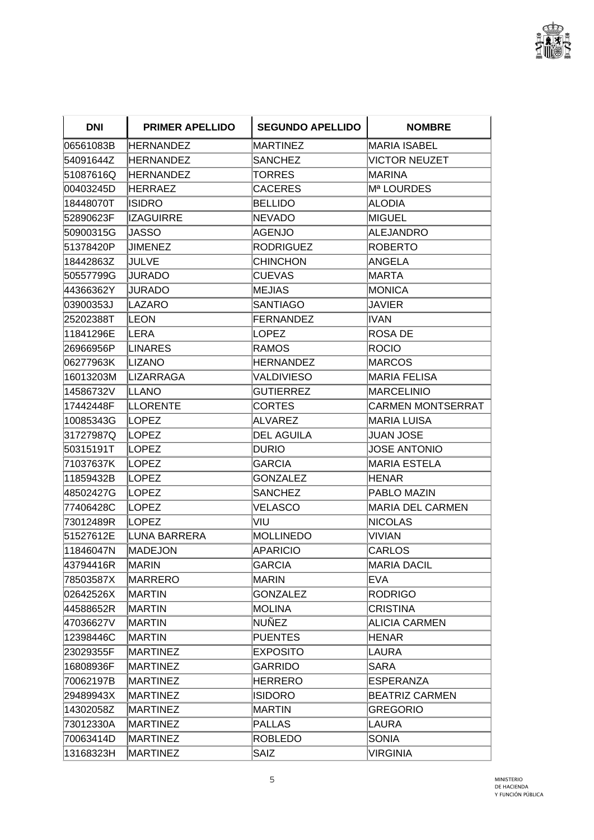

| <b>DNI</b> | <b>PRIMER APELLIDO</b> | <b>SEGUNDO APELLIDO</b> | <b>NOMBRE</b>            |
|------------|------------------------|-------------------------|--------------------------|
| 06561083B  | <b>HERNANDEZ</b>       | MARTINEZ                | MARIA ISABEL             |
| 54091644Z  | HERNANDEZ              | <b>SANCHEZ</b>          | <b>NICTOR NEUZET</b>     |
| 51087616Q  | <b>HERNANDEZ</b>       | TORRES                  | <b>MARINA</b>            |
| 00403245D  | HERRAEZ                | <b>CACERES</b>          | Mª LOURDES               |
| 18448070T  | <b>ISIDRO</b>          | <b>BELLIDO</b>          | ALODIA                   |
| 52890623F  | <b>IZAGUIRRE</b>       | <b>NEVADO</b>           | MIGUEL                   |
| 50900315G  | <b>JASSO</b>           | AGENJO                  | ALEJANDRO                |
| 51378420P  | <b>JIMENEZ</b>         | <b>RODRIGUEZ</b>        | <b>ROBERTO</b>           |
| 18442863Z  | <b>JULVE</b>           | <b>CHINCHON</b>         | <b>ANGELA</b>            |
| 50557799G  | <b>JURADO</b>          | <b>CUEVAS</b>           | MARTA                    |
| 44366362Y  | JURADO                 | MEJIAS                  | MONICA                   |
| 03900353J  | LAZARO                 | SANTIAGO                | JAVIER                   |
| 25202388T  | ∣LEON                  | <b>FERNANDEZ</b>        | IIVAN                    |
| 11841296E  | ILERA                  | LOPEZ                   | <b>ROSA DE</b>           |
| 26966956P  | LINARES                | <b>RAMOS</b>            | ROCIO                    |
| 06277963K  | LIZANO                 | HERNANDEZ               | <b>MARCOS</b>            |
| 16013203M  | <b>LIZARRAGA</b>       | <b>VALDIVIESO</b>       | <b>MARIA FELISA</b>      |
| 14586732V  | ILLANO                 | <b>GUTIERREZ</b>        | <b>MARCELINIO</b>        |
| 17442448F  | ILLORENTE              | CORTES                  | <b>CARMEN MONTSERRAT</b> |
| 10085343G  | <b>LOPEZ</b>           | <b>ALVAREZ</b>          | MARIA LUISA              |
| 31727987Q  | <b>LOPEZ</b>           | <b>DEL AGUILA</b>       | JUAN JOSE                |
| 50315191T  | LOPEZ                  | DURIO                   | JOSE ANTONIO             |
| 71037637K  | LOPEZ                  | <b>GARCIA</b>           | <b>MARIA ESTELA</b>      |
| 11859432B  | <b>LOPEZ</b>           | <b>GONZALEZ</b>         | <b>HENAR</b>             |
| 48502427G  | LOPEZ                  | <b>SANCHEZ</b>          | PABLO MAZIN              |
| 77406428C  | LOPEZ                  | VELASCO                 | MARIA DEL CARMEN         |
| 73012489R  | <b>LOPEZ</b>           | VIU                     | NICOLAS                  |
| 51527612E  | LUNA BARRERA           | MOLLINEDO               | VIVIAN                   |
| 11846047N  | <b>MADEJON</b>         | APARICIO                | <b>CARLOS</b>            |
| 43794416R  | MARIN                  | <b>GARCIA</b>           | <b>MARIA DACIL</b>       |
| 78503587X  | MARRERO                | MARIN                   | EVA                      |
| 02642526X  | <b>MARTIN</b>          | <b>GONZALEZ</b>         | <b>RODRIGO</b>           |
| 44588652R  | <b>MARTIN</b>          | MOLINA                  | CRISTINA                 |
| 47036627V  | MARTIN                 | NUÑEZ                   | ALICIA CARMEN            |
| 12398446C  | <b>MARTIN</b>          | <b>PUENTES</b>          | <b>HENAR</b>             |
| 23029355F  | MARTINEZ               | <b>EXPOSITO</b>         | LAURA                    |
| 16808936F  | <b>MARTINEZ</b>        | <b>GARRIDO</b>          | SARA                     |
| 70062197B  | <b>MARTINEZ</b>        | HERRERO                 | ESPERANZA                |
| 29489943X  | <b>MARTINEZ</b>        | <b>ISIDORO</b>          | <b>BEATRIZ CARMEN</b>    |
| 14302058Z  | MARTINEZ               | MARTIN                  | GREGORIO                 |
| 73012330A  | MARTINEZ               | <b>PALLAS</b>           | LAURA                    |
| 70063414D  | <b>MARTINEZ</b>        | <b>ROBLEDO</b>          | <b>SONIA</b>             |
| 13168323H  | <b>MARTINEZ</b>        | <b>SAIZ</b>             | VIRGINIA                 |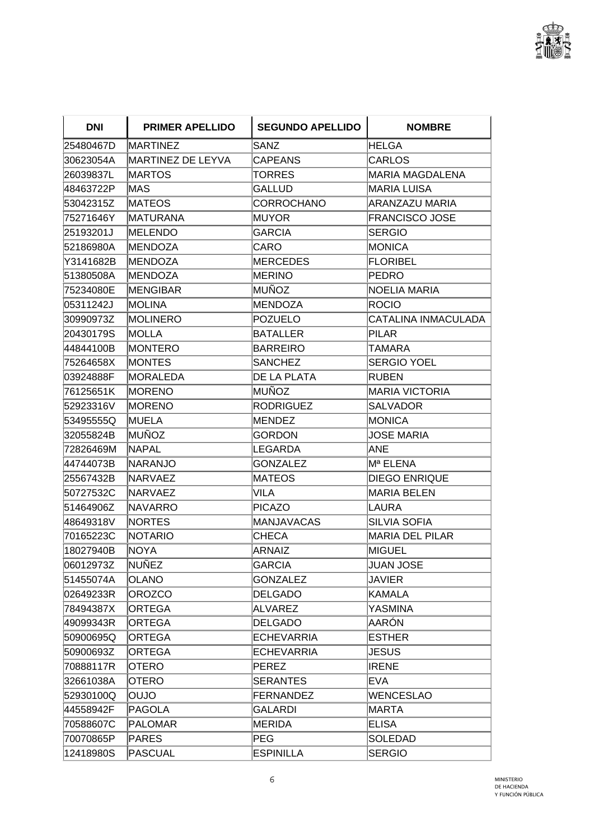

| <b>DNI</b> | <b>PRIMER APELLIDO</b> | <b>SEGUNDO APELLIDO</b> | <b>NOMBRE</b>          |
|------------|------------------------|-------------------------|------------------------|
| 25480467D  | <b>MARTINEZ</b>        | SANZ                    | IHELGA                 |
| 30623054A  | MARTINEZ DE LEYVA      | <b>CAPEANS</b>          | <b>CARLOS</b>          |
| 26039837L  | MARTOS                 | TORRES                  | MARIA MAGDALENA        |
| 48463722P  | MAS                    | <b>GALLUD</b>           | <b>MARIA LUISA</b>     |
| 53042315Z  | MATEOS                 | CORROCHANO              | ARANZAZU MARIA         |
| 75271646Y  | MATURANA               | IMUYOR                  | <b>FRANCISCO JOSE</b>  |
| 25193201J  | MELENDO                | <b>GARCIA</b>           | <b>SERGIO</b>          |
| 52186980A  | <b>MENDOZA</b>         | <b>CARO</b>             | MONICA                 |
| Y3141682B  | MENDOZA                | MERCEDES                | FLORIBEL               |
| 51380508A  | <b>MENDOZA</b>         | MERINO                  | PEDRO                  |
| 75234080E  | <b>MENGIBAR</b>        | MUÑOZ                   | NOELIA MARIA           |
| 05311242J  | MOLINA                 | MENDOZA                 | ROCIO                  |
| 30990973Z  | <b>MOLINERO</b>        | <b>POZUELO</b>          | CATALINA INMACULADA    |
| 20430179S  | <b>IMOLLA</b>          | <b>BATALLER</b>         | PILAR                  |
| 44844100B  | <b>MONTERO</b>         | <b>BARREIRO</b>         | TAMARA                 |
| 75264658X  | <b>MONTES</b>          | <b>SANCHEZ</b>          | <b>SERGIO YOEL</b>     |
| 03924888F  | MORALEDA               | DE LA PLATA             | RUBEN                  |
| 76125651K  | <b>MORENO</b>          | MUÑOZ                   | MARIA VICTORIA         |
| 52923316V  | <b>MORENO</b>          | <b>RODRIGUEZ</b>        | SALVADOR               |
| 53495555Q  | <b>IMUELA</b>          | MENDEZ                  | MONICA                 |
| 32055824B  | <b>MUÑOZ</b>           | GORDON                  | JOSE MARIA             |
| 72826469M  | <b>NAPAL</b>           | LEGARDA                 | ANE                    |
| 44744073B  | <b>NARANJO</b>         | <b>GONZALEZ</b>         | Mª ELENA               |
| 25567432B  | <b>NARVAEZ</b>         | MATEOS                  | <b>DIEGO ENRIQUE</b>   |
| 50727532C  | <b>NARVAEZ</b>         | <b>VILA</b>             | MARIA BELEN            |
| 51464906Z  | <b>NAVARRO</b>         | <b>PICAZO</b>           | LAURA                  |
| 48649318V  | <b>NORTES</b>          | <b>MANJAVACAS</b>       | SILVIA SOFIA           |
| 70165223C  | <b>NOTARIO</b>         | <b>CHECA</b>            | <b>MARIA DEL PILAR</b> |
| 18027940B  | <b>NOYA</b>            | <b>ARNAIZ</b>           | <b>MIGUEL</b>          |
| 06012973Z  | NUÑEZ                  | <b>GARCIA</b>           | <b>JUAN JOSE</b>       |
| 51455074A  | <b>OLANO</b>           | <b>GONZALEZ</b>         | <b>JAVIER</b>          |
| 02649233R  | <b>OROZCO</b>          | <b>DELGADO</b>          | KAMALA                 |
| 78494387X  | <b>ORTEGA</b>          | ALVAREZ                 | YASMINA                |
| 49099343R  | <b>ORTEGA</b>          | <b>DELGADO</b>          | AARÓN                  |
| 50900695Q  | <b>ORTEGA</b>          | <b>ECHEVARRIA</b>       | <b>ESTHER</b>          |
| 50900693Z  | <b>ORTEGA</b>          | <b>ECHEVARRIA</b>       | <b>JESUS</b>           |
| 70888117R  | <b>OTERO</b>           | PEREZ                   | <b>IRENE</b>           |
| 32661038A  | <b>OTERO</b>           | <b>SERANTES</b>         | EVA                    |
| 52930100Q  | OUJO                   | <b>FERNANDEZ</b>        | WENCESLAO              |
| 44558942F  | <b>PAGOLA</b>          | <b>GALARDI</b>          | <b>MARTA</b>           |
| 70588607C  | <b>PALOMAR</b>         | MERIDA                  | ELISA                  |
| 70070865P  | <b>PARES</b>           | PEG                     | SOLEDAD                |
| 12418980S  | <b>PASCUAL</b>         | <b>ESPINILLA</b>        | SERGIO                 |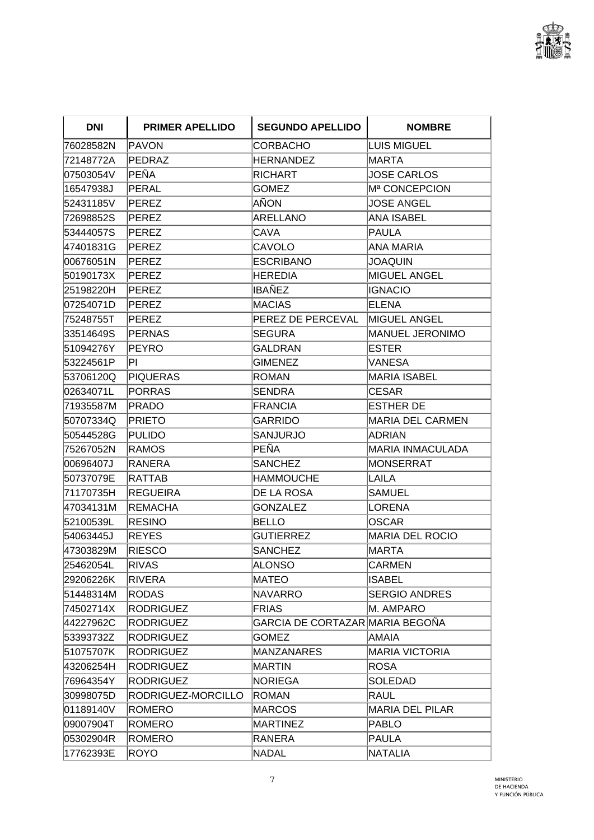

| DNI.      | <b>PRIMER APELLIDO</b> | <b>SEGUNDO APELLIDO</b>         | <b>NOMBRE</b>          |
|-----------|------------------------|---------------------------------|------------------------|
| 76028582N | PAVON                  | CORBACHO                        | LUIS MIGUEL            |
| 72148772A | PEDRAZ                 | HERNANDEZ                       | <b>MARTA</b>           |
| 07503054V | PEÑA                   | <b>RICHART</b>                  | <b>JOSE CARLOS</b>     |
| 16547938J | PERAL                  | <b>GOMEZ</b>                    | Mª CONCEPCION          |
| 52431185V | PEREZ                  | AÑON                            | <b>JOSE ANGEL</b>      |
| 72698852S | PEREZ                  | <b>ARELLANO</b>                 | ANA ISABEL             |
| 53444057S | PEREZ                  | <b>CAVA</b>                     | <b>PAULA</b>           |
| 47401831G | <b>PEREZ</b>           | <b>CAVOLO</b>                   | ANA MARIA              |
| 00676051N | PEREZ                  | ESCRIBANO                       | JOAQUIN                |
| 50190173X | PEREZ                  | <b>HEREDIA</b>                  | MIGUEL ANGEL           |
| 25198220H | PEREZ                  | IBAÑEZ                          | <b>IGNACIO</b>         |
| 07254071D | PEREZ                  | <b>MACIAS</b>                   | ELENA                  |
| 75248755T | <b>PEREZ</b>           | PEREZ DE PERCEVAL               | <b>MIGUEL ANGEL</b>    |
| 33514649S | PERNAS                 | <b>SEGURA</b>                   | <b>MANUEL JERONIMO</b> |
| 51094276Y | PEYRO                  | GALDRAN                         | <b>ESTER</b>           |
| 53224561P | IΡI                    | <b>GIMENEZ</b>                  | VANESA                 |
| 53706120Q | PIQUERAS               | <b>ROMAN</b>                    | MARIA ISABEL           |
| 02634071L | PORRAS                 | <b>SENDRA</b>                   | <b>CESAR</b>           |
| 71935587M | <b>PRADO</b>           | <b>FRANCIA</b>                  | ESTHER DE              |
| 50707334Q | PRIETO                 | GARRIDO                         | MARIA DEL CARMEN       |
| 50544528G | PULIDO                 | SANJURJO                        | <b>ADRIAN</b>          |
| 75267052N | <b>RAMOS</b>           | PEÑA                            | MARIA INMACULADA       |
| 00696407J | RANERA                 | <b>SANCHEZ</b>                  | MONSERRAT              |
| 50737079E | RATTAB                 | <b>HAMMOUCHE</b>                | ILAILA                 |
| 71170735H | <b>REGUEIRA</b>        | DE LA ROSA                      | SAMUEL                 |
| 47034131M | <b>REMACHA</b>         | <b>GONZALEZ</b>                 | LORENA                 |
| 52100539L | <b>RESINO</b>          | BELLO                           | <b>IOSCAR</b>          |
| 54063445J | REYES                  | <b>GUTIERREZ</b>                | MARIA DEL ROCIO        |
| 47303829M | <b>RIESCO</b>          | <b>SANCHEZ</b>                  | MARTA                  |
| 25462054L | RIVAS                  | <b>ALONSO</b>                   | <b>CARMEN</b>          |
| 29206226K | <b>RIVERA</b>          | MATEO                           | ISABEL                 |
| 51448314M | <b>RODAS</b>           | NAVARRO                         | <b>SERGIO ANDRES</b>   |
| 74502714X | <b>RODRIGUEZ</b>       | FRIAS                           | M. AMPARO              |
| 44227962C | <b>RODRIGUEZ</b>       | GARCIA DE CORTAZAR MARIA BEGOÑA |                        |
| 53393732Z | <b>RODRIGUEZ</b>       | <b>GOMEZ</b>                    | AMAIA                  |
| 51075707K | <b>RODRIGUEZ</b>       | <b>MANZANARES</b>               | MARIA VICTORIA         |
| 43206254H | <b>RODRIGUEZ</b>       | MARTIN                          | ROSA                   |
| 76964354Y | <b>RODRIGUEZ</b>       | NORIEGA                         | SOLEDAD                |
| 30998075D | RODRIGUEZ-MORCILLO     | ROMAN                           | RAUL                   |
| 01189140V | <b>ROMERO</b>          | <b>MARCOS</b>                   | MARIA DEL PILAR        |
| 09007904T | <b>ROMERO</b>          | MARTINEZ                        | PABLO                  |
| 05302904R | <b>ROMERO</b>          | RANERA                          | PAULA                  |
| 17762393E | <b>ROYO</b>            | <b>NADAL</b>                    | NATALIA                |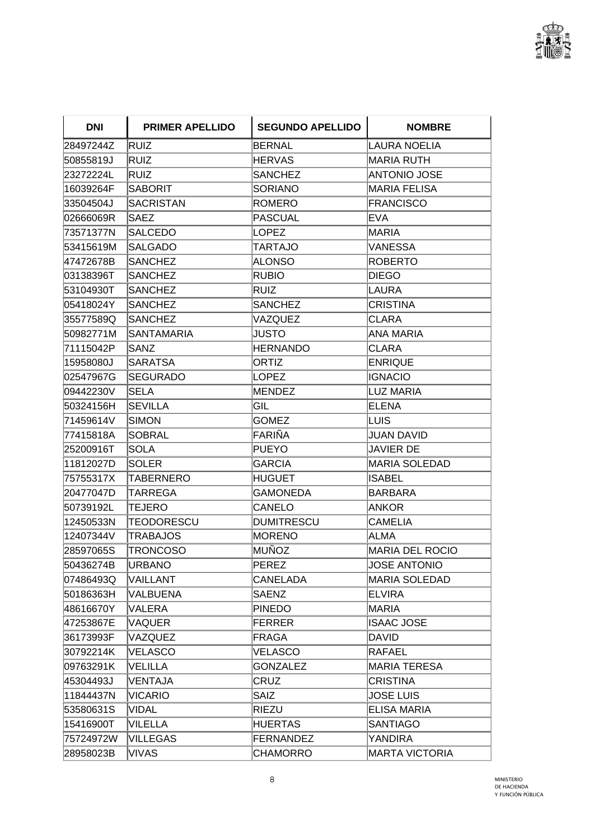

| DNI       | <b>PRIMER APELLIDO</b> | <b>SEGUNDO APELLIDO</b> | <b>NOMBRE</b>         |
|-----------|------------------------|-------------------------|-----------------------|
| 28497244Z | <b>RUIZ</b>            | <b>BERNAL</b>           | ILAURA NOELIA         |
| 50855819J | RUIZ                   | <b>HERVAS</b>           | MARIA RUTH            |
| 23272224L | RUIZ                   | <b>SANCHEZ</b>          | ANTONIO JOSE          |
| 16039264F | <b>SABORIT</b>         | <b>SORIANO</b>          | <b>MARIA FELISA</b>   |
| 33504504J | <b>SACRISTAN</b>       | ROMERO                  | <b>FRANCISCO</b>      |
| 02666069R | <b>SAEZ</b>            | <b>PASCUAL</b>          | <b>EVA</b>            |
| 73571377N | <b>SALCEDO</b>         | LOPEZ                   | <b>MARIA</b>          |
| 53415619M | <b>SALGADO</b>         | TARTAJO                 | VANESSA               |
| 47472678B | <b>SANCHEZ</b>         | ALONSO                  | ROBERTO               |
| 03138396T | <b>SANCHEZ</b>         | <b>RUBIO</b>            | DIEGO                 |
| 53104930T | <b>SANCHEZ</b>         | RUIZ                    | LAURA                 |
| 05418024Y | <b>SANCHEZ</b>         | <b>SANCHEZ</b>          | ICRISTINA             |
| 35577589Q | <b>SANCHEZ</b>         | VAZQUEZ                 | CLARA                 |
| 50982771M | <b>SANTAMARIA</b>      | <b>JUSTO</b>            | ANA MARIA             |
| 71115042P | SANZ                   | <b>HERNANDO</b>         | ICLARA                |
| 15958080J | <b>SARATSA</b>         | <b>ORTIZ</b>            | <b>ENRIQUE</b>        |
| 02547967G | <b>SEGURADO</b>        | LOPEZ                   | IIGNACIO              |
| 09442230V | ISELA                  | MENDEZ                  | LUZ MARIA             |
| 50324156H | <b>SEVILLA</b>         | GIL                     | ELENA                 |
| 71459614V | <b>SIMON</b>           | <b>GOMEZ</b>            | ILUIS                 |
| 77415818A | <b>SOBRAL</b>          | FARIÑA                  | IJUAN DAVID           |
| 25200916T | <b>SOLA</b>            | <b>PUEYO</b>            | JAVIER DE             |
| 11812027D | <b>SOLER</b>           | <b>GARCIA</b>           | <b>MARIA SOLEDAD</b>  |
| 75755317X | TABERNERO              | HUGUET                  | ISABEL                |
| 20477047D | TARREGA                | GAMONEDA                | BARBARA               |
| 50739192L | <b>TEJERO</b>          | CANELO                  | <b>ANKOR</b>          |
| 12450533N | <b>TEODORESCU</b>      | <b>DUMITRESCU</b>       | <b>CAMELIA</b>        |
| 12407344V | <b>TRABAJOS</b>        | <b>MORENO</b>           | ALMA                  |
| 28597065S | TRONCOSO               | MUÑOZ                   | MARIA DEL ROCIO       |
| 50436274B | URBANO                 | <b>PEREZ</b>            | <b>JOSE ANTONIO</b>   |
| 07486493Q | VAILLANT               | <b>CANELADA</b>         | MARIA SOLEDAD         |
| 50186363H | VALBUENA               | <b>SAENZ</b>            | <b>ELVIRA</b>         |
| 48616670Y | VALERA                 | PINEDO                  | MARIA                 |
| 47253867E | VAQUER                 | <b>FERRER</b>           | <b>ISAAC JOSE</b>     |
| 36173993F | VAZQUEZ                | FRAGA                   | DAVID                 |
| 30792214K | <b>VELASCO</b>         | VELASCO                 | RAFAEL                |
| 09763291K | VELILLA                | <b>GONZALEZ</b>         | MARIA TERESA          |
| 45304493J | VENTAJA                | CRUZ                    | CRISTINA              |
| 11844437N | VICARIO                | <b>SAIZ</b>             | <b>JOSE LUIS</b>      |
| 53580631S | <b>VIDAL</b>           | RIEZU                   | <b>ELISA MARIA</b>    |
| 15416900T | VILELLA                | <b>HUERTAS</b>          | SANTIAGO              |
| 75724972W | <b>VILLEGAS</b>        | FERNANDEZ               | YANDIRA               |
| 28958023B | VIVAS                  | <b>CHAMORRO</b>         | <b>MARTA VICTORIA</b> |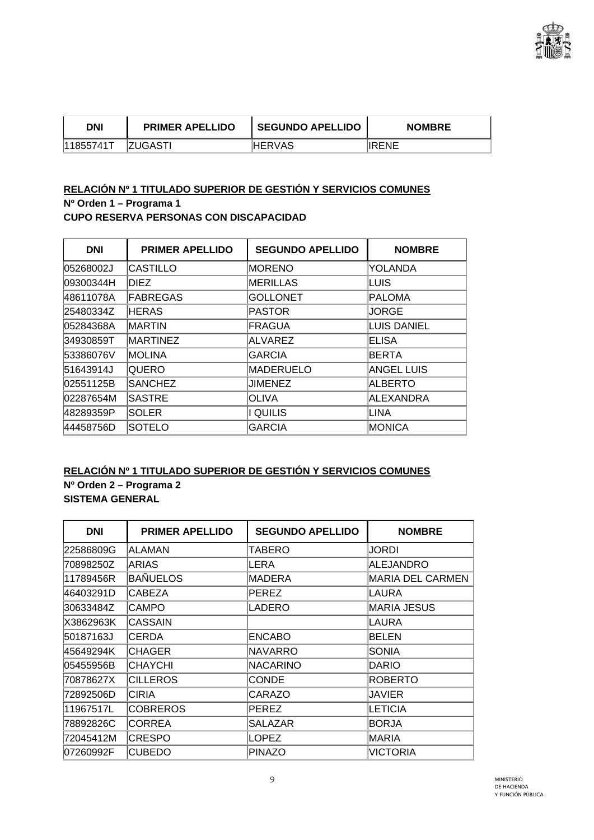

| DNI       | <b>PRIMER APELLIDO</b> | SEGUNDO APELLIDO | <b>NOMBRE</b> |
|-----------|------------------------|------------------|---------------|
| 11855741T | <b>IZUGASTI</b>        | IHERVAS          | IIRENE        |

## **RELACIÓN Nº 1 TITULADO SUPERIOR DE GESTIÓN Y SERVICIOS COMUNES Nº Orden 1 – Programa 1 CUPO RESERVA PERSONAS CON DISCAPACIDAD**

| <b>DNI</b> | <b>PRIMER APELLIDO</b> | <b>SEGUNDO APELLIDO</b> | <b>NOMBRE</b>    |
|------------|------------------------|-------------------------|------------------|
| 05268002J  | <b>ICASTILLO</b>       | <b>IMORENO</b>          | YOLANDA          |
| 09300344H  | <b>DIEZ</b>            | MERILLAS                | LUIS             |
| 48611078A  | FABREGAS               | <b>GOLLONET</b>         | PALOMA           |
| 25480334Z  | <b>HERAS</b>           | PASTOR                  | JORGE            |
| 05284368A  | <b>IMARTIN</b>         | <b>FRAGUA</b>           | LUIS DANIEL      |
| 34930859T  | <b>IMARTINEZ</b>       | ALVAREZ                 | <b>IELISA</b>    |
| 53386076V  | <b>IMOLINA</b>         | <b>GARCIA</b>           | BERTA            |
| 51643914J  | <b>QUERO</b>           | <b>IMADERUELO</b>       | ANGEL LUIS       |
| 02551125B  | <b>ISANCHEZ</b>        | JIMENEZ                 | <b>ALBERTO</b>   |
| 02287654M  | <b>SASTRE</b>          | <b>OLIVA</b>            | <b>ALEXANDRA</b> |
| 48289359P  | <b>SOLER</b>           | I QUILIS                | LINA             |
| 44458756D  | <b>SOTELO</b>          | <b>GARCIA</b>           | MONICA           |

## **RELACIÓN Nº 1 TITULADO SUPERIOR DE GESTIÓN Y SERVICIOS COMUNES Nº Orden 2 – Programa 2 SISTEMA GENERAL**

| <b>DNI</b> | <b>PRIMER APELLIDO</b> | <b>SEGUNDO APELLIDO</b> | <b>NOMBRE</b>           |
|------------|------------------------|-------------------------|-------------------------|
| 22586809G  | ALAMAN                 | TABERO                  | JORDI                   |
| 70898250Z  | <b>ARIAS</b>           | LERA                    | <b>ALEJANDRO</b>        |
| 11789456R  | <b>BAÑUELOS</b>        | MADERA                  | <b>MARIA DEL CARMEN</b> |
| 46403291D  | <b>CABEZA</b>          | PEREZ                   | LAURA                   |
| 30633484Z  | <b>CAMPO</b>           | LADERO                  | <b>MARIA JESUS</b>      |
| X3862963K  | <b>CASSAIN</b>         |                         | LAURA                   |
| 50187163J  | <b>CERDA</b>           | <b>ENCABO</b>           | <b>BELEN</b>            |
| 45649294K  | <b>CHAGER</b>          | <b>NAVARRO</b>          | <b>SONIA</b>            |
| 05455956B  | <b>CHAYCHI</b>         | NACARINO                | <b>DARIO</b>            |
| 70878627X  | <b>CILLEROS</b>        | <b>CONDE</b>            | <b>ROBERTO</b>          |
| 72892506D  | CIRIA                  | <b>CARAZO</b>           | <b>JAVIER</b>           |
| 11967517L  | <b>COBREROS</b>        | PEREZ                   | LETICIA                 |
| 78892826C  | <b>CORREA</b>          | SALAZAR                 | <b>BORJA</b>            |
| 72045412M  | <b>CRESPO</b>          | LOPEZ                   | <b>MARIA</b>            |
| 07260992F  | <b>CUBEDO</b>          | <b>PINAZO</b>           | <b>VICTORIA</b>         |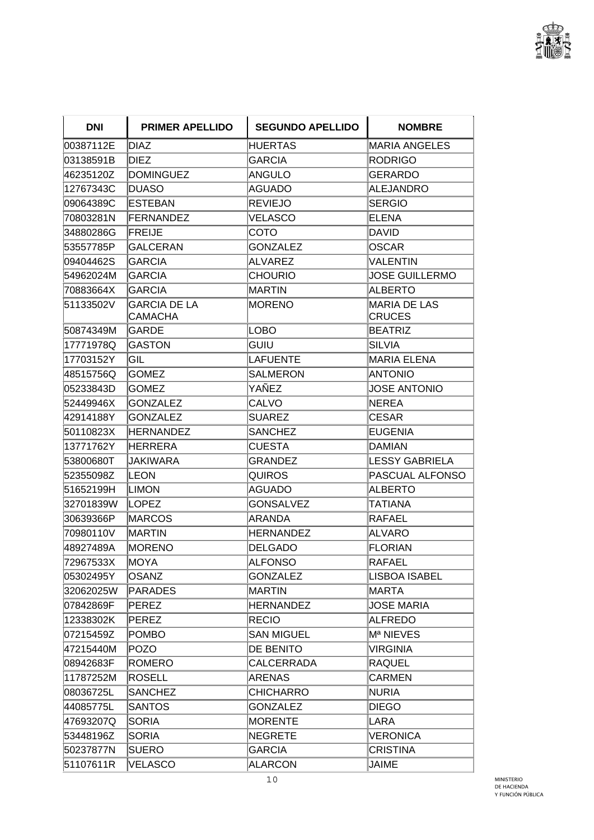

| <b>DNI</b> | <b>PRIMER APELLIDO</b>                | <b>SEGUNDO APELLIDO</b> | <b>NOMBRE</b>                        |
|------------|---------------------------------------|-------------------------|--------------------------------------|
| 00387112E  | DIAZ                                  | HUERTAS                 | <b>MARIA ANGELES</b>                 |
| 03138591B  | <b>DIEZ</b>                           | <b>GARCIA</b>           | <b>RODRIGO</b>                       |
| 46235120Z  | <b>DOMINGUEZ</b>                      | ANGULO                  | <b>GERARDO</b>                       |
| 12767343C  | <b>DUASO</b>                          | <b>AGUADO</b>           | <b>ALEJANDRO</b>                     |
| 09064389C  | ESTEBAN                               | <b>REVIEJO</b>          | <b>SERGIO</b>                        |
| 70803281N  | <b>FERNANDEZ</b>                      | VELASCO                 | <b>ELENA</b>                         |
| 34880286G  | <b>FREIJE</b>                         | COTO                    | <b>DAVID</b>                         |
| 53557785P  | <b>GALCERAN</b>                       | <b>GONZALEZ</b>         | <b>OSCAR</b>                         |
| 09404462S  | <b>GARCIA</b>                         | ALVAREZ                 | VALENTIN                             |
| 54962024M  | GARCIA                                | <b>CHOURIO</b>          | JOSE GUILLERMO                       |
| 70883664X  | <b>GARCIA</b>                         | MARTIN                  | <b>ALBERTO</b>                       |
| 51133502V  | <b>GARCIA DE LA</b><br><b>CAMACHA</b> | MORENO                  | <b>MARIA DE LAS</b><br><b>CRUCES</b> |
| 50874349M  | <b>GARDE</b>                          | LOBO                    | <b>BEATRIZ</b>                       |
| 17771978Q  | <b>GASTON</b>                         | GUIU                    | <b>SILVIA</b>                        |
| 17703152Y  | GIL                                   | LAFUENTE                | <b>MARIA ELENA</b>                   |
| 48515756Q  | <b>GOMEZ</b>                          | <b>SALMERON</b>         | <b>ANTONIO</b>                       |
| 05233843D  | GOMEZ                                 | YAÑEZ                   | <b>JOSE ANTONIO</b>                  |
| 52449946X  | <b>GONZALEZ</b>                       | <b>CALVO</b>            | <b>NEREA</b>                         |
| 42914188Y  | GONZALEZ                              | SUAREZ                  | <b>CESAR</b>                         |
| 50110823X  | <b>HERNANDEZ</b>                      | <b>SANCHEZ</b>          | <b>EUGENIA</b>                       |
| 13771762Y  | <b>HERRERA</b>                        | <b>CUESTA</b>           | <b>DAMIAN</b>                        |
| 53800680T  | JAKIWARA                              | GRANDEZ                 | <b>LESSY GABRIELA</b>                |
| 52355098Z  | ILEON                                 | QUIROS                  | <b>PASCUAL ALFONSO</b>               |
| 51652199H  | <b>LIMON</b>                          | AGUADO                  | <b>ALBERTO</b>                       |
| 32701839W  | LOPEZ                                 | <b>GONSALVEZ</b>        | TATIANA                              |
| 30639366P  | MARCOS                                | ARANDA                  | RAFAEL                               |
| 70980110V  | <b>MARTIN</b>                         | HERNANDEZ               | <b>ALVARO</b>                        |
| 48927489A  | <b>MORENO</b>                         | <b>DELGADO</b>          | <b>FLORIAN</b>                       |
| 72967533X  | MOYA                                  | ALFONSO                 | RAFAEL                               |
| 05302495Y  | <b>OSANZ</b>                          | <b>GONZALEZ</b>         | LISBOA ISABEL                        |
| 32062025W  | <b>PARADES</b>                        | MARTIN                  | MARTA                                |
| 07842869F  | <b>PEREZ</b>                          | <b>HERNANDEZ</b>        | <b>JOSE MARIA</b>                    |
| 12338302K  | <b>PEREZ</b>                          | <b>RECIO</b>            | <b>ALFREDO</b>                       |
| 07215459Z  | <b>POMBO</b>                          | <b>SAN MIGUEL</b>       | Mª NIEVES                            |
| 47215440M  | <b>POZO</b>                           | <b>DE BENITO</b>        | VIRGINIA                             |
| 08942683F  | ROMERO                                | <b>CALCERRADA</b>       | <b>RAQUEL</b>                        |
| 11787252M  | <b>ROSELL</b>                         | <b>ARENAS</b>           | <b>CARMEN</b>                        |
| 08036725L  | SANCHEZ                               | <b>CHICHARRO</b>        | <b>NURIA</b>                         |
| 44085775L  | SANTOS                                | <b>GONZALEZ</b>         | <b>DIEGO</b>                         |
| 47693207Q  | <b>SORIA</b>                          | MORENTE                 | LARA                                 |
| 53448196Z  | SORIA                                 | NEGRETE                 | VERONICA                             |
| 50237877N  | <b>SUERO</b>                          | <b>GARCIA</b>           | <b>CRISTINA</b>                      |
| 51107611R  | VELASCO                               | <b>ALARCON</b>          | <b>JAIME</b>                         |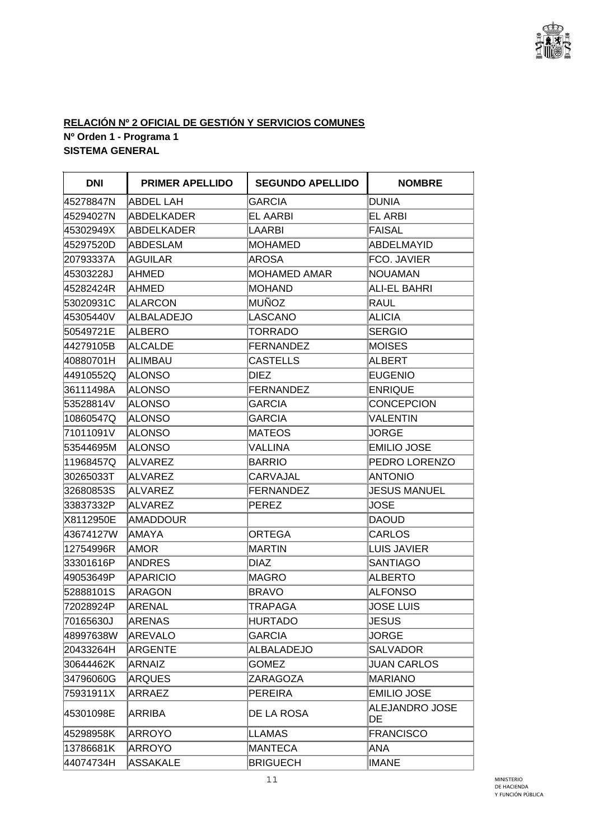

## **RELACIÓN Nº 2 OFICIAL DE GESTIÓN Y SERVICIOS COMUNES Nº Orden 1 - Programa 1 SISTEMA GENERAL**

| <b>DNI</b> | <b>PRIMER APELLIDO</b> | <b>SEGUNDO APELLIDO</b> | <b>NOMBRE</b>        |
|------------|------------------------|-------------------------|----------------------|
| 45278847N  | ABDEL LAH              | <b>GARCIA</b>           | <b>DUNIA</b>         |
| 45294027N  | ABDELKADER             | EL AARBI                | EL ARBI              |
| 45302949X  | <b>ABDELKADER</b>      | <b>LAARBI</b>           | <b>FAISAL</b>        |
| 45297520D  | ABDESLAM               | <b>MOHAMED</b>          | <b>ABDELMAYID</b>    |
| 20793337A  | <b>AGUILAR</b>         | <b>AROSA</b>            | FCO. JAVIER          |
| 45303228J  | AHMED                  | <b>MOHAMED AMAR</b>     | <b>NOUAMAN</b>       |
| 45282424R  | AHMED                  | MOHAND                  | ALI-EL BAHRI         |
| 53020931C  | <b>ALARCON</b>         | MUÑOZ                   | <b>RAUL</b>          |
| 45305440V  | <b>ALBALADEJO</b>      | LASCANO                 | <b>ALICIA</b>        |
| 50549721E  | <b>ALBERO</b>          | <b>TORRADO</b>          | <b>SERGIO</b>        |
| 44279105B  | <b>ALCALDE</b>         | <b>FERNANDEZ</b>        | <b>MOISES</b>        |
| 40880701H  | <b>ALIMBAU</b>         | <b>CASTELLS</b>         | <b>ALBERT</b>        |
| 44910552Q  | <b>ALONSO</b>          | DIEZ                    | <b>EUGENIO</b>       |
| 36111498A  | <b>ALONSO</b>          | <b>FERNANDEZ</b>        | <b>ENRIQUE</b>       |
| 53528814V  | <b>ALONSO</b>          | <b>GARCIA</b>           | <b>CONCEPCION</b>    |
| 10860547Q  | <b>ALONSO</b>          | GARCIA                  | <b>VALENTIN</b>      |
| 71011091V  | <b>ALONSO</b>          | <b>MATEOS</b>           | <b>JORGE</b>         |
| 53544695M  | <b>ALONSO</b>          | <b>VALLINA</b>          | <b>EMILIO JOSE</b>   |
| 11968457Q  | <b>ALVAREZ</b>         | <b>BARRIO</b>           | PEDRO LORENZO        |
| 30265033T  | <b>ALVAREZ</b>         | CARVAJAL                | <b>ANTONIO</b>       |
| 32680853S  | ALVAREZ                | <b>FERNANDEZ</b>        | <b>JESUS MANUEL</b>  |
| 33837332P  | <b>ALVAREZ</b>         | PEREZ                   | <b>JOSE</b>          |
| X8112950E  | <b>AMADDOUR</b>        |                         | <b>DAOUD</b>         |
| 43674127W  | <b>AMAYA</b>           | ORTEGA                  | <b>CARLOS</b>        |
| 12754996R  | AMOR                   | MARTIN                  | <b>LUIS JAVIER</b>   |
| 33301616P  | <b>ANDRES</b>          | DIAZ                    | <b>SANTIAGO</b>      |
| 49053649P  | <b>APARICIO</b>        | MAGRO                   | <b>ALBERTO</b>       |
| 52888101S  | ARAGON                 | BRAVO                   | <b>ALFONSO</b>       |
| 72028924P  | <b>ARENAL</b>          | TRAPAGA                 | <b>JOSE LUIS</b>     |
| 70165630J  | ARENAS                 | <b>HURTADO</b>          | <b>JESUS</b>         |
| 48997638W  | AREVALO                | GARCIA                  | <b>JORGE</b>         |
| 20433264H  | <b>ARGENTE</b>         | <b>ALBALADEJO</b>       | <b>SALVADOR</b>      |
| 30644462K  | <b>ARNAIZ</b>          | <b>GOMEZ</b>            | <b>JUAN CARLOS</b>   |
| 34796060G  | <b>ARQUES</b>          | <b>ZARAGOZA</b>         | <b>MARIANO</b>       |
| 75931911X  | ARRAEZ                 | PEREIRA                 | <b>EMILIO JOSE</b>   |
| 45301098E  | ARRIBA                 | DE LA ROSA              | ALEJANDRO JOSE<br>DE |
| 45298958K  | <b>ARROYO</b>          | <b>LLAMAS</b>           | <b>FRANCISCO</b>     |
| 13786681K  | ARROYO                 | MANTECA                 | ANA                  |
| 44074734H  | <b>ASSAKALE</b>        | <b>BRIGUECH</b>         | <b>IMANE</b>         |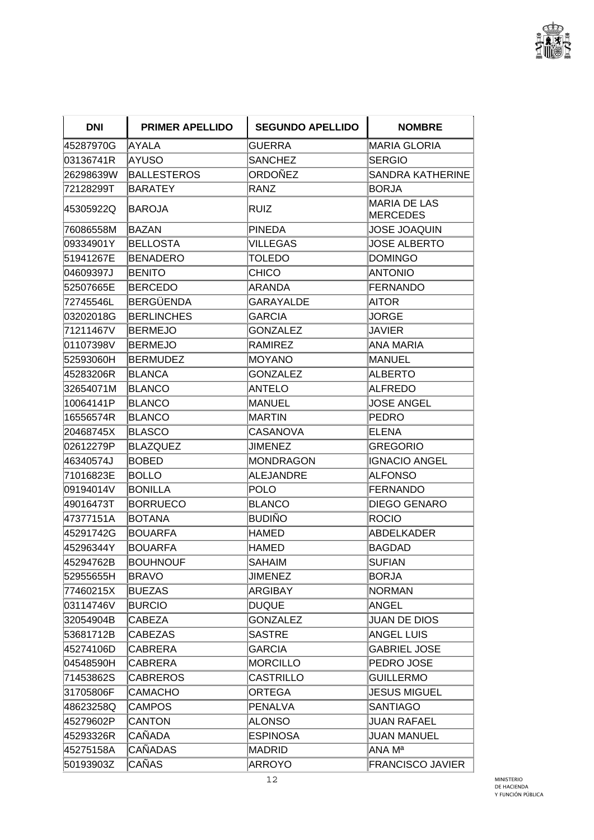

| <b>DNI</b> | <b>PRIMER APELLIDO</b> | <b>SEGUNDO APELLIDO</b> | <b>NOMBRE</b>                          |
|------------|------------------------|-------------------------|----------------------------------------|
| 45287970G  | AYALA                  | <b>GUERRA</b>           | <b>MARIA GLORIA</b>                    |
| 03136741R  | AYUSO                  | <b>SANCHEZ</b>          | <b>SERGIO</b>                          |
| 26298639W  | BALLESTEROS            | ORDOÑEZ                 | <b>SANDRA KATHERINE</b>                |
| 72128299T  | <b>BARATEY</b>         | RANZ                    | <b>BORJA</b>                           |
| 45305922Q  | IBAROJA                | RUIZ                    | <b>MARIA DE LAS</b><br><b>MERCEDES</b> |
| 76086558M  | <b>BAZAN</b>           | <b>PINEDA</b>           | <b>JOSE JOAQUIN</b>                    |
| 09334901Y  | <b>BELLOSTA</b>        | VILLEGAS                | <b>JOSE ALBERTO</b>                    |
| 51941267E  | <b>BENADERO</b>        | <b>TOLEDO</b>           | <b>DOMINGO</b>                         |
| 04609397J  | <b>BENITO</b>          | CHICO                   | <b>ANTONIO</b>                         |
| 52507665E  | <b>BERCEDO</b>         | ARANDA                  | <b>FERNANDO</b>                        |
| 72745546L  | BERGÜENDA              | GARAYALDE               | AITOR                                  |
| 03202018G  | <b>BERLINCHES</b>      | GARCIA                  | JORGE                                  |
| 71211467V  | <b>BERMEJO</b>         | <b>GONZALEZ</b>         | <b>JAVIER</b>                          |
| 01107398V  | <b>BERMEJO</b>         | <b>RAMIREZ</b>          | ANA MARIA                              |
| 52593060H  | <b>BERMUDEZ</b>        | <b>MOYANO</b>           | <b>MANUEL</b>                          |
| 45283206R  | <b>BLANCA</b>          | <b>GONZALEZ</b>         | <b>ALBERTO</b>                         |
| 32654071M  | <b>BLANCO</b>          | ANTELO                  | <b>ALFREDO</b>                         |
| 10064141P  | BLANCO                 | MANUEL                  | <b>JOSE ANGEL</b>                      |
| 16556574R  | <b>BLANCO</b>          | <b>MARTIN</b>           | <b>PEDRO</b>                           |
| 20468745X  | <b>BLASCO</b>          | <b>CASANOVA</b>         | <b>ELENA</b>                           |
| 02612279P  | <b>BLAZQUEZ</b>        | JIMENEZ                 | <b>GREGORIO</b>                        |
| 46340574J  | <b>BOBED</b>           | <b>MONDRAGON</b>        | <b>IGNACIO ANGEL</b>                   |
| 71016823E  | <b>BOLLO</b>           | <b>ALEJANDRE</b>        | <b>ALFONSO</b>                         |
| 09194014V  | <b>BONILLA</b>         | POLO                    | <b>FERNANDO</b>                        |
| 49016473T  | <b>BORRUECO</b>        | <b>BLANCO</b>           | <b>DIEGO GENARO</b>                    |
| 47377151A  | <b>BOTANA</b>          | BUDIÑO                  | <b>ROCIO</b>                           |
| 45291742G  | <b>BOUARFA</b>         | <b>HAMED</b>            | <b>ABDELKADER</b>                      |
| 45296344Y  | <b>BOUARFA</b>         | HAMED                   | <b>BAGDAD</b>                          |
| 45294762B  | <b>BOUHNOUF</b>        | <b>SAHAIM</b>           | <b>SUFIAN</b>                          |
| 52955655H  | <b>BRAVO</b>           | <b>JIMENEZ</b>          | <b>BORJA</b>                           |
| 77460215X  | <b>BUEZAS</b>          | ARGIBAY                 | <b>NORMAN</b>                          |
| 03114746V  | <b>BURCIO</b>          | <b>DUQUE</b>            | <b>ANGEL</b>                           |
| 32054904B  | CABEZA                 | <b>GONZALEZ</b>         | <b>JUAN DE DIOS</b>                    |
| 53681712B  | <b>CABEZAS</b>         | <b>SASTRE</b>           | <b>ANGEL LUIS</b>                      |
| 45274106D  | <b>CABRERA</b>         | <b>GARCIA</b>           | <b>GABRIEL JOSE</b>                    |
| 04548590H  | CABRERA                | <b>MORCILLO</b>         | PEDRO JOSE                             |
| 71453862S  | <b>CABREROS</b>        | <b>CASTRILLO</b>        | <b>GUILLERMO</b>                       |
| 31705806F  | CAMACHO                | <b>ORTEGA</b>           | <b>JESUS MIGUEL</b>                    |
| 48623258Q  | <b>CAMPOS</b>          | <b>PENALVA</b>          | <b>SANTIAGO</b>                        |
| 45279602P  | <b>CANTON</b>          | ALONSO                  | JUAN RAFAEL                            |
| 45293326R  | CAÑADA                 | <b>ESPINOSA</b>         | <b>JUAN MANUEL</b>                     |
| 45275158A  | CAÑADAS                | MADRID                  | ANA Mª                                 |
| 50193903Z  | CAÑAS                  | ARROYO                  | <b>FRANCISCO JAVIER</b>                |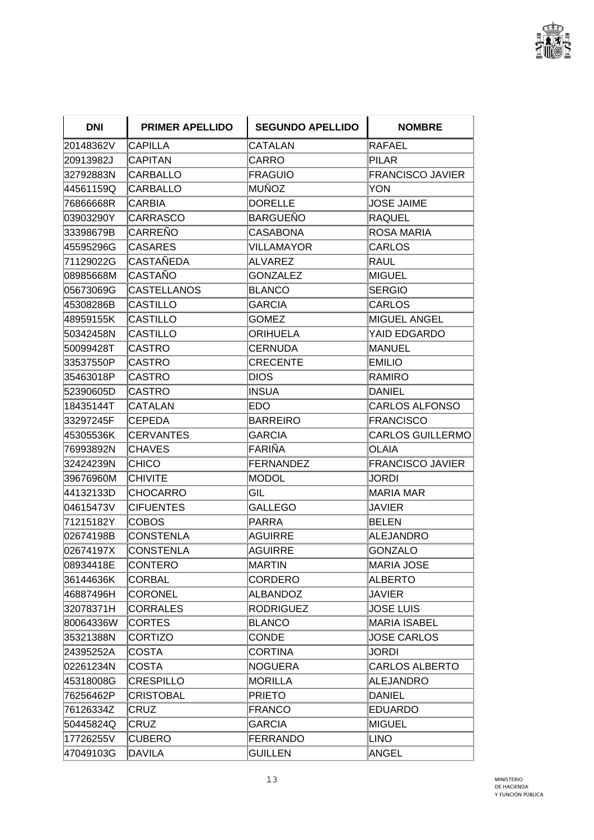

| <b>DNI</b> | <b>PRIMER APELLIDO</b> | <b>SEGUNDO APELLIDO</b> | <b>NOMBRE</b>           |
|------------|------------------------|-------------------------|-------------------------|
| 20148362V  | <b>CAPILLA</b>         | CATALAN                 | <b>RAFAEL</b>           |
| 20913982J  | <b>CAPITAN</b>         | CARRO                   | <b>PILAR</b>            |
| 32792883N  | <b>CARBALLO</b>        | <b>FRAGUIO</b>          | <b>FRANCISCO JAVIER</b> |
| 44561159Q  | CARBALLO               | <b>MUÑOZ</b>            | YON                     |
| 76866668R  | <b>CARBIA</b>          | <b>DORELLE</b>          | <b>JOSE JAIME</b>       |
| 03903290Y  | <b>CARRASCO</b>        | BARGUEÑO                | <b>RAQUEL</b>           |
| 33398679B  | CARREÑO                | <b>CASABONA</b>         | <b>ROSA MARIA</b>       |
| 45595296G  | <b>CASARES</b>         | <b>VILLAMAYOR</b>       | <b>CARLOS</b>           |
| 71129022G  | <b>CASTAÑEDA</b>       | ALVAREZ                 | RAUL                    |
| 08985668M  | <b>CASTAÑO</b>         | <b>GONZALEZ</b>         | MIGUEL                  |
| 05673069G  | <b>CASTELLANOS</b>     | <b>BLANCO</b>           | <b>SERGIO</b>           |
| 45308286B  | CASTILLO               | GARCIA                  | CARLOS                  |
| 48959155K  | <b>CASTILLO</b>        | <b>GOMEZ</b>            | <b>MIGUEL ANGEL</b>     |
| 50342458N  | <b>CASTILLO</b>        | ORIHUELA                | YAID EDGARDO            |
| 50099428T  | <b>CASTRO</b>          | <b>CERNUDA</b>          | MANUEL                  |
| 33537550P  | <b>CASTRO</b>          | <b>CRECENTE</b>         | <b>EMILIO</b>           |
| 35463018P  | <b>CASTRO</b>          | <b>DIOS</b>             | <b>RAMIRO</b>           |
| 52390605D  | <b>CASTRO</b>          | <b>INSUA</b>            | <b>DANIEL</b>           |
| 18435144T  | <b>CATALAN</b>         | EDO                     | <b>CARLOS ALFONSO</b>   |
| 33297245F  | <b>CEPEDA</b>          | <b>BARREIRO</b>         | <b>FRANCISCO</b>        |
| 45305536K  | <b>CERVANTES</b>       | <b>GARCIA</b>           | <b>CARLOS GUILLERMO</b> |
| 76993892N  | <b>CHAVES</b>          | FARIÑA                  | OLAIA                   |
| 32424239N  | <b>CHICO</b>           | FERNANDEZ               | <b>FRANCISCO JAVIER</b> |
| 39676960M  | <b>CHIVITE</b>         | <b>MODOL</b>            | JORDI                   |
| 44132133D  | <b>CHOCARRO</b>        | GIL                     | <b>MARIA MAR</b>        |
| 04615473V  | <b>CIFUENTES</b>       | <b>GALLEGO</b>          | JAVIER                  |
| 71215182Y  | <b>COBOS</b>           | <b>PARRA</b>            | <b>BELEN</b>            |
| 02674198B  | <b>CONSTENLA</b>       | AGUIRRE                 | <b>ALEJANDRO</b>        |
| 02674197X  | <b>CONSTENLA</b>       | AGUIRRE                 | <b>GONZALO</b>          |
| 08934418E  | <b>CONTERO</b>         | MARTIN                  | MARIA JOSE              |
| 36144636K  | <b>CORBAL</b>          | CORDERO                 | <b>ALBERTO</b>          |
| 46887496H  | CORONEL                | ALBANDOZ                | <b>JAVIER</b>           |
| 32078371H  | <b>CORRALES</b>        | <b>RODRIGUEZ</b>        | <b>JOSE LUIS</b>        |
| 80064336W  | <b>CORTES</b>          | <b>BLANCO</b>           | <b>MARIA ISABEL</b>     |
| 35321388N  | <b>CORTIZO</b>         | <b>CONDE</b>            | <b>JOSE CARLOS</b>      |
| 24395252A  | <b>COSTA</b>           | <b>CORTINA</b>          | JORDI                   |
| 02261234N  | <b>COSTA</b>           | <b>NOGUERA</b>          | <b>CARLOS ALBERTO</b>   |
| 45318008G  | <b>CRESPILLO</b>       | <b>MORILLA</b>          | <b>ALEJANDRO</b>        |
| 76256462P  | <b>CRISTOBAL</b>       | <b>PRIETO</b>           | <b>DANIEL</b>           |
| 76126334Z  | <b>CRUZ</b>            | <b>FRANCO</b>           | <b>EDUARDO</b>          |
| 50445824Q  | <b>CRUZ</b>            | <b>GARCIA</b>           | MIGUEL                  |
| 17726255V  | <b>CUBERO</b>          | FERRANDO                | LINO                    |
| 47049103G  | <b>DAVILA</b>          | <b>GUILLEN</b>          | ANGEL                   |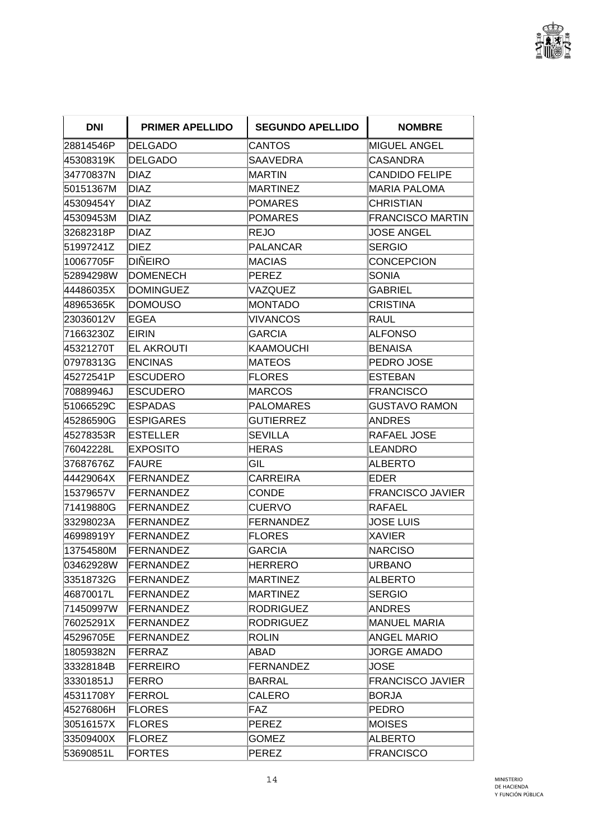

| <b>DNI</b> | <b>PRIMER APELLIDO</b> | <b>SEGUNDO APELLIDO</b> | <b>NOMBRE</b>           |
|------------|------------------------|-------------------------|-------------------------|
| 28814546P  | DELGADO                | <b>CANTOS</b>           | MIGUEL ANGEL            |
| 45308319K  | <b>DELGADO</b>         | <b>SAAVEDRA</b>         | CASANDRA                |
| 34770837N  | <b>DIAZ</b>            | <b>MARTIN</b>           | <b>CANDIDO FELIPE</b>   |
| 50151367M  | <b>DIAZ</b>            | MARTINEZ                | <b>MARIA PALOMA</b>     |
| 45309454Y  | <b>DIAZ</b>            | POMARES                 | <b>CHRISTIAN</b>        |
| 45309453M  | <b>DIAZ</b>            | POMARES                 | <b>FRANCISCO MARTIN</b> |
| 32682318P  | <b>DIAZ</b>            | REJO                    | <b>JOSE ANGEL</b>       |
| 51997241Z  | <b>DIEZ</b>            | PALANCAR                | <b>SERGIO</b>           |
| 10067705F  | <b>DIÑEIRO</b>         | MACIAS                  | CONCEPCION              |
| 52894298W  | <b>DOMENECH</b>        | PEREZ                   | <b>SONIA</b>            |
| 44486035X  | <b>DOMINGUEZ</b>       | VAZQUEZ                 | <b>GABRIEL</b>          |
| 48965365K  | <b>DOMOUSO</b>         | MONTADO                 | <b>CRISTINA</b>         |
| 23036012V  | <b>EGEA</b>            | <b>VIVANCOS</b>         | RAUL                    |
| 71663230Z  | <b>EIRIN</b>           | <b>GARCIA</b>           | <b>ALFONSO</b>          |
| 45321270T  | <b>EL AKROUTI</b>      | KAAMOUCHI               | <b>BENAISA</b>          |
| 07978313G  | <b>ENCINAS</b>         | MATEOS                  | PEDRO JOSE              |
| 45272541P  | <b>ESCUDERO</b>        | <b>FLORES</b>           | <b>ESTEBAN</b>          |
| 70889946J  | <b>ESCUDERO</b>        | <b>IMARCOS</b>          | <b>FRANCISCO</b>        |
| 51066529C  | <b>ESPADAS</b>         | PALOMARES               | GUSTAVO RAMON           |
| 45286590G  | <b>ESPIGARES</b>       | <b>GUTIERREZ</b>        | <b>ANDRES</b>           |
| 45278353R  | <b>ESTELLER</b>        | <b>SEVILLA</b>          | RAFAEL JOSE             |
| 76042228L  | <b>EXPOSITO</b>        | HERAS                   | LEANDRO                 |
| 37687676Z  | <b>FAURE</b>           | GIL                     | <b>ALBERTO</b>          |
| 44429064X  | <b>FERNANDEZ</b>       | CARREIRA                | EDER                    |
| 15379657V  | FERNANDEZ              | <b>CONDE</b>            | <b>FRANCISCO JAVIER</b> |
| 71419880G  | FERNANDEZ              | <b>CUERVO</b>           | RAFAEL                  |
| 33298023A  | FERNANDEZ              | FERNANDEZ               | <b>JOSE LUIS</b>        |
| 46998919Y  | <b>FERNANDEZ</b>       | FLORES                  | <b>XAVIER</b>           |
| 13754580M  | <b>FERNANDEZ</b>       | <b>GARCIA</b>           | <b>NARCISO</b>          |
| 03462928W  | <b>FERNANDEZ</b>       | <b>HERRERO</b>          | <b>URBANO</b>           |
| 33518732G  | <b>FERNANDEZ</b>       | <b>MARTINEZ</b>         | <b>ALBERTO</b>          |
| 46870017L  | FERNANDEZ              | MARTINEZ                | <b>SERGIO</b>           |
| 71450997W  | <b>FERNANDEZ</b>       | <b>RODRIGUEZ</b>        | <b>ANDRES</b>           |
| 76025291X  | <b>FERNANDEZ</b>       | <b>RODRIGUEZ</b>        | <b>MANUEL MARIA</b>     |
| 45296705E  | <b>FERNANDEZ</b>       | <b>ROLIN</b>            | <b>ANGEL MARIO</b>      |
| 18059382N  | <b>FERRAZ</b>          | ABAD                    | <b>JORGE AMADO</b>      |
| 33328184B  | FERREIRO               | FERNANDEZ               | JOSE                    |
| 33301851J  | <b>FERRO</b>           | BARRAL                  | <b>FRANCISCO JAVIER</b> |
| 45311708Y  | FERROL                 | <b>CALERO</b>           | <b>BORJA</b>            |
| 45276806H  | <b>FLORES</b>          | FAZ                     | <b>PEDRO</b>            |
| 30516157X  | <b>FLORES</b>          | <b>PEREZ</b>            | <b>MOISES</b>           |
| 33509400X  | <b>FLOREZ</b>          | <b>GOMEZ</b>            | <b>ALBERTO</b>          |
| 53690851L  | <b>FORTES</b>          | PEREZ                   | <b>FRANCISCO</b>        |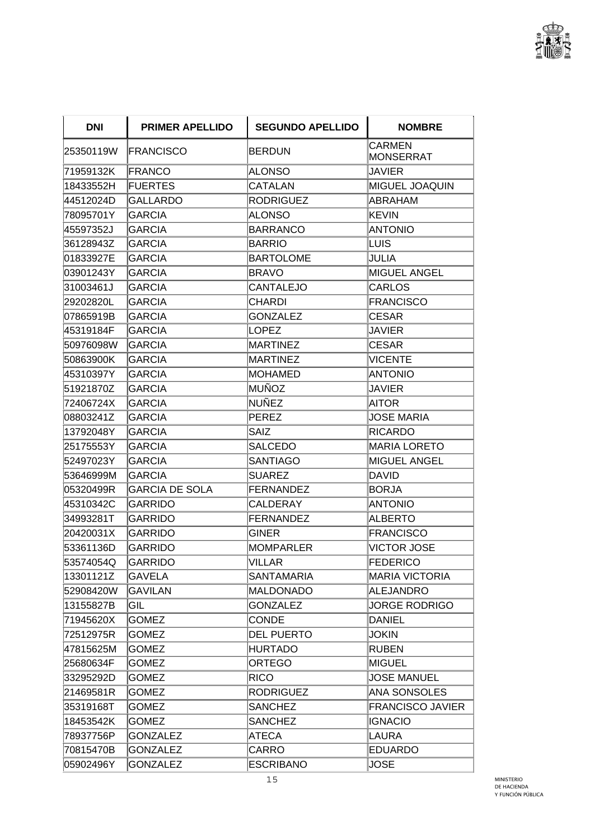

| <b>DNI</b> | <b>PRIMER APELLIDO</b> | <b>SEGUNDO APELLIDO</b> | <b>NOMBRE</b>                     |
|------------|------------------------|-------------------------|-----------------------------------|
| 25350119W  | <b>FRANCISCO</b>       | BERDUN                  | <b>CARMEN</b><br><b>MONSERRAT</b> |
| 71959132K  | <b>FRANCO</b>          | ALONSO                  | JAVIER                            |
| 18433552H  | <b>FUERTES</b>         | CATALAN                 | MIGUEL JOAQUIN                    |
| 44512024D  | <b>GALLARDO</b>        | <b>RODRIGUEZ</b>        | ABRAHAM                           |
| 78095701Y  | GARCIA                 | ALONSO                  | <b>KEVIN</b>                      |
| 45597352J  | <b>GARCIA</b>          | BARRANCO                | <b>ANTONIO</b>                    |
| 36128943Z  | GARCIA                 | BARRIO                  | LUIS                              |
| 01833927E  | <b>GARCIA</b>          | <b>BARTOLOME</b>        | JULIA                             |
| 03901243Y  | <b>GARCIA</b>          | <b>BRAVO</b>            | <b>MIGUEL ANGEL</b>               |
| 31003461J  | GARCIA                 | <b>CANTALEJO</b>        | CARLOS                            |
| 29202820L  | <b>GARCIA</b>          | CHARDI                  | <b>FRANCISCO</b>                  |
| 07865919B  | GARCIA                 | <b>GONZALEZ</b>         | CESAR                             |
| 45319184F  | <b>GARCIA</b>          | LOPEZ                   | JAVIER                            |
| 50976098W  | <b>GARCIA</b>          | MARTINEZ                | CESAR                             |
| 50863900K  | <b>GARCIA</b>          | <b>MARTINEZ</b>         | <b>VICENTE</b>                    |
| 45310397Y  | <b>GARCIA</b>          | <b>MOHAMED</b>          | <b>ANTONIO</b>                    |
| 51921870Z  | GARCIA                 | MUÑOZ                   | JAVIER                            |
| 72406724X  | <b>GARCIA</b>          | NUÑEZ                   | <b>AITOR</b>                      |
| 08803241Z  | <b>GARCIA</b>          | <b>PEREZ</b>            | <b>JOSE MARIA</b>                 |
| 13792048Y  | <b>GARCIA</b>          | SAIZ                    | <b>RICARDO</b>                    |
| 25175553Y  | <b>GARCIA</b>          | SALCEDO                 | <b>MARIA LORETO</b>               |
| 52497023Y  | <b>GARCIA</b>          | <b>SANTIAGO</b>         | <b>MIGUEL ANGEL</b>               |
| 53646999M  | <b>GARCIA</b>          | <b>SUAREZ</b>           | <b>DAVID</b>                      |
| 05320499R  | GARCIA DE SOLA         | FERNANDEZ               | <b>BORJA</b>                      |
| 45310342C  | <b>GARRIDO</b>         | CALDERAY                | <b>ANTONIO</b>                    |
| 34993281T  | GARRIDO                | <b>FERNANDEZ</b>        | <b>ALBERTO</b>                    |
| 20420031X  | <b>GARRIDO</b>         | <b>GINER</b>            | FRANCISCO                         |
| 53361136D  | GARRIDO                | <b>MOMPARLER</b>        | VICTOR JOSE                       |
| 53574054Q  | <b>GARRIDO</b>         | VILLAR                  | <b>FEDERICO</b>                   |
| 13301121Z  | <b>GAVELA</b>          | <b>SANTAMARIA</b>       | <b>MARIA VICTORIA</b>             |
| 52908420W  | <b>GAVILAN</b>         | MALDONADO               | <b>ALEJANDRO</b>                  |
| 13155827B  | GIL                    | <b>GONZALEZ</b>         | <b>JORGE RODRIGO</b>              |
| 71945620X  | <b>GOMEZ</b>           | <b>CONDE</b>            | <b>DANIEL</b>                     |
| 72512975R  | <b>GOMEZ</b>           | <b>DEL PUERTO</b>       | JOKIN                             |
| 47815625M  | <b>GOMEZ</b>           | <b>HURTADO</b>          | RUBEN                             |
| 25680634F  | GOMEZ                  | <b>ORTEGO</b>           | <b>MIGUEL</b>                     |
| 33295292D  | <b>GOMEZ</b>           | <b>RICO</b>             | <b>JOSE MANUEL</b>                |
| 21469581R  | GOMEZ                  | <b>RODRIGUEZ</b>        | ANA SONSOLES                      |
| 35319168T  | <b>GOMEZ</b>           | <b>SANCHEZ</b>          | <b>FRANCISCO JAVIER</b>           |
| 18453542K  | <b>GOMEZ</b>           | <b>SANCHEZ</b>          | <b>IGNACIO</b>                    |
| 78937756P  | GONZALEZ               | <b>ATECA</b>            | LAURA                             |
| 70815470B  | <b>GONZALEZ</b>        | CARRO                   | <b>EDUARDO</b>                    |
| 05902496Y  | <b>GONZALEZ</b>        | <b>ESCRIBANO</b>        | JOSE                              |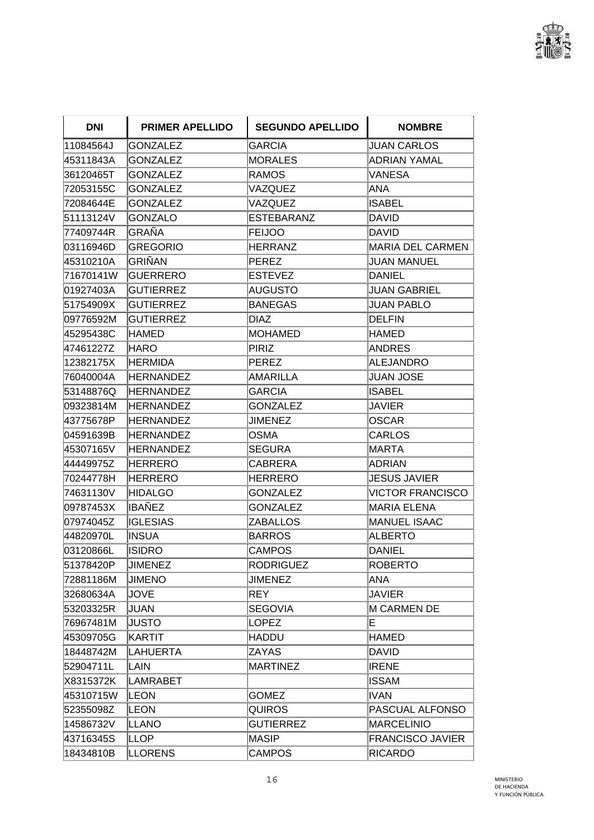

| <b>DNI</b> | <b>PRIMER APELLIDO</b> | <b>SEGUNDO APELLIDO</b> | <b>NOMBRE</b>           |
|------------|------------------------|-------------------------|-------------------------|
| 11084564J  | <b>GONZALEZ</b>        | <b>GARCIA</b>           | <b>JUAN CARLOS</b>      |
| 45311843A  | GONZALEZ               | MORALES                 | <b>ADRIAN YAMAL</b>     |
| 36120465T  | <b>GONZALEZ</b>        | RAMOS                   | VANESA                  |
| 72053155C  | GONZALEZ               | VAZQUEZ                 | <b>ANA</b>              |
| 72084644E  | GONZALEZ               | VAZQUEZ                 | <b>ISABEL</b>           |
| 51113124V  | <b>GONZALO</b>         | ESTEBARANZ              | DAVID                   |
| 77409744R  | GRAÑA                  | FEIJOO                  | <b>DAVID</b>            |
| 03116946D  | <b>GREGORIO</b>        | <b>HERRANZ</b>          | <b>MARIA DEL CARMEN</b> |
| 45310210A  | <b>GRIÑAN</b>          | PEREZ                   | JUAN MANUEL             |
| 71670141W  | GUERRERO               | <b>ESTEVEZ</b>          | <b>DANIEL</b>           |
| 01927403A  | <b>GUTIERREZ</b>       | AUGUSTO                 | <b>JUAN GABRIEL</b>     |
| 51754909X  | GUTIERREZ              | BANEGAS                 | JUAN PABLO              |
| 09776592M  | <b>GUTIERREZ</b>       | <b>DIAZ</b>             | <b>DELFIN</b>           |
| 45295438C  | HAMED                  | MOHAMED                 | <b>HAMED</b>            |
| 47461227Z  | HARO                   | PIRIZ                   | <b>ANDRES</b>           |
| 12382175X  | HERMIDA                | PEREZ                   | <b>ALEJANDRO</b>        |
| 76040004A  | <b>HERNANDEZ</b>       | AMARILLA                | JUAN JOSE               |
| 53148876Q  | HERNANDEZ              | <b>GARCIA</b>           | <b>ISABEL</b>           |
| 09323814M  | <b>HERNANDEZ</b>       | <b>GONZALEZ</b>         | JAVIER                  |
| 43775678P  | <b>HERNANDEZ</b>       | <b>JIMENEZ</b>          | <b>OSCAR</b>            |
| 04591639B  | <b>HERNANDEZ</b>       | <b>OSMA</b>             | CARLOS                  |
| 45307165V  | <b>HERNANDEZ</b>       | <b>SEGURA</b>           | <b>MARTA</b>            |
| 44449975Z  | HERRERO                | CABRERA                 | <b>ADRIAN</b>           |
| 70244778H  | <b>HERRERO</b>         | HERRERO                 | <b>JESUS JAVIER</b>     |
| 74631130V  | <b>HIDALGO</b>         | <b>GONZALEZ</b>         | <b>VICTOR FRANCISCO</b> |
| 09787453X  | IBAÑEZ                 | <b>GONZALEZ</b>         | <b>MARIA ELENA</b>      |
| 07974045Z  | <b>IGLESIAS</b>        | <b>ZABALLOS</b>         | <b>MANUEL ISAAC</b>     |
| 44820970L  | <b>INSUA</b>           | BARROS                  | <b>ALBERTO</b>          |
| 03120866L  | <b>ISIDRO</b>          | <b>CAMPOS</b>           | DANIEL                  |
| 51378420P  | JIMENEZ                | <b>RODRIGUEZ</b>        | <b>ROBERTO</b>          |
| 72881186M  | <b>JIMENO</b>          | <b>JIMENEZ</b>          | <b>ANA</b>              |
| 32680634A  | <b>JOVE</b>            | <b>REY</b>              | <b>JAVIER</b>           |
| 53203325R  | JUAN                   | <b>SEGOVIA</b>          | <b>M CARMEN DE</b>      |
| 76967481M  | <b>JUSTO</b>           | <b>LOPEZ</b>            | E                       |
| 45309705G  | KARTIT                 | HADDU                   | <b>HAMED</b>            |
| 18448742M  | <b>LAHUERTA</b>        | <b>ZAYAS</b>            | DAVID                   |
| 52904711L  | LAIN                   | <b>MARTINEZ</b>         | <b>IRENE</b>            |
| X8315372K  | LAMRABET               |                         | <b>ISSAM</b>            |
| 45310715W  | LEON                   | <b>GOMEZ</b>            | <b>IVAN</b>             |
| 52355098Z  | <b>LEON</b>            | QUIROS                  | PASCUAL ALFONSO         |
| 14586732V  | <b>LLANO</b>           | <b>GUTIERREZ</b>        | <b>MARCELINIO</b>       |
| 43716345S  | LLOP                   | MASIP                   | <b>FRANCISCO JAVIER</b> |
| 18434810B  | <b>LLORENS</b>         | <b>CAMPOS</b>           | <b>RICARDO</b>          |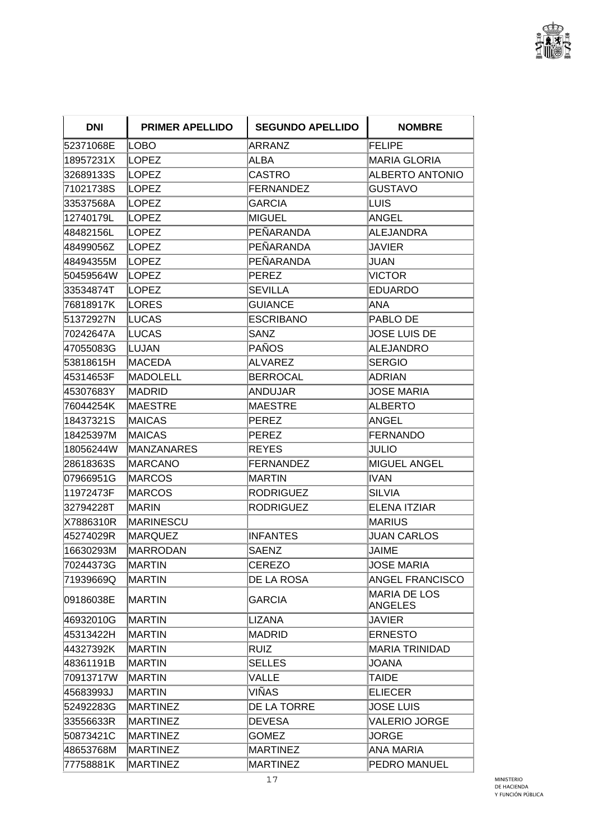

| <b>DNI</b> | <b>PRIMER APELLIDO</b> | <b>SEGUNDO APELLIDO</b> | <b>NOMBRE</b>                         |
|------------|------------------------|-------------------------|---------------------------------------|
| 52371068E  | LOBO                   | ARRANZ                  | <b>FELIPE</b>                         |
| 18957231X  | LOPEZ                  | ALBA                    | <b>MARIA GLORIA</b>                   |
| 32689133S  | <b>LOPEZ</b>           | <b>CASTRO</b>           | <b>ALBERTO ANTONIO</b>                |
| 71021738S  | <b>LOPEZ</b>           | <b>FERNANDEZ</b>        | <b>GUSTAVO</b>                        |
| 33537568A  | LOPEZ                  | <b>GARCIA</b>           | LUIS                                  |
| 12740179L  | <b>LOPEZ</b>           | MIGUEL                  | ANGEL                                 |
| 48482156L  | <b>LOPEZ</b>           | PEÑARANDA               | <b>ALEJANDRA</b>                      |
| 48499056Z  | LOPEZ                  | PEÑARANDA               | <b>JAVIER</b>                         |
| 48494355M  | LOPEZ                  | PEÑARANDA               | JUAN                                  |
| 50459564W  | <b>LOPEZ</b>           | PEREZ                   | <b>VICTOR</b>                         |
| 33534874T  | <b>LOPEZ</b>           | <b>SEVILLA</b>          | <b>EDUARDO</b>                        |
| 76818917K  | LORES                  | <b>GUIANCE</b>          | ANA                                   |
| 51372927N  | LUCAS                  | <b>ESCRIBANO</b>        | PABLO DE                              |
| 70242647A  | LUCAS                  | SANZ                    | <b>JOSE LUIS DE</b>                   |
| 47055083G  | LUJAN                  | PAÑOS                   | <b>ALEJANDRO</b>                      |
| 53818615H  | MACEDA                 | ALVAREZ                 | <b>SERGIO</b>                         |
| 45314653F  | MADOLELL               | <b>BERROCAL</b>         | <b>ADRIAN</b>                         |
| 45307683Y  | MADRID                 | ANDUJAR                 | <b>JOSE MARIA</b>                     |
| 76044254K  | MAESTRE                | <b>MAESTRE</b>          | <b>ALBERTO</b>                        |
| 18437321S  | MAICAS                 | PEREZ                   | <b>ANGEL</b>                          |
| 18425397M  | <b>MAICAS</b>          | PEREZ                   | <b>FERNANDO</b>                       |
| 18056244W  | <b>MANZANARES</b>      | REYES                   | JULIO                                 |
| 28618363S  | <b>MARCANO</b>         | <b>FERNANDEZ</b>        | <b>MIGUEL ANGEL</b>                   |
| 07966951G  | MARCOS                 | MARTIN                  | <b>IVAN</b>                           |
| 11972473F  | <b>MARCOS</b>          | RODRIGUEZ               | <b>SILVIA</b>                         |
| 32794228T  | <b>MARIN</b>           | <b>RODRIGUEZ</b>        | <b>ELENA ITZIAR</b>                   |
| X7886310R  | MARINESCU              |                         | <b>MARIUS</b>                         |
| 45274029R  | MARQUEZ                | INFANTES                | <b>JUAN CARLOS</b>                    |
| 16630293M  | MARRODAN               | <b>SAENZ</b>            | <b>JAIME</b>                          |
| 70244373G  | <b>MARTIN</b>          | <b>CEREZO</b>           | <b>JOSE MARIA</b>                     |
| 71939669Q  | MARTIN                 | DE LA ROSA              | <b>ANGEL FRANCISCO</b>                |
| 09186038E  | <b>MARTIN</b>          | <b>GARCIA</b>           | <b>MARIA DE LOS</b><br><b>ANGELES</b> |
| 46932010G  | MARTIN                 | LIZANA                  | JAVIER                                |
| 45313422H  | MARTIN                 | MADRID                  | <b>ERNESTO</b>                        |
| 44327392K  | <b>MARTIN</b>          | RUIZ                    | <b>MARIA TRINIDAD</b>                 |
| 48361191B  | <b>IMARTIN</b>         | <b>SELLES</b>           | JOANA                                 |
| 70913717W  | MARTIN                 | <b>VALLE</b>            | TAIDE                                 |
| 45683993J  | MARTIN                 | VIÑAS                   | <b>ELIECER</b>                        |
| 52492283G  | MARTINEZ               | DE LA TORRE             | <b>JOSE LUIS</b>                      |
| 33556633R  | <b>MARTINEZ</b>        | DEVESA                  | <b>VALERIO JORGE</b>                  |
| 50873421C  | MARTINEZ               | <b>GOMEZ</b>            | <b>JORGE</b>                          |
| 48653768M  | MARTINEZ               | MARTINEZ                | <b>ANA MARIA</b>                      |
| 77758881K  | <b>MARTINEZ</b>        | <b>MARTINEZ</b>         | PEDRO MANUEL                          |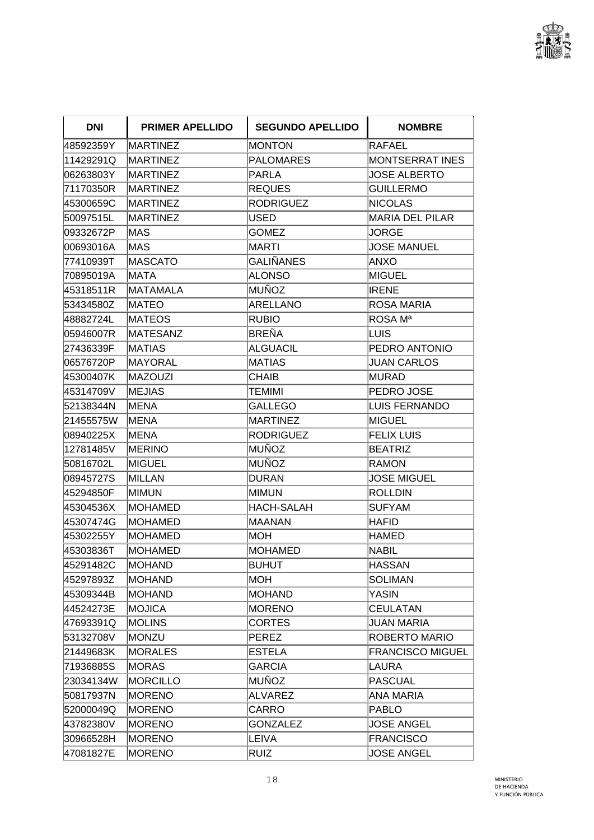

| <b>DNI</b> | <b>PRIMER APELLIDO</b> | <b>SEGUNDO APELLIDO</b> | <b>NOMBRE</b>           |
|------------|------------------------|-------------------------|-------------------------|
| 48592359Y  | <b>MARTINEZ</b>        | MONTON                  | RAFAEL                  |
| 11429291Q  | <b>MARTINEZ</b>        | PALOMARES               | <b>MONTSERRAT INES</b>  |
| 06263803Y  | <b>MARTINEZ</b>        | PARLA                   | <b>JOSE ALBERTO</b>     |
| 71170350R  | <b>MARTINEZ</b>        | REQUES                  | <b>GUILLERMO</b>        |
| 45300659C  | <b>MARTINEZ</b>        | <b>RODRIGUEZ</b>        | <b>NICOLAS</b>          |
| 50097515L  | <b>MARTINEZ</b>        | IUSED                   | MARIA DEL PILAR         |
| 09332672P  | MAS                    | <b>GOMEZ</b>            | JORGE                   |
| 00693016A  | lMAS                   | <b>MARTI</b>            | <b>JOSE MANUEL</b>      |
| 77410939T  | <b>MASCATO</b>         | <b>GALIÑANES</b>        | ANXO                    |
| 70895019A  | MATA                   | <b>ALONSO</b>           | <b>MIGUEL</b>           |
| 45318511R  | <b>MATAMALA</b>        | MUÑOZ                   | <b>IRENE</b>            |
| 53434580Z  | <b>MATEO</b>           | ARELLANO                | ROSA MARIA              |
| 48882724L  | <b>MATEOS</b>          | <b>RUBIO</b>            | ROSA M <sup>a</sup>     |
| 05946007R  | <b>MATESANZ</b>        | BREÑA                   | <b>LUIS</b>             |
| 27436339F  | <b>MATIAS</b>          | ALGUACIL                | PEDRO ANTONIO           |
| 06576720P  | <b>MAYORAL</b>         | MATIAS                  | JUAN CARLOS             |
| 45300407K  | <b>MAZOUZI</b>         | CHAIB                   | <b>MURAD</b>            |
| 45314709V  | IMEJIAS                | TEMIMI                  | PEDRO JOSE              |
| 52138344N  | <b>MENA</b>            | GALLEGO                 | <b>LUIS FERNANDO</b>    |
| 21455575W  | ∣MENA                  | MARTINEZ                | MIGUEL                  |
| 08940225X  | MENA                   | <b>RODRIGUEZ</b>        | <b>FELIX LUIS</b>       |
| 12781485V  | <b>MERINO</b>          | MUÑOZ                   | <b>BEATRIZ</b>          |
| 50816702L  | <b>MIGUEL</b>          | MUÑOZ                   | <b>RAMON</b>            |
| 08945727S  | <b>MILLAN</b>          | DURAN                   | <b>JOSE MIGUEL</b>      |
| 45294850F  | MIMUN                  | MIMUN                   | <b>ROLLDIN</b>          |
| 45304536X  | <b>MOHAMED</b>         | HACH-SALAH              | <b>SUFYAM</b>           |
| 45307474G  | <b>MOHAMED</b>         | MAANAN                  | <b>HAFID</b>            |
| 45302255Y  | <b>MOHAMED</b>         | MOH                     | HAMED                   |
| 45303836T  | <b>MOHAMED</b>         | MOHAMED                 | <b>NABIL</b>            |
| 45291482C  | MOHAND                 | <b>BUHUT</b>            | <b>HASSAN</b>           |
| 45297893Z  | MOHAND                 | MOH                     | <b>SOLIMAN</b>          |
| 45309344B  | MOHAND                 | MOHAND                  | YASIN                   |
| 44524273E  | <b>MOJICA</b>          | MORENO                  | <b>CEULATAN</b>         |
| 47693391Q  | <b>MOLINS</b>          | <b>CORTES</b>           | <b>JUAN MARIA</b>       |
| 53132708V  | <b>MONZU</b>           | PEREZ                   | ROBERTO MARIO           |
| 21449683K  | <b>MORALES</b>         | <b>ESTELA</b>           | <b>FRANCISCO MIGUEL</b> |
| 71936885S  | <b>MORAS</b>           | <b>GARCIA</b>           | LAURA                   |
| 23034134W  | <b>MORCILLO</b>        | MUÑOZ                   | <b>PASCUAL</b>          |
| 50817937N  | <b>MORENO</b>          | <b>ALVAREZ</b>          | <b>ANA MARIA</b>        |
| 52000049Q  | <b>MORENO</b>          | <b>CARRO</b>            | <b>PABLO</b>            |
| 43782380V  | <b>MORENO</b>          | <b>GONZALEZ</b>         | <b>JOSE ANGEL</b>       |
| 30966528H  | <b>MORENO</b>          | LEIVA                   | <b>FRANCISCO</b>        |
| 47081827E  | <b>MORENO</b>          | RUIZ                    | <b>JOSE ANGEL</b>       |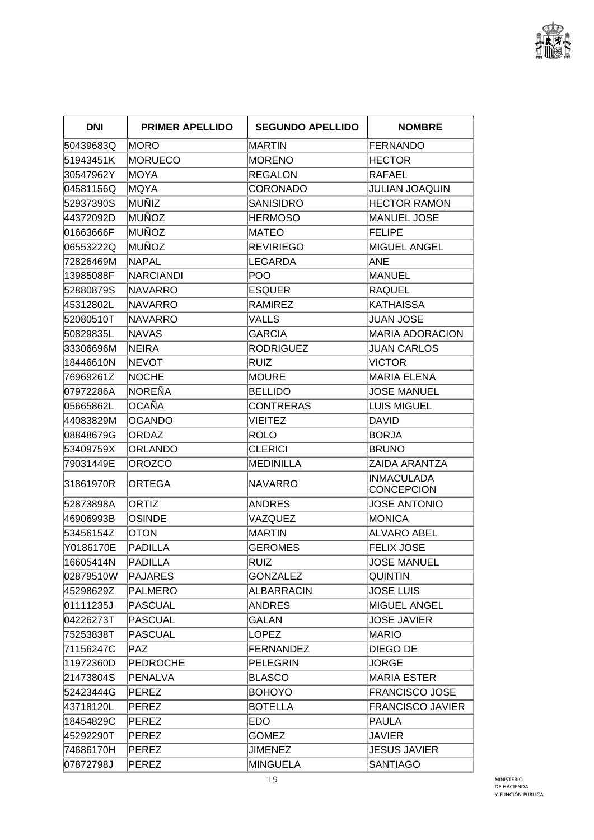

| <b>DNI</b> | <b>PRIMER APELLIDO</b> | <b>SEGUNDO APELLIDO</b> | <b>NOMBRE</b>                          |
|------------|------------------------|-------------------------|----------------------------------------|
| 50439683Q  | MORO                   | MARTIN                  | <b>FERNANDO</b>                        |
| 51943451K  | <b>MORUECO</b>         | <b>MORENO</b>           | <b>HECTOR</b>                          |
| 30547962Y  | MOYA                   | <b>REGALON</b>          | <b>RAFAEL</b>                          |
| 04581156Q  | ∣MQYA                  | CORONADO                | JULIAN JOAQUIN                         |
| 52937390S  | MUÑIZ                  | <b>SANISIDRO</b>        | <b>HECTOR RAMON</b>                    |
| 44372092D  | MUÑOZ                  | <b>HERMOSO</b>          | <b>MANUEL JOSE</b>                     |
| 01663666F  | MUÑOZ                  | MATEO                   | <b>FELIPE</b>                          |
| 06553222Q  | <b>IMUÑOZ</b>          | <b>REVIRIEGO</b>        | MIGUEL ANGEL                           |
| 72826469M  | <b>NAPAL</b>           | LEGARDA                 | ANE                                    |
| 13985088F  | <b>NARCIANDI</b>       | <b>POO</b>              | <b>MANUEL</b>                          |
| 52880879S  | INAVARRO               | <b>ESQUER</b>           | <b>RAQUEL</b>                          |
| 45312802L  | <b>NAVARRO</b>         | <b>RAMIREZ</b>          | KATHAISSA                              |
| 52080510T  | <b>NAVARRO</b>         | VALLS                   | <b>JUAN JOSE</b>                       |
| 50829835L  | INAVAS                 | GARCIA                  | <b>MARIA ADORACION</b>                 |
| 33306696M  | <b>NEIRA</b>           | <b>RODRIGUEZ</b>        | <b>JUAN CARLOS</b>                     |
| 18446610N  | <b>INEVOT</b>          | <b>RUIZ</b>             | <b>VICTOR</b>                          |
| 76969261Z  | <b>NOCHE</b>           | <b>MOURE</b>            | <b>MARIA ELENA</b>                     |
| 07972286A  | INOREÑA                | <b>BELLIDO</b>          | <b>JOSE MANUEL</b>                     |
| 05665862L  | <b>OCAÑA</b>           | <b>CONTRERAS</b>        | <b>LUIS MIGUEL</b>                     |
| 44083829M  | <b>OGANDO</b>          | <b>VIEITEZ</b>          | <b>DAVID</b>                           |
| 08848679G  | <b>ORDAZ</b>           | ROLO                    | <b>BORJA</b>                           |
| 53409759X  | ORLANDO                | <b>CLERICI</b>          | <b>BRUNO</b>                           |
| 79031449E  | <b>OROZCO</b>          | <b>MEDINILLA</b>        | ZAIDA ARANTZA                          |
| 31861970R  | ORTEGA                 | NAVARRO                 | <b>INMACULADA</b><br><b>CONCEPCION</b> |
| 52873898A  | ORTIZ                  | <b>ANDRES</b>           | <b>JOSE ANTONIO</b>                    |
| 46906993B  | <b>OSINDE</b>          | VAZQUEZ                 | <b>MONICA</b>                          |
| 53456154Z  | <b>OTON</b>            | MARTIN                  | <b>ALVARO ABEL</b>                     |
| Y0186170E  | <b>PADILLA</b>         | <b>GEROMES</b>          | <b>FELIX JOSE</b>                      |
| 16605414N  | <b>PADILLA</b>         | <b>RUIZ</b>             | <b>JOSE MANUEL</b>                     |
| 02879510W  | <b>PAJARES</b>         | <b>GONZALEZ</b>         | <b>QUINTIN</b>                         |
| 45298629Z  | <b>PALMERO</b>         | ALBARRACIN              | <b>JOSE LUIS</b>                       |
| 01111235J  | PASCUAL                | <b>ANDRES</b>           | MIGUEL ANGEL                           |
| 04226273T  | <b>PASCUAL</b>         | <b>GALAN</b>            | <b>JOSE JAVIER</b>                     |
| 75253838T  | <b>PASCUAL</b>         | <b>LOPEZ</b>            | <b>MARIO</b>                           |
| 71156247C  | PAZ.                   | <b>FERNANDEZ</b>        | DIEGO DE                               |
| 11972360D  | <b>PEDROCHE</b>        | PELEGRIN                | <b>JORGE</b>                           |
| 21473804S  | PENALVA                | <b>BLASCO</b>           | <b>MARIA ESTER</b>                     |
| 52423444G  | <b>PEREZ</b>           | <b>BOHOYO</b>           | <b>FRANCISCO JOSE</b>                  |
| 43718120L  | PEREZ                  | <b>BOTELLA</b>          | <b>FRANCISCO JAVIER</b>                |
| 18454829C  | PEREZ                  | <b>EDO</b>              | PAULA                                  |
| 45292290T  | <b>PEREZ</b>           | <b>GOMEZ</b>            | <b>JAVIER</b>                          |
| 74686170H  | PEREZ                  | <b>JIMENEZ</b>          | <b>JESUS JAVIER</b>                    |
| 07872798J  | PEREZ                  | <b>MINGUELA</b>         | <b>SANTIAGO</b>                        |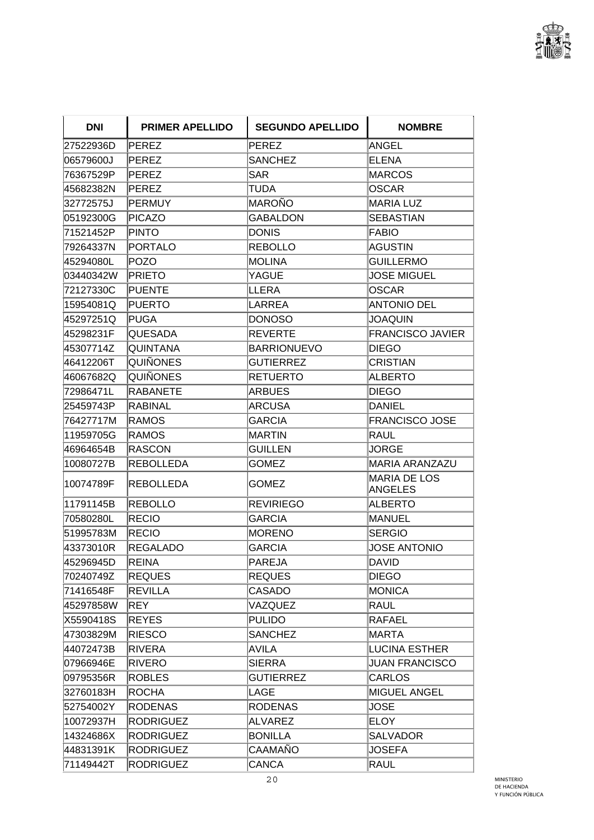

| <b>DNI</b> | <b>PRIMER APELLIDO</b> | <b>SEGUNDO APELLIDO</b> | <b>NOMBRE</b>                  |
|------------|------------------------|-------------------------|--------------------------------|
| 27522936D  | PEREZ                  | PEREZ                   | <b>ANGEL</b>                   |
| 06579600J  | <b>PEREZ</b>           | <b>SANCHEZ</b>          | <b>ELENA</b>                   |
| 76367529P  | <b>PEREZ</b>           | <b>SAR</b>              | <b>MARCOS</b>                  |
| 45682382N  | PEREZ                  | <b>TUDA</b>             | <b>OSCAR</b>                   |
| 32772575J  | <b>PERMUY</b>          | <b>MAROÑO</b>           | <b>MARIA LUZ</b>               |
| 05192300G  | PICAZO                 | <b>GABALDON</b>         | <b>SEBASTIAN</b>               |
| 71521452P  | <b>PINTO</b>           | <b>DONIS</b>            | <b>FABIO</b>                   |
| 79264337N  | <b>PORTALO</b>         | <b>REBOLLO</b>          | <b>AGUSTIN</b>                 |
| 45294080L  | POZO                   | <b>MOLINA</b>           | <b>GUILLERMO</b>               |
| 03440342W  | <b>PRIETO</b>          | YAGUE                   | <b>JOSE MIGUEL</b>             |
| 72127330C  | <b>PUENTE</b>          | LLERA                   | <b>OSCAR</b>                   |
| 15954081Q  | <b>PUERTO</b>          | <b>LARREA</b>           | <b>ANTONIO DEL</b>             |
| 45297251Q  | <b>PUGA</b>            | <b>DONOSO</b>           | <b>JOAQUIN</b>                 |
| 45298231F  | QUESADA                | <b>REVERTE</b>          | <b>FRANCISCO JAVIER</b>        |
| 45307714Z  | QUINTANA               | <b>BARRIONUEVO</b>      | <b>DIEGO</b>                   |
| 46412206T  | QUIÑONES               | <b>GUTIERREZ</b>        | <b>CRISTIAN</b>                |
| 46067682Q  | QUIÑONES               | <b>RETUERTO</b>         | <b>ALBERTO</b>                 |
| 72986471L  | <b>RABANETE</b>        | <b>ARBUES</b>           | <b>DIEGO</b>                   |
| 25459743P  | RABINAL                | <b>ARCUSA</b>           | <b>DANIEL</b>                  |
| 76427717M  | <b>RAMOS</b>           | <b>GARCIA</b>           | FRANCISCO JOSE                 |
| 11959705G  | <b>RAMOS</b>           | MARTIN                  | <b>RAUL</b>                    |
| 46964654B  | <b>RASCON</b>          | GUILLEN                 | JORGE                          |
| 10080727B  | <b>REBOLLEDA</b>       | <b>GOMEZ</b>            | <b>MARIA ARANZAZU</b>          |
| 10074789F  | <b>REBOLLEDA</b>       | <b>GOMEZ</b>            | <b>MARIA DE LOS</b><br>ANGELES |
| 11791145B  | <b>REBOLLO</b>         | <b>REVIRIEGO</b>        | <b>ALBERTO</b>                 |
| 70580280L  | RECIO                  | <b>GARCIA</b>           | <b>MANUEL</b>                  |
| 51995783M  | <b>RECIO</b>           | <b>MORENO</b>           | <b>SERGIO</b>                  |
| 43373010R  | <b>REGALADO</b>        | <b>GARCIA</b>           | <b>JOSE ANTONIO</b>            |
| 45296945D  | REINA                  | PAREJA                  | <b>DAVID</b>                   |
| 70240749Z  | <b>REQUES</b>          | <b>REQUES</b>           | <b>DIEGO</b>                   |
| 71416548F  | <b>REVILLA</b>         | CASADO                  | <b>MONICA</b>                  |
| 45297858W  | REY                    | VAZQUEZ                 | RAUL                           |
| X5590418S  | <b>REYES</b>           | <b>PULIDO</b>           | <b>RAFAEL</b>                  |
| 47303829M  | <b>RIESCO</b>          | <b>SANCHEZ</b>          | MARTA                          |
| 44072473B  | <b>RIVERA</b>          | <b>AVILA</b>            | <b>LUCINA ESTHER</b>           |
| 07966946E  | <b>RIVERO</b>          | <b>SIERRA</b>           | <b>JUAN FRANCISCO</b>          |
| 09795356R  | <b>ROBLES</b>          | <b>GUTIERREZ</b>        | <b>CARLOS</b>                  |
| 32760183H  | <b>ROCHA</b>           | LAGE                    | <b>MIGUEL ANGEL</b>            |
| 52754002Y  | <b>RODENAS</b>         | <b>RODENAS</b>          | <b>JOSE</b>                    |
| 10072937H  | <b>RODRIGUEZ</b>       | <b>ALVAREZ</b>          | <b>ELOY</b>                    |
| 14324686X  | <b>RODRIGUEZ</b>       | <b>BONILLA</b>          | <b>SALVADOR</b>                |
| 44831391K  | <b>RODRIGUEZ</b>       | CAAMAÑO                 | <b>JOSEFA</b>                  |
| 71149442T  | <b>RODRIGUEZ</b>       | CANCA                   | <b>RAUL</b>                    |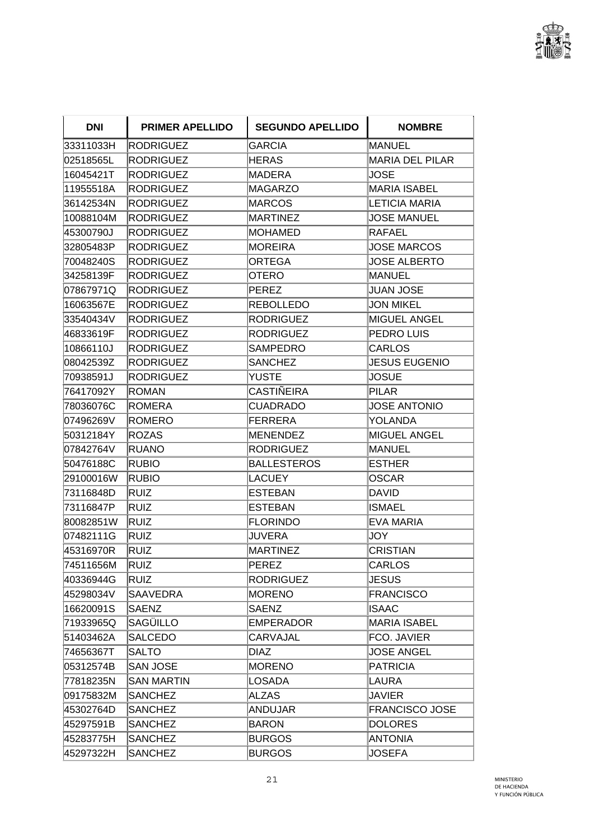

| <b>DNI</b> | <b>PRIMER APELLIDO</b> | <b>SEGUNDO APELLIDO</b> | <b>NOMBRE</b>          |
|------------|------------------------|-------------------------|------------------------|
| 33311033H  | RODRIGUEZ              | <b>GARCIA</b>           | <b>MANUEL</b>          |
| 02518565L  | <b>RODRIGUEZ</b>       | HERAS                   | <b>MARIA DEL PILAR</b> |
| 16045421T  | <b>RODRIGUEZ</b>       | MADERA                  | JOSE                   |
| 11955518A  | <b>RODRIGUEZ</b>       | <b>MAGARZO</b>          | <b>MARIA ISABEL</b>    |
| 36142534N  | <b>RODRIGUEZ</b>       | MARCOS                  | <b>LETICIA MARIA</b>   |
| 10088104M  | <b>RODRIGUEZ</b>       | <b>MARTINEZ</b>         | <b>JOSE MANUEL</b>     |
| 45300790J  | <b>RODRIGUEZ</b>       | <b>MOHAMED</b>          | <b>RAFAEL</b>          |
| 32805483P  | <b>RODRIGUEZ</b>       | <b>MOREIRA</b>          | <b>JOSE MARCOS</b>     |
| 70048240S  | <b>RODRIGUEZ</b>       | ORTEGA                  | <b>JOSE ALBERTO</b>    |
| 34258139F  | <b>RODRIGUEZ</b>       | OTERO                   | <b>MANUEL</b>          |
| 07867971Q  | RODRIGUEZ              | PEREZ                   | JUAN JOSE              |
| 16063567E  | <b>RODRIGUEZ</b>       | <b>REBOLLEDO</b>        | <b>JON MIKEL</b>       |
| 33540434V  | <b>RODRIGUEZ</b>       | <b>RODRIGUEZ</b>        | <b>MIGUEL ANGEL</b>    |
| 46833619F  | <b>RODRIGUEZ</b>       | <b>RODRIGUEZ</b>        | PEDRO LUIS             |
| 10866110J  | <b>RODRIGUEZ</b>       | SAMPEDRO                | <b>CARLOS</b>          |
| 08042539Z  | <b>RODRIGUEZ</b>       | <b>SANCHEZ</b>          | <b>JESUS EUGENIO</b>   |
| 70938591J  | <b>RODRIGUEZ</b>       | <b>YUSTE</b>            | <b>JOSUE</b>           |
| 76417092Y  | ROMAN                  | CASTIÑEIRA              | <b>PILAR</b>           |
| 78036076C  | <b>ROMERA</b>          | CUADRADO                | <b>JOSE ANTONIO</b>    |
| 07496269V  | <b>ROMERO</b>          | <b>FERRERA</b>          | <b>YOLANDA</b>         |
| 50312184Y  | <b>ROZAS</b>           | MENENDEZ                | <b>MIGUEL ANGEL</b>    |
| 07842764V  | <b>RUANO</b>           | <b>RODRIGUEZ</b>        | <b>MANUEL</b>          |
| 50476188C  | RUBIO                  | <b>BALLESTEROS</b>      | <b>ESTHER</b>          |
| 29100016W  | <b>RUBIO</b>           | LACUEY                  | <b>OSCAR</b>           |
| 73116848D  | Ruiz                   | <b>ESTEBAN</b>          | <b>DAVID</b>           |
| 73116847P  | RUIZ                   | <b>ESTEBAN</b>          | <b>ISMAEL</b>          |
| 80082851W  | RUIZ                   | <b>FLORINDO</b>         | <b>EVA MARIA</b>       |
| 07482111G  | RUIZ                   | JUVERA                  | JOY                    |
| 45316970R  | RUIZ                   | MARTINEZ                | <b>CRISTIAN</b>        |
| 74511656M  | RUIZ                   | <b>PEREZ</b>            | <b>CARLOS</b>          |
| 40336944G  | <b>RUIZ</b>            | <b>RODRIGUEZ</b>        | <b>JESUS</b>           |
| 45298034V  | <b>SAAVEDRA</b>        | <b>MORENO</b>           | <b>FRANCISCO</b>       |
| 16620091S  | <b>SAENZ</b>           | <b>SAENZ</b>            | <b>ISAAC</b>           |
| 71933965Q  | SAGÜILLO               | <b>EMPERADOR</b>        | <b>MARIA ISABEL</b>    |
| 51403462A  | <b>SALCEDO</b>         | CARVAJAL                | FCO. JAVIER            |
| 74656367T  | <b>SALTO</b>           | DIAZ                    | <b>JOSE ANGEL</b>      |
| 05312574B  | <b>SAN JOSE</b>        | <b>MORENO</b>           | <b>PATRICIA</b>        |
| 77818235N  | <b>SAN MARTIN</b>      | <b>LOSADA</b>           | <b>LAURA</b>           |
| 09175832M  | <b>SANCHEZ</b>         | <b>ALZAS</b>            | <b>JAVIER</b>          |
| 45302764D  | <b>SANCHEZ</b>         | <b>ANDUJAR</b>          | <b>FRANCISCO JOSE</b>  |
| 45297591B  | <b>SANCHEZ</b>         | <b>BARON</b>            | <b>DOLORES</b>         |
| 45283775H  | <b>SANCHEZ</b>         | <b>BURGOS</b>           | <b>ANTONIA</b>         |
| 45297322H  | <b>SANCHEZ</b>         | <b>BURGOS</b>           | JOSEFA                 |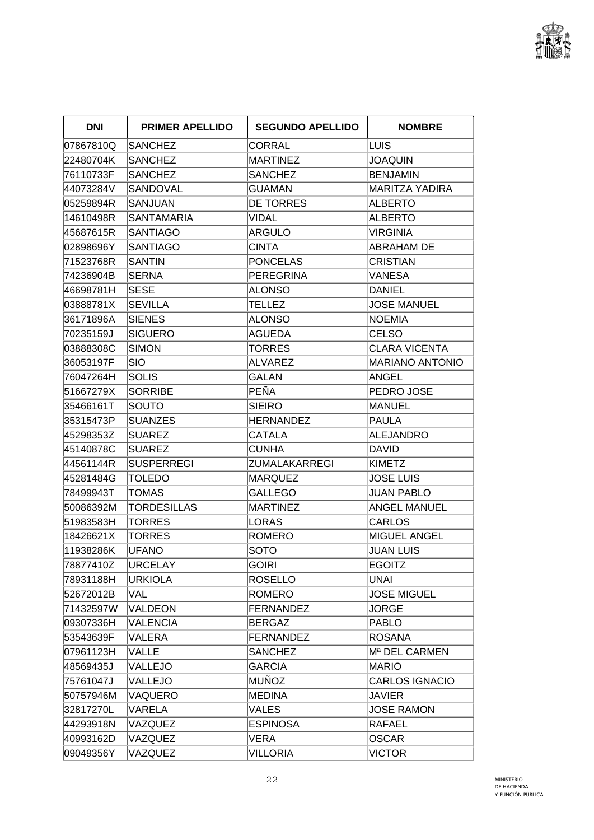

| <b>DNI</b> | <b>PRIMER APELLIDO</b> | <b>SEGUNDO APELLIDO</b> | <b>NOMBRE</b>             |
|------------|------------------------|-------------------------|---------------------------|
| 07867810Q  | <b>SANCHEZ</b>         | CORRAL                  | <b>LUIS</b>               |
| 22480704K  | SANCHEZ                | MARTINEZ                | JOAQUIN                   |
| 76110733F  | SANCHEZ                | <b>SANCHEZ</b>          | <b>BENJAMIN</b>           |
| 44073284V  | SANDOVAL               | GUAMAN                  | MARITZA YADIRA            |
| 05259894R  | SANJUAN                | <b>DE TORRES</b>        | <b>ALBERTO</b>            |
| 14610498R  | <b>SANTAMARIA</b>      | <b>VIDAL</b>            | <b>ALBERTO</b>            |
| 45687615R  | <b>SANTIAGO</b>        | ARGULO                  | VIRGINIA                  |
| 02898696Y  | <b>SANTIAGO</b>        | <b>CINTA</b>            | ABRAHAM DE                |
| 71523768R  | SANTIN                 | PONCELAS                | CRISTIAN                  |
| 74236904B  | <b>SERNA</b>           | PEREGRINA               | VANESA                    |
| 46698781H  | SESE                   | ALONSO                  | DANIEL                    |
| 03888781X  | <b>SEVILLA</b>         | TELLEZ                  | <b>JOSE MANUEL</b>        |
| 36171896A  | <b>SIENES</b>          | <b>ALONSO</b>           | <b>NOEMIA</b>             |
| 70235159J  | <b>SIGUERO</b>         | <b>AGUEDA</b>           | CELSO                     |
| 03888308C  | <b>SIMON</b>           | <b>TORRES</b>           | <b>CLARA VICENTA</b>      |
| 36053197F  | SIO                    | ALVAREZ                 | <b>MARIANO ANTONIO</b>    |
| 76047264H  | <b>SOLIS</b>           | GALAN                   | ANGEL                     |
| 51667279X  | <b>SORRIBE</b>         | PEÑA                    | PEDRO JOSE                |
| 35466161T  | SOUTO                  | SIEIRO                  | <b>MANUEL</b>             |
| 35315473P  | <b>SUANZES</b>         | <b>HERNANDEZ</b>        | <b>PAULA</b>              |
| 45298353Z  | SUAREZ                 | CATALA                  | <b>ALEJANDRO</b>          |
| 45140878C  | SUAREZ                 | <b>CUNHA</b>            | DAVID                     |
| 44561144R  | <b>SUSPERREGI</b>      | ZUMALAKARREGI           | <b>KIMETZ</b>             |
| 45281484G  | <b>TOLEDO</b>          | MARQUEZ                 | JOSE LUIS                 |
| 78499943T  | <b>TOMAS</b>           | <b>GALLEGO</b>          | <b>JUAN PABLO</b>         |
| 50086392M  | TORDESILLAS            | <b>MARTINEZ</b>         | <b>ANGEL MANUEL</b>       |
| 51983583H  | <b>TORRES</b>          | LORAS                   | CARLOS                    |
| 18426621X  | TORRES                 | ROMERO                  | <b>MIGUEL ANGEL</b>       |
| 11938286K  | <b>UFANO</b>           | <b>SOTO</b>             | <b>JUAN LUIS</b>          |
| 78877410Z  | <b>URCELAY</b>         | <b>GOIRI</b>            | <b>EGOITZ</b>             |
| 78931188H  | <b>URKIOLA</b>         | <b>ROSELLO</b>          | <b>UNAI</b>               |
| 52672012B  | VAL                    | ROMERO                  | <b>JOSE MIGUEL</b>        |
| 71432597W  | VALDEON                | <b>FERNANDEZ</b>        | JORGE                     |
| 09307336H  | <b>VALENCIA</b>        | <b>BERGAZ</b>           | <b>PABLO</b>              |
| 53543639F  | VALERA                 | <b>FERNANDEZ</b>        | <b>ROSANA</b>             |
| 07961123H  | VALLE                  | <b>SANCHEZ</b>          | M <sup>a</sup> DEL CARMEN |
| 48569435J  | VALLEJO                | <b>GARCIA</b>           | <b>MARIO</b>              |
| 75761047J  | VALLEJO                | MUÑOZ                   | <b>CARLOS IGNACIO</b>     |
| 50757946M  | VAQUERO                | <b>MEDINA</b>           | <b>JAVIER</b>             |
| 32817270L  | VARELA                 | VALES                   | JOSE RAMON                |
| 44293918N  | VAZQUEZ                | <b>ESPINOSA</b>         | RAFAEL                    |
| 40993162D  | VAZQUEZ                | <b>VERA</b>             | <b>OSCAR</b>              |
| 09049356Y  | VAZQUEZ                | <b>VILLORIA</b>         | <b>VICTOR</b>             |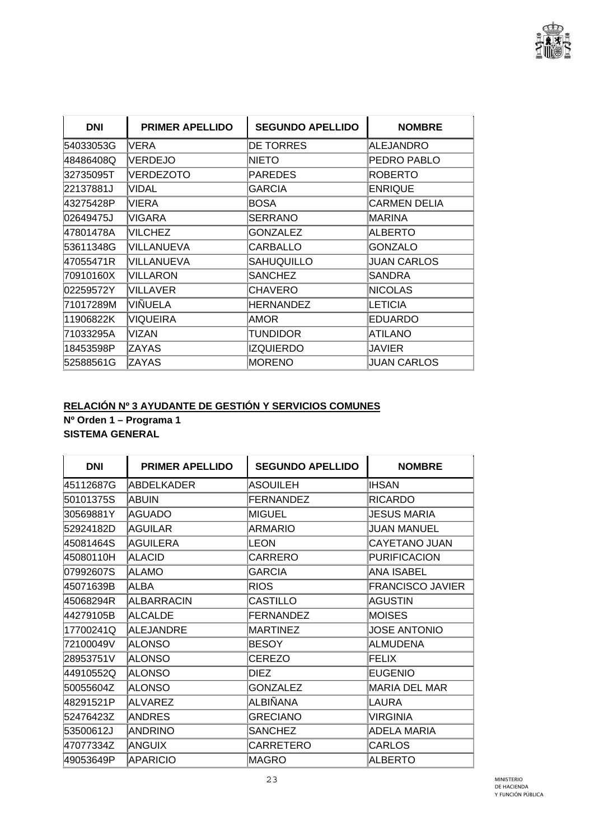

| <b>DNI</b> | <b>PRIMER APELLIDO</b> | <b>SEGUNDO APELLIDO</b> | <b>NOMBRE</b>       |
|------------|------------------------|-------------------------|---------------------|
| 54033053G  | VERA                   | <b>DE TORRES</b>        | ALEJANDRO           |
| 48486408Q  | <b>VERDEJO</b>         | NIETO                   | PEDRO PABLO         |
| 32735095T  | VERDEZOTO              | <b>PAREDES</b>          | <b>ROBERTO</b>      |
| 22137881J  | VIDAL                  | GARCIA                  | <b>ENRIQUE</b>      |
| 43275428P  | <b>VIERA</b>           | <b>BOSA</b>             | <b>CARMEN DELIA</b> |
| 02649475J  | VIGARA                 | SERRANO                 | MARINA              |
| 47801478A  | VILCHEZ                | <b>GONZALEZ</b>         | <b>ALBERTO</b>      |
| 53611348G  | VILLANUEVA             | CARBALLO                | <b>GONZALO</b>      |
| 47055471R  | VILLANUEVA             | SAHUQUILLO              | <b>JUAN CARLOS</b>  |
| 70910160X  | VILLARON               | <b>SANCHEZ</b>          | SANDRA              |
| 02259572Y  | <b>VILLAVER</b>        | CHAVERO                 | <b>NICOLAS</b>      |
| 71017289M  | VIÑUELA                | <b>HERNANDEZ</b>        | <b>LETICIA</b>      |
| 11906822K  | VIQUEIRA               | AMOR                    | <b>EDUARDO</b>      |
| 71033295A  | VIZAN                  | Tundidor                | <b>ATILANO</b>      |
| 18453598P  | ZAYAS                  | <b>IZQUIERDO</b>        | JAVIER              |
| 52588561G  | ZAYAS                  | <b>MORENO</b>           | <b>JUAN CARLOS</b>  |

# **RELACIÓN Nº 3 AYUDANTE DE GESTIÓN Y SERVICIOS COMUNES**

**Nº Orden 1 – Programa 1 SISTEMA GENERAL** 

| <b>DNI</b> | <b>PRIMER APELLIDO</b> | <b>SEGUNDO APELLIDO</b> | <b>NOMBRE</b>           |
|------------|------------------------|-------------------------|-------------------------|
| 45112687G  | ABDELKADER             | ASOUILEH                | <b>IHSAN</b>            |
| 50101375S  | IABUIN                 | <b>FERNANDEZ</b>        | <b>RICARDO</b>          |
| 30569881Y  | AGUADO                 | MIGUEL                  | <b>JESUS MARIA</b>      |
| 52924182D  | AGUILAR                | ARMARIO                 | <b>JUAN MANUEL</b>      |
| 45081464S  | <b>AGUILERA</b>        | <b>LEON</b>             | <b>CAYETANO JUAN</b>    |
| 45080110H  | <b>ALACID</b>          | CARRERO                 | <b>PURIFICACION</b>     |
| 07992607S  | <b>ALAMO</b>           | <b>GARCIA</b>           | <b>ANA ISABEL</b>       |
| 45071639B  | <b>ALBA</b>            | <b>RIOS</b>             | <b>FRANCISCO JAVIER</b> |
| 45068294R  | <b>ALBARRACIN</b>      | CASTILLO                | AGUSTIN                 |
| 44279105B  | <b>ALCALDE</b>         | <b>FERNANDEZ</b>        | <b>MOISES</b>           |
| 17700241Q  | ALEJANDRE              | <b>MARTINEZ</b>         | <b>JOSE ANTONIO</b>     |
| 72100049V  | <b>ALONSO</b>          | <b>BESOY</b>            | ALMUDENA                |
| 28953751V  | <b>ALONSO</b>          | CEREZO                  | FELIX                   |
| 44910552Q  | <b>ALONSO</b>          | DIEZ                    | <b>EUGENIO</b>          |
| 50055604Z  | ALONSO                 | <b>GONZALEZ</b>         | <b>MARIA DEL MAR</b>    |
| 48291521P  | ALVAREZ                | ALBIÑANA                | LAURA                   |
| 52476423Z  | <b>ANDRES</b>          | <b>GRECIANO</b>         | <b>VIRGINIA</b>         |
| 53500612J  | <b>ANDRINO</b>         | <b>SANCHEZ</b>          | ADELA MARIA             |
| 47077334Z  | <b>ANGUIX</b>          | CARRETERO               | CARLOS                  |
| 49053649P  | <b>APARICIO</b>        | IMAGRO                  | <b>ALBERTO</b>          |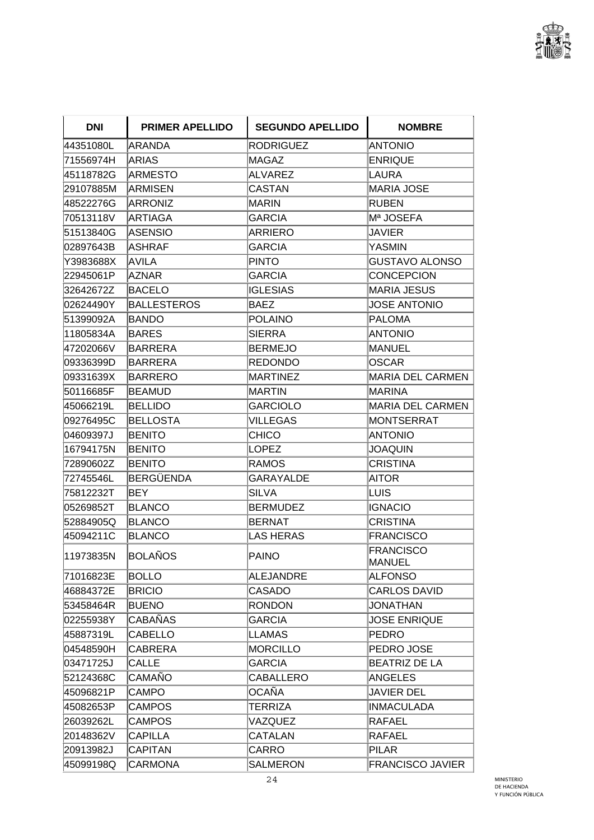

| <b>DNI</b> | <b>PRIMER APELLIDO</b> | <b>SEGUNDO APELLIDO</b> | <b>NOMBRE</b>                     |
|------------|------------------------|-------------------------|-----------------------------------|
| 44351080L  | <b>ARANDA</b>          | <b>RODRIGUEZ</b>        | <b>ANTONIO</b>                    |
| 71556974H  | ARIAS                  | MAGAZ                   | <b>ENRIQUE</b>                    |
| 45118782G  | <b>ARMESTO</b>         | <b>ALVAREZ</b>          | <b>LAURA</b>                      |
| 29107885M  | ARMISEN                | CASTAN                  | <b>MARIA JOSE</b>                 |
| 48522276G  | <b>ARRONIZ</b>         | MARIN                   | <b>RUBEN</b>                      |
| 70513118V  | ARTIAGA                | GARCIA                  | Mª JOSEFA                         |
| 51513840G  | <b>ASENSIO</b>         | <b>ARRIERO</b>          | JAVIER                            |
| 02897643B  | IASHRAF                | <b>GARCIA</b>           | <b>YASMIN</b>                     |
| Y3983688X  | AVILA                  | <b>PINTO</b>            | <b>GUSTAVO ALONSO</b>             |
| 22945061P  | <b>AZNAR</b>           | <b>GARCIA</b>           | <b>CONCEPCION</b>                 |
| 32642672Z  | BACELO                 | <b>IGLESIAS</b>         | <b>MARIA JESUS</b>                |
| 02624490Y  | <b>BALLESTEROS</b>     | BAEZ                    | <b>JOSE ANTONIO</b>               |
| 51399092A  | BANDO                  | <b>POLAINO</b>          | <b>PALOMA</b>                     |
| 11805834A  | <b>BARES</b>           | <b>SIERRA</b>           | <b>ANTONIO</b>                    |
| 47202066V  | BARRERA                | <b>BERMEJO</b>          | <b>MANUEL</b>                     |
| 09336399D  | <b>BARRERA</b>         | <b>REDONDO</b>          | <b>OSCAR</b>                      |
| 09331639X  | <b>BARRERO</b>         | <b>MARTINEZ</b>         | <b>MARIA DEL CARMEN</b>           |
| 50116685F  | IBEAMUD                | MARTIN                  | <b>MARINA</b>                     |
| 45066219L  | <b>BELLIDO</b>         | <b>GARCIOLO</b>         | <b>MARIA DEL CARMEN</b>           |
| 09276495C  | <b>BELLOSTA</b>        | <b>VILLEGAS</b>         | <b>MONTSERRAT</b>                 |
| 04609397J  | <b>BENITO</b>          | CHICO                   | <b>ANTONIO</b>                    |
| 16794175N  | <b>BENITO</b>          | <b>LOPEZ</b>            | <b>JOAQUIN</b>                    |
| 72890602Z  | <b>BENITO</b>          | <b>RAMOS</b>            | <b>CRISTINA</b>                   |
| 72745546L  | <b>BERGÜENDA</b>       | <b>GARAYALDE</b>        | AITOR                             |
| 75812232T  | BEY                    | <b>SILVA</b>            | LUIS                              |
| 05269852T  | <b>BLANCO</b>          | <b>BERMUDEZ</b>         | <b>IGNACIO</b>                    |
| 52884905Q  | <b>BLANCO</b>          | <b>BERNAT</b>           | <b>CRISTINA</b>                   |
| 45094211C  | <b>BLANCO</b>          | <b>LAS HERAS</b>        | <b>FRANCISCO</b>                  |
| 11973835N  | BOLAÑOS                | PAINO                   | <b>FRANCISCO</b><br><b>MANUEL</b> |
| 71016823E  | <b>BOLLO</b>           | <b>ALEJANDRE</b>        | <b>ALFONSO</b>                    |
| 46884372E  | <b>BRICIO</b>          | CASADO                  | <b>CARLOS DAVID</b>               |
| 53458464R  | <b>BUENO</b>           | <b>RONDON</b>           | <b>JONATHAN</b>                   |
| 02255938Y  | <b>CABAÑAS</b>         | <b>GARCIA</b>           | <b>JOSE ENRIQUE</b>               |
| 45887319L  | <b>CABELLO</b>         | <b>LLAMAS</b>           | <b>PEDRO</b>                      |
| 04548590H  | CABRERA                | <b>MORCILLO</b>         | PEDRO JOSE                        |
| 03471725J  | <b>CALLE</b>           | <b>GARCIA</b>           | BEATRIZ DE LA                     |
| 52124368C  | <b>CAMAÑO</b>          | <b>CABALLERO</b>        | <b>ANGELES</b>                    |
| 45096821P  | <b>CAMPO</b>           | OCAÑA                   | <b>JAVIER DEL</b>                 |
| 45082653P  | <b>CAMPOS</b>          | <b>TERRIZA</b>          | <b>INMACULADA</b>                 |
| 26039262L  | <b>CAMPOS</b>          | VAZQUEZ                 | RAFAEL                            |
| 20148362V  | <b>CAPILLA</b>         | CATALAN                 | <b>RAFAEL</b>                     |
| 20913982J  | <b>CAPITAN</b>         | CARRO                   | <b>PILAR</b>                      |
| 45099198Q  | <b>CARMONA</b>         | <b>SALMERON</b>         | <b>FRANCISCO JAVIER</b>           |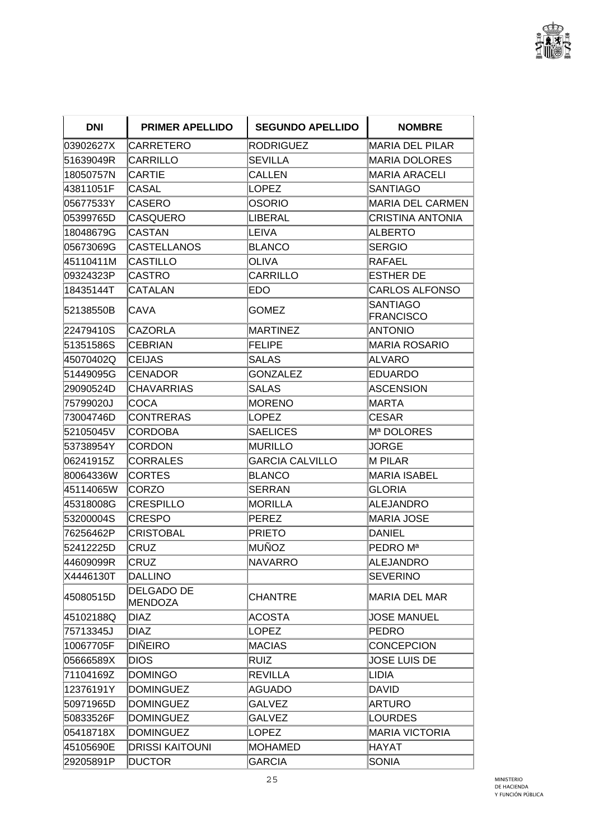

| <b>DNI</b> | <b>PRIMER APELLIDO</b>              | <b>SEGUNDO APELLIDO</b> | <b>NOMBRE</b>                       |
|------------|-------------------------------------|-------------------------|-------------------------------------|
| 03902627X  | CARRETERO                           | <b>RODRIGUEZ</b>        | MARIA DEL PILAR                     |
| 51639049R  | CARRILLO                            | <b>SEVILLA</b>          | <b>MARIA DOLORES</b>                |
| 18050757N  | <b>CARTIE</b>                       | <b>CALLEN</b>           | <b>MARIA ARACELI</b>                |
| 43811051F  | CASAL                               | <b>LOPEZ</b>            | <b>SANTIAGO</b>                     |
| 05677533Y  | CASERO                              | OSORIO                  | MARIA DEL CARMEN                    |
| 05399765D  | <b>CASQUERO</b>                     | LIBERAL                 | CRISTINA ANTONIA                    |
| 18048679G  | <b>CASTAN</b>                       | LEIVA                   | <b>ALBERTO</b>                      |
| 05673069G  | <b>CASTELLANOS</b>                  | <b>BLANCO</b>           | <b>SERGIO</b>                       |
| 45110411M  | CASTILLO                            | OLIVA                   | RAFAEL                              |
| 09324323P  | <b>CASTRO</b>                       | <b>CARRILLO</b>         | <b>ESTHER DE</b>                    |
| 18435144T  | <b>CATALAN</b>                      | EDO                     | CARLOS ALFONSO                      |
| 52138550B  | CAVA                                | GOMEZ                   | <b>SANTIAGO</b><br><b>FRANCISCO</b> |
| 22479410S  | <b>CAZORLA</b>                      | MARTINEZ                | <b>ANTONIO</b>                      |
| 51351586S  | <b>CEBRIAN</b>                      | <b>FELIPE</b>           | <b>MARIA ROSARIO</b>                |
| 45070402Q  | <b>ICEIJAS</b>                      | <b>SALAS</b>            | <b>ALVARO</b>                       |
| 51449095G  | <b>CENADOR</b>                      | <b>GONZALEZ</b>         | <b>EDUARDO</b>                      |
| 29090524D  | <b>CHAVARRIAS</b>                   | <b>SALAS</b>            | <b>ASCENSION</b>                    |
| 75799020J  | <b>COCA</b>                         | MORENO                  | <b>MARTA</b>                        |
| 73004746D  | <b>CONTRERAS</b>                    | <b>LOPEZ</b>            | <b>CESAR</b>                        |
| 52105045V  | <b>CORDOBA</b>                      | <b>SAELICES</b>         | Mª DOLORES                          |
| 53738954Y  | CORDON                              | <b>MURILLO</b>          | JORGE                               |
| 06241915Z  | <b>CORRALES</b>                     | <b>GARCIA CALVILLO</b>  | <b>M PILAR</b>                      |
| 80064336W  | <b>CORTES</b>                       | BLANCO                  | <b>MARIA ISABEL</b>                 |
| 45114065W  | CORZO                               | <b>SERRAN</b>           | <b>GLORIA</b>                       |
| 45318008G  | <b>CRESPILLO</b>                    | MORILLA                 | <b>ALEJANDRO</b>                    |
| 53200004S  | <b>CRESPO</b>                       | PEREZ                   | <b>MARIA JOSE</b>                   |
| 76256462P  | <b>CRISTOBAL</b>                    | <b>PRIETO</b>           | <b>DANIEL</b>                       |
| 52412225D  | CRUZ                                | MUÑOZ                   | PEDRO M <sup>a</sup>                |
| 44609099R  | <b>CRUZ</b>                         | NAVARRO                 | <b>ALEJANDRO</b>                    |
| X4446130T  | <b>DALLINO</b>                      |                         | <b>SEVERINO</b>                     |
| 45080515D  | <b>DELGADO DE</b><br><b>MENDOZA</b> | <b>CHANTRE</b>          | <b>MARIA DEL MAR</b>                |
| 45102188Q  | <b>DIAZ</b>                         | <b>ACOSTA</b>           | <b>JOSE MANUEL</b>                  |
| 75713345J  | <b>DIAZ</b>                         | <b>LOPEZ</b>            | <b>PEDRO</b>                        |
| 10067705F  | <b>DIÑEIRO</b>                      | <b>MACIAS</b>           | <b>CONCEPCION</b>                   |
| 05666589X  | <b>DIOS</b>                         | <b>RUIZ</b>             | <b>JOSE LUIS DE</b>                 |
| 71104169Z  | <b>DOMINGO</b>                      | <b>REVILLA</b>          | LIDIA                               |
| 12376191Y  | <b>DOMINGUEZ</b>                    | <b>AGUADO</b>           | <b>DAVID</b>                        |
| 50971965D  | <b>DOMINGUEZ</b>                    | <b>GALVEZ</b>           | <b>ARTURO</b>                       |
| 50833526F  | <b>DOMINGUEZ</b>                    | <b>GALVEZ</b>           | <b>LOURDES</b>                      |
| 05418718X  | <b>DOMINGUEZ</b>                    | <b>LOPEZ</b>            | <b>MARIA VICTORIA</b>               |
| 45105690E  | <b>DRISSI KAITOUNI</b>              | MOHAMED                 | HAYAT                               |
| 29205891P  | <b>DUCTOR</b>                       | <b>GARCIA</b>           | <b>SONIA</b>                        |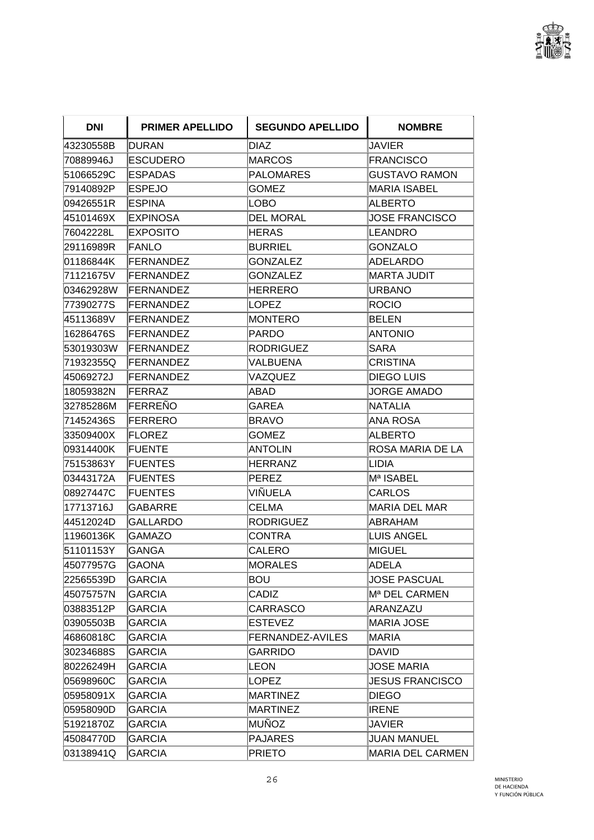

| <b>DNI</b> | <b>PRIMER APELLIDO</b> | <b>SEGUNDO APELLIDO</b> | <b>NOMBRE</b>             |
|------------|------------------------|-------------------------|---------------------------|
| 43230558B  | DURAN                  | <b>DIAZ</b>             | <b>JAVIER</b>             |
| 70889946J  | <b>ESCUDERO</b>        | MARCOS                  | <b>FRANCISCO</b>          |
| 51066529C  | <b>ESPADAS</b>         | <b>PALOMARES</b>        | <b>GUSTAVO RAMON</b>      |
| 79140892P  | <b>ESPEJO</b>          | GOMEZ                   | <b>MARIA ISABEL</b>       |
| 09426551R  | <b>ESPINA</b>          | LOBO                    | ALBERTO                   |
| 45101469X  | <b>EXPINOSA</b>        | DEL MORAL               | <b>JOSE FRANCISCO</b>     |
| 76042228L  | <b>EXPOSITO</b>        | HERAS                   | LEANDRO                   |
| 29116989R  | <b>FANLO</b>           | <b>BURRIEL</b>          | <b>GONZALO</b>            |
| 01186844K  | <b>FERNANDEZ</b>       | <b>GONZALEZ</b>         | ADELARDO                  |
| 71121675V  | FERNANDEZ              | <b>GONZALEZ</b>         | <b>MARTA JUDIT</b>        |
| 03462928W  | <b>IFERNANDEZ</b>      | HERRERO                 | <b>URBANO</b>             |
| 77390277S  | <b>FERNANDEZ</b>       | LOPEZ                   | <b>ROCIO</b>              |
| 45113689V  | FERNANDEZ              | <b>MONTERO</b>          | <b>BELEN</b>              |
| 16286476S  | <b>FERNANDEZ</b>       | PARDO                   | <b>ANTONIO</b>            |
| 53019303W  | <b>FERNANDEZ</b>       | <b>RODRIGUEZ</b>        | SARA                      |
| 71932355Q  | <b>FERNANDEZ</b>       | VALBUENA                | <b>CRISTINA</b>           |
| 45069272J  | <b>FERNANDEZ</b>       | VAZQUEZ                 | <b>DIEGO LUIS</b>         |
| 18059382N  | FERRAZ                 | ABAD                    | <b>JORGE AMADO</b>        |
| 32785286M  | <b>FERRENO</b>         | GAREA                   | <b>NATALIA</b>            |
| 71452436S  | FERRERO                | <b>BRAVO</b>            | <b>ANA ROSA</b>           |
| 33509400X  | <b>FLOREZ</b>          | <b>GOMEZ</b>            | ALBERTO                   |
| 09314400K  | <b>FUENTE</b>          | <b>ANTOLIN</b>          | ROSA MARIA DE LA          |
| 75153863Y  | <b>FUENTES</b>         | HERRANZ                 | LIDIA                     |
| 03443172A  | <b>FUENTES</b>         | PEREZ                   | Mª ISABEL                 |
| 08927447C  | <b>FUENTES</b>         | VIÑUELA                 | <b>CARLOS</b>             |
| 17713716J  | GABARRE                | <b>CELMA</b>            | <b>MARIA DEL MAR</b>      |
| 44512024D  | <b>GALLARDO</b>        | <b>RODRIGUEZ</b>        | ABRAHAM                   |
| 11960136K  | <b>GAMAZO</b>          | CONTRA                  | <b>LUIS ANGEL</b>         |
| 51101153Y  | <b>GANGA</b>           | CALERO                  | <b>MIGUEL</b>             |
| 45077957G  | <b>GAONA</b>           | MORALES                 | <b>ADELA</b>              |
| 22565539D  | <b>GARCIA</b>          | Bou                     | <b>JOSE PASCUAL</b>       |
| 45075757N  | <b>GARCIA</b>          | CADIZ                   | M <sup>a</sup> DEL CARMEN |
| 03883512P  | <b>GARCIA</b>          | CARRASCO                | ARANZAZU                  |
| 03905503B  | <b>GARCIA</b>          | <b>ESTEVEZ</b>          | MARIA JOSE                |
| 46860818C  | <b>GARCIA</b>          | <b>FERNANDEZ-AVILES</b> | MARIA                     |
| 30234688S  | GARCIA                 | GARRIDO                 | DAVID                     |
| 80226249H  | <b>GARCIA</b>          | LEON                    | <b>JOSE MARIA</b>         |
| 05698960C  | GARCIA                 | LOPEZ                   | <b>JESUS FRANCISCO</b>    |
| 05958091X  | <b>GARCIA</b>          | <b>MARTINEZ</b>         | <b>DIEGO</b>              |
| 05958090D  | GARCIA                 | MARTINEZ                | <b>IRENE</b>              |
| 51921870Z  | GARCIA                 | MUÑOZ                   | JAVIER                    |
| 45084770D  | <b>GARCIA</b>          | <b>PAJARES</b>          | JUAN MANUEL               |
| 03138941Q  | <b>GARCIA</b>          | <b>PRIETO</b>           | MARIA DEL CARMEN          |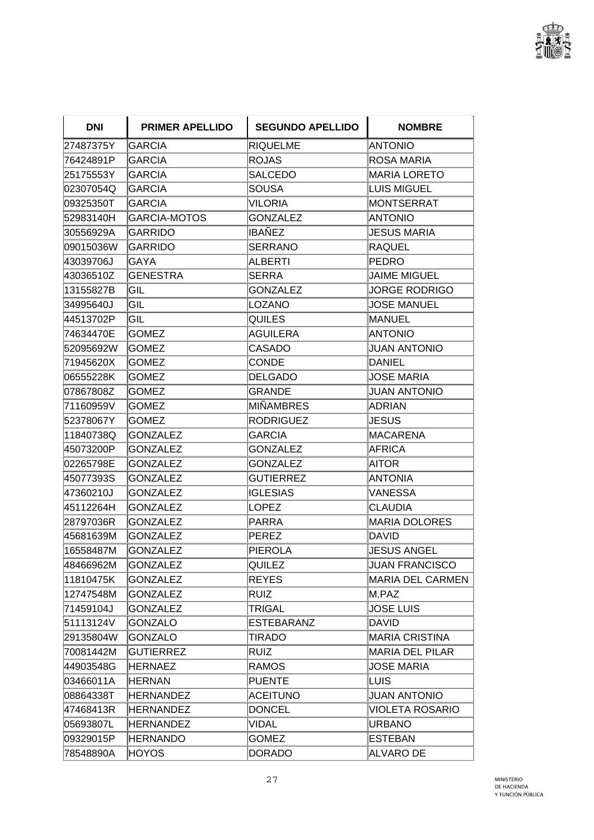

| <b>DNI</b> | <b>PRIMER APELLIDO</b> | <b>SEGUNDO APELLIDO</b> | <b>NOMBRE</b>           |
|------------|------------------------|-------------------------|-------------------------|
| 27487375Y  | <b>GARCIA</b>          | <b>RIQUELME</b>         | <b>ANTONIO</b>          |
| 76424891P  | GARCIA                 | <b>ROJAS</b>            | ROSA MARIA              |
| 25175553Y  | <b>GARCIA</b>          | <b>SALCEDO</b>          | <b>MARIA LORETO</b>     |
| 02307054Q  | GARCIA                 | SOUSA                   | <b>LUIS MIGUEL</b>      |
| 09325350T  | <b>GARCIA</b>          | <b>VILORIA</b>          | <b>MONTSERRAT</b>       |
| 52983140H  | <b>GARCIA-MOTOS</b>    | <b>GONZALEZ</b>         | <b>ANTONIO</b>          |
| 30556929A  | GARRIDO                | IBAÑEZ                  | <b>JESUS MARIA</b>      |
| 09015036W  | <b>GARRIDO</b>         | <b>SERRANO</b>          | <b>RAQUEL</b>           |
| 43039706J  | GAYA                   | ALBERTI                 | <b>PEDRO</b>            |
| 43036510Z  | <b>GENESTRA</b>        | <b>SERRA</b>            | <b>JAIME MIGUEL</b>     |
| 13155827B  | GIL                    | <b>GONZALEZ</b>         | JORGE RODRIGO           |
| 34995640J  | GIL                    | LOZANO                  | JOSE MANUEL             |
| 44513702P  | GIL                    | <b>QUILES</b>           | <b>MANUEL</b>           |
| 74634470E  | GOMEZ                  | <b>AGUILERA</b>         | <b>ANTONIO</b>          |
| 52095692W  | <b>GOMEZ</b>           | <b>CASADO</b>           | <b>JUAN ANTONIO</b>     |
| 71945620X  | GOMEZ                  | CONDE                   | <b>DANIEL</b>           |
| 06555228K  | <b>GOMEZ</b>           | <b>DELGADO</b>          | <b>JOSE MARIA</b>       |
| 07867808Z  | <b>GOMEZ</b>           | GRANDE                  | <b>JUAN ANTONIO</b>     |
| 71160959V  | GOMEZ                  | MIÑAMBRES               | <b>ADRIAN</b>           |
| 52378067Y  | <b>GOMEZ</b>           | <b>RODRIGUEZ</b>        | <b>JESUS</b>            |
| 11840738Q  | <b>GONZALEZ</b>        | <b>GARCIA</b>           | <b>MACARENA</b>         |
| 45073200P  | <b>GONZALEZ</b>        | <b>GONZALEZ</b>         | <b>AFRICA</b>           |
| 02265798E  | GONZALEZ               | <b>GONZALEZ</b>         | AITOR                   |
| 45077393S  | GONZALEZ               | <b>GUTIERREZ</b>        | ANTONIA                 |
| 47360210J  | <b>GONZALEZ</b>        | <b>IGLESIAS</b>         | VANESSA                 |
| 45112264H  | <b>GONZALEZ</b>        | LOPEZ                   | <b>CLAUDIA</b>          |
| 28797036R  | <b>GONZALEZ</b>        | <b>PARRA</b>            | <b>MARIA DOLORES</b>    |
| 45681639M  | <b>GONZALEZ</b>        | PEREZ                   | DAVID                   |
| 16558487M  | GONZALEZ               | PIEROLA                 | <b>JESUS ANGEL</b>      |
| 48466962M  | <b>GONZALEZ</b>        | QUILEZ                  | <b>JUAN FRANCISCO</b>   |
| 11810475K  | <b>GONZALEZ</b>        | <b>REYES</b>            | <b>MARIA DEL CARMEN</b> |
| 12747548M  | <b>GONZALEZ</b>        | <b>RUIZ</b>             | M.PAZ                   |
| 71459104J  | GONZALEZ               | <b>TRIGAL</b>           | <b>JOSE LUIS</b>        |
| 51113124V  | <b>GONZALO</b>         | <b>ESTEBARANZ</b>       | <b>DAVID</b>            |
| 29135804W  | <b>GONZALO</b>         | TIRADO                  | <b>MARIA CRISTINA</b>   |
| 70081442M  | <b>GUTIERREZ</b>       | <b>RUIZ</b>             | MARIA DEL PILAR         |
| 44903548G  | HERNAEZ                | <b>RAMOS</b>            | <b>JOSE MARIA</b>       |
| 03466011A  | <b>HERNAN</b>          | <b>PUENTE</b>           | <b>LUIS</b>             |
| 08864338T  | <b>HERNANDEZ</b>       | <b>ACEITUNO</b>         | <b>JUAN ANTONIO</b>     |
| 47468413R  | <b>HERNANDEZ</b>       | <b>DONCEL</b>           | <b>VIOLETA ROSARIO</b>  |
| 05693807L  | HERNANDEZ              | VIDAL                   | <b>URBANO</b>           |
| 09329015P  | HERNANDO               | <b>GOMEZ</b>            | <b>ESTEBAN</b>          |
| 78548890A  | <b>HOYOS</b>           | DORADO                  | ALVARO DE               |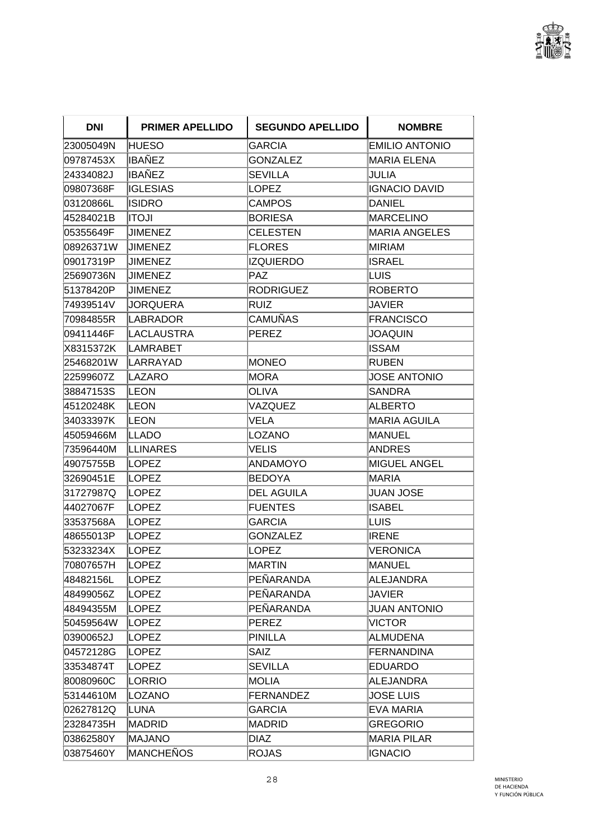

| <b>DNI</b> | <b>PRIMER APELLIDO</b> | <b>SEGUNDO APELLIDO</b> | <b>NOMBRE</b>         |
|------------|------------------------|-------------------------|-----------------------|
| 23005049N  | HUESO                  | <b>GARCIA</b>           | <b>EMILIO ANTONIO</b> |
| 09787453X  | <b>IBAÑEZ</b>          | <b>GONZALEZ</b>         | MARIA ELENA           |
| 24334082J  | IBAÑEZ                 | <b>SEVILLA</b>          | JULIA                 |
| 09807368F  | <b>IGLESIAS</b>        | LOPEZ                   | <b>IGNACIO DAVID</b>  |
| 03120866L  | <b>ISIDRO</b>          | <b>CAMPOS</b>           | <b>DANIEL</b>         |
| 45284021B  | <b>ILOTI</b>           | <b>BORIESA</b>          | <b>MARCELINO</b>      |
| 05355649F  | JIMENEZ                | <b>CELESTEN</b>         | <b>MARIA ANGELES</b>  |
| 08926371W  | <b>JIMENEZ</b>         | <b>FLORES</b>           | <b>MIRIAM</b>         |
| 09017319P  | JIMENEZ                | <b>IZQUIERDO</b>        | <b>ISRAEL</b>         |
| 25690736N  | JIMENEZ                | PAZ                     | LUIS                  |
| 51378420P  | <b>JIMENEZ</b>         | RODRIGUEZ               | <b>ROBERTO</b>        |
| 74939514V  | <b>JORQUERA</b>        | Ruiz                    | JAVIER                |
| 70984855R  | <b>LABRADOR</b>        | CAMUÑAS                 | <b>FRANCISCO</b>      |
| 09411446F  | <b>LACLAUSTRA</b>      | <b>PEREZ</b>            | <b>JOAQUIN</b>        |
| X8315372K  | LAMRABET               |                         | <b>ISSAM</b>          |
| 25468201W  | LARRAYAD               | <b>IMONEO</b>           | <b>RUBEN</b>          |
| 22599607Z  | LAZARO                 | MORA                    | <b>JOSE ANTONIO</b>   |
| 38847153S  | LEON                   | <b>OLIVA</b>            | <b>SANDRA</b>         |
| 45120248K  | LEON                   | VAZQUEZ                 | <b>ALBERTO</b>        |
| 34033397K  | LEON                   | VELA                    | <b>MARIA AGUILA</b>   |
| 45059466M  | LLADO                  | LOZANO                  | MANUEL                |
| 73596440M  | LLINARES               | VELIS                   | <b>ANDRES</b>         |
| 49075755B  | LOPEZ                  | <b>ANDAMOYO</b>         | <b>MIGUEL ANGEL</b>   |
| 32690451E  | <b>LOPEZ</b>           | BEDOYA                  | MARIA                 |
| 31727987Q  | LOPEZ                  | <b>DEL AGUILA</b>       | <b>JUAN JOSE</b>      |
| 44027067F  | <b>LOPEZ</b>           | <b>FUENTES</b>          | <b>ISABEL</b>         |
| 33537568A  | <b>LOPEZ</b>           | <b>GARCIA</b>           | LUIS                  |
| 48655013P  | LOPEZ                  | <b>GONZALEZ</b>         | <b>IRENE</b>          |
| 53233234X  | <b>LOPEZ</b>           | LOPEZ                   | VERONICA              |
| 70807657H  | LOPEZ                  | <b>MARTIN</b>           | MANUEL                |
| 48482156L  | <b>LOPEZ</b>           | PEÑARANDA               | <b>ALEJANDRA</b>      |
| 48499056Z  | <b>LOPEZ</b>           | PEÑARANDA               | <b>JAVIER</b>         |
| 48494355M  | <b>LOPEZ</b>           | PEÑARANDA               | <b>JUAN ANTONIO</b>   |
| 50459564W  | <b>LOPEZ</b>           | PEREZ                   | <b>VICTOR</b>         |
| 03900652J  | <b>LOPEZ</b>           | PINILLA                 | <b>ALMUDENA</b>       |
| 04572128G  | <b>LOPEZ</b>           | <b>SAIZ</b>             | <b>FERNANDINA</b>     |
| 33534874T  | <b>LOPEZ</b>           | <b>SEVILLA</b>          | <b>EDUARDO</b>        |
| 80080960C  | LORRIO                 | MOLIA                   | ALEJANDRA             |
| 53144610M  | LOZANO                 | FERNANDEZ               | <b>JOSE LUIS</b>      |
| 02627812Q  | LUNA                   | <b>GARCIA</b>           | EVA MARIA             |
| 23284735H  | <b>MADRID</b>          | MADRID                  | <b>GREGORIO</b>       |
| 03862580Y  | <b>MAJANO</b>          | <b>DIAZ</b>             | <b>MARIA PILAR</b>    |
| 03875460Y  | <b>MANCHEÑOS</b>       | <b>ROJAS</b>            | <b>IGNACIO</b>        |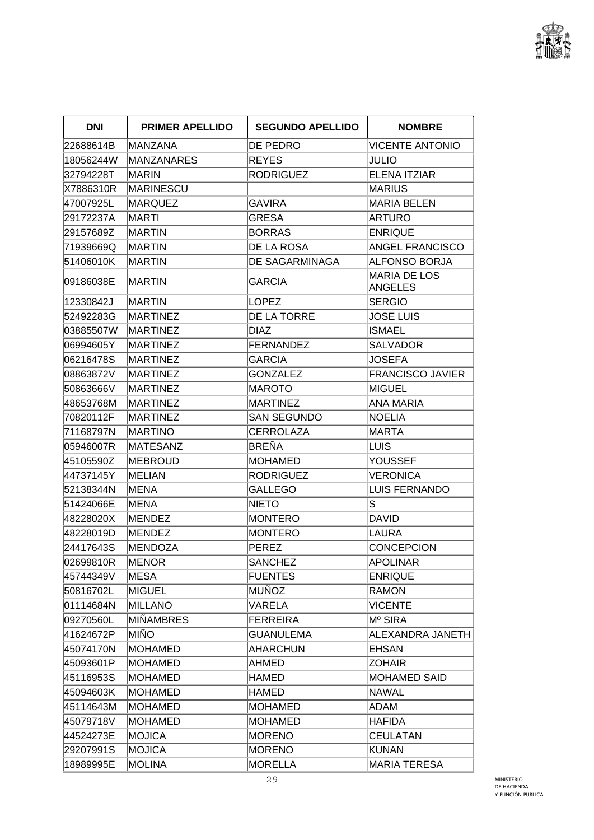

| <b>DNI</b> | <b>PRIMER APELLIDO</b> | <b>SEGUNDO APELLIDO</b> | <b>NOMBRE</b>                         |
|------------|------------------------|-------------------------|---------------------------------------|
| 22688614B  | <b>MANZANA</b>         | DE PEDRO                | <b>VICENTE ANTONIO</b>                |
| 18056244W  | <b>MANZANARES</b>      | <b>REYES</b>            | JULIO                                 |
| 32794228T  | <b>MARIN</b>           | <b>RODRIGUEZ</b>        | <b>ELENA ITZIAR</b>                   |
| X7886310R  | <b>MARINESCU</b>       |                         | <b>MARIUS</b>                         |
| 47007925L  | MARQUEZ                | <b>GAVIRA</b>           | <b>MARIA BELEN</b>                    |
| 29172237A  | IMARTI                 | <b>GRESA</b>            | ARTURO                                |
| 29157689Z  | <b>MARTIN</b>          | <b>BORRAS</b>           | <b>ENRIQUE</b>                        |
| 71939669Q  | <b>IMARTIN</b>         | DE LA ROSA              | <b>ANGEL FRANCISCO</b>                |
| 51406010K  | <b>MARTIN</b>          | <b>DE SAGARMINAGA</b>   | <b>ALFONSO BORJA</b>                  |
| 09186038E  | <b>MARTIN</b>          | <b>GARCIA</b>           | <b>MARIA DE LOS</b><br><b>ANGELES</b> |
| 12330842J  | <b>MARTIN</b>          | LOPEZ                   | <b>SERGIO</b>                         |
| 52492283G  | <b>MARTINEZ</b>        | DE LA TORRE             | <b>JOSE LUIS</b>                      |
| 03885507W  | <b>MARTINEZ</b>        | <b>DIAZ</b>             | <b>ISMAEL</b>                         |
| 06994605Y  | <b>MARTINEZ</b>        | <b>FERNANDEZ</b>        | <b>SALVADOR</b>                       |
| 06216478S  | <b>MARTINEZ</b>        | <b>GARCIA</b>           | <b>JOSEFA</b>                         |
| 08863872V  | <b>MARTINEZ</b>        | <b>GONZALEZ</b>         | <b>FRANCISCO JAVIER</b>               |
| 50863666V  | <b>MARTINEZ</b>        | MAROTO                  | <b>MIGUEL</b>                         |
| 48653768M  | <b>MARTINEZ</b>        | MARTINEZ                | ANA MARIA                             |
| 70820112F  | MARTINEZ               | SAN SEGUNDO             | <b>NOELIA</b>                         |
| 71168797N  | <b>IMARTINO</b>        | <b>CERROLAZA</b>        | <b>MARTA</b>                          |
| 05946007R  | <b>MATESANZ</b>        | BREÑA                   | LUIS                                  |
| 45105590Z  | <b>IMEBROUD</b>        | <b>MOHAMED</b>          | <b>YOUSSEF</b>                        |
| 44737145Y  | <b>MELIAN</b>          | <b>RODRIGUEZ</b>        | VERONICA                              |
| 52138344N  | IMENA                  | <b>GALLEGO</b>          | <b>LUIS FERNANDO</b>                  |
| 51424066E  | <b>IMENA</b>           | <b>NIETO</b>            | S                                     |
| 48228020X  | MENDEZ                 | <b>MONTERO</b>          | DAVID                                 |
| 48228019D  | <b>MENDEZ</b>          | <b>MONTERO</b>          | LAURA                                 |
| 24417643S  | <b>MENDOZA</b>         | PEREZ                   | <b>CONCEPCION</b>                     |
| 02699810R  | MENOR                  | <b>SANCHEZ</b>          | <b>APOLINAR</b>                       |
| 45744349V  | lMESA                  | <b>FUENTES</b>          | <b>ENRIQUE</b>                        |
| 50816702L  | MIGUEL                 | <b>MUÑOZ</b>            | <b>RAMON</b>                          |
| 01114684N  | MILLANO                | VARELA                  | <b>VICENTE</b>                        |
| 09270560L  | <b>MIÑAMBRES</b>       | <b>FERREIRA</b>         | M <sup>o</sup> SIRA                   |
| 41624672P  | MIÑO                   | <b>GUANULEMA</b>        | ALEXANDRA JANETH                      |
| 45074170N  | MOHAMED                | AHARCHUN                | <b>EHSAN</b>                          |
| 45093601P  | <b>MOHAMED</b>         | AHMED                   | <b>ZOHAIR</b>                         |
| 45116953S  | MOHAMED                | HAMED                   | MOHAMED SAID                          |
| 45094603K  | MOHAMED                | HAMED                   | <b>NAWAL</b>                          |
| 45114643M  | MOHAMED                | <b>MOHAMED</b>          | <b>ADAM</b>                           |
| 45079718V  | MOHAMED                | MOHAMED                 | <b>HAFIDA</b>                         |
| 44524273E  | MOJICA                 | <b>MORENO</b>           | <b>CEULATAN</b>                       |
| 29207991S  | MOJICA                 | <b>MORENO</b>           | <b>KUNAN</b>                          |
| 18989995E  | <b>MOLINA</b>          | <b>MORELLA</b>          | <b>MARIA TERESA</b>                   |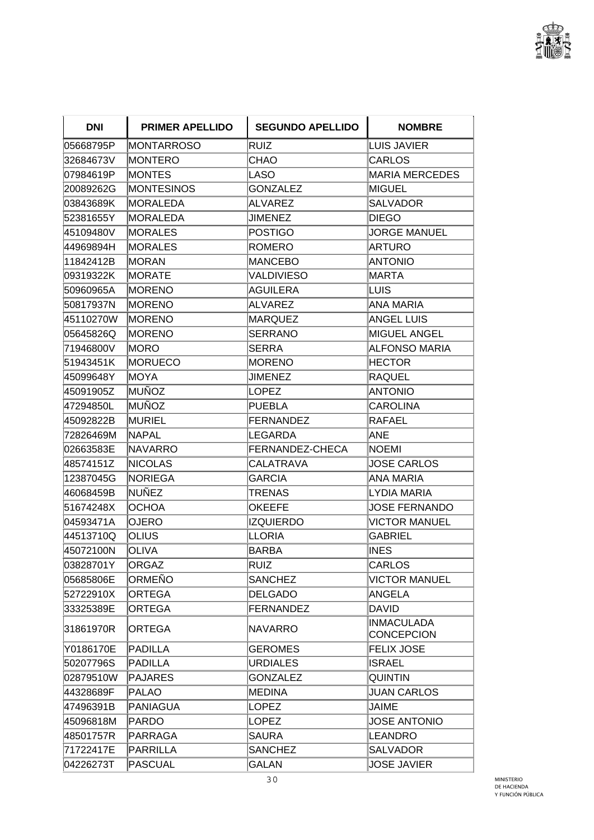

| <b>DNI</b> | <b>PRIMER APELLIDO</b> | <b>SEGUNDO APELLIDO</b> | <b>NOMBRE</b>                          |
|------------|------------------------|-------------------------|----------------------------------------|
| 05668795P  | <b>MONTARROSO</b>      | RUIZ                    | <b>LUIS JAVIER</b>                     |
| 32684673V  | MONTERO                | CHAO                    | CARLOS                                 |
| 07984619P  | <b>MONTES</b>          | LASO                    | <b>MARIA MERCEDES</b>                  |
| 20089262G  | <b>MONTESINOS</b>      | <b>GONZALEZ</b>         | <b>MIGUEL</b>                          |
| 03843689K  | MORALEDA               | <b>ALVAREZ</b>          | <b>SALVADOR</b>                        |
| 52381655Y  | <b>IMORALEDA</b>       | JIMENEZ                 | <b>DIEGO</b>                           |
| 45109480V  | MORALES                | POSTIGO                 | <b>JORGE MANUEL</b>                    |
| 44969894H  | MORALES                | <b>ROMERO</b>           | <b>ARTURO</b>                          |
| 11842412B  | <b>MORAN</b>           | MANCEBO                 | <b>ANTONIO</b>                         |
| 09319322K  | MORATE                 | <b>VALDIVIESO</b>       | <b>MARTA</b>                           |
| 50960965A  | <b>MORENO</b>          | AGUILERA                | LUIS                                   |
| 50817937N  | MORENO                 | ALVAREZ                 | ANA MARIA                              |
| 45110270W  | <b>MORENO</b>          | MARQUEZ                 | <b>ANGEL LUIS</b>                      |
| 05645826Q  | <b>MORENO</b>          | SERRANO                 | <b>MIGUEL ANGEL</b>                    |
| 71946800V  | <b>MORO</b>            | ISERRA                  | <b>ALFONSO MARIA</b>                   |
| 51943451K  | MORUECO                | <b>IMORENO</b>          | <b>HECTOR</b>                          |
| 45099648Y  | MOYA                   | <b>JIMENEZ</b>          | <b>RAQUEL</b>                          |
| 45091905Z  | <b>MUÑOZ</b>           | LOPEZ                   | <b>ANTONIO</b>                         |
| 47294850L  | MUÑOZ                  | PUEBLA                  | CAROLINA                               |
| 45092822B  | MURIEL                 | <b>FERNANDEZ</b>        | <b>RAFAEL</b>                          |
| 72826469M  | NAPAL                  | LEGARDA                 | ANE                                    |
| 02663583E  | NAVARRO                | <b>FERNANDEZ-CHECA</b>  | <b>NOEMI</b>                           |
| 48574151Z  | <b>NICOLAS</b>         | CALATRAVA               | <b>JOSE CARLOS</b>                     |
| 12387045G  | NORIEGA                | <b>GARCIA</b>           | ANA MARIA                              |
| 46068459B  | <b>NUÑEZ</b>           | TRENAS                  | <b>LYDIA MARIA</b>                     |
| 51674248X  | <b>OCHOA</b>           | <b>OKEEFE</b>           | <b>JOSE FERNANDO</b>                   |
| 04593471A  | <b>OJERO</b>           | <b>IZQUIERDO</b>        | <b>VICTOR MANUEL</b>                   |
| 44513710Q  | <b>OLIUS</b>           | LLORIA                  | <b>GABRIEL</b>                         |
| 45072100N  | <b>OLIVA</b>           | BARBA                   | <b>INES</b>                            |
| 03828701Y  | <b>ORGAZ</b>           | RUIZ                    | <b>CARLOS</b>                          |
| 05685806E  | ORMEÑO                 | <b>SANCHEZ</b>          | <b>VICTOR MANUEL</b>                   |
| 52722910X  | <b>ORTEGA</b>          | <b>DELGADO</b>          | <b>ANGELA</b>                          |
| 33325389E  | <b>ORTEGA</b>          | <b>FERNANDEZ</b>        | <b>DAVID</b>                           |
| 31861970R  | <b>ORTEGA</b>          | NAVARRO                 | <b>INMACULADA</b><br><b>CONCEPCION</b> |
| Y0186170E  | <b>PADILLA</b>         | <b>GEROMES</b>          | <b>FELIX JOSE</b>                      |
| 50207796S  | <b>PADILLA</b>         | <b>URDIALES</b>         | <b>ISRAEL</b>                          |
| 02879510W  | <b>PAJARES</b>         | <b>GONZALEZ</b>         | <b>QUINTIN</b>                         |
| 44328689F  | <b>PALAO</b>           | MEDINA                  | <b>JUAN CARLOS</b>                     |
| 47496391B  | <b>PANIAGUA</b>        | <b>LOPEZ</b>            | JAIME                                  |
| 45096818M  | <b>PARDO</b>           | <b>LOPEZ</b>            | <b>JOSE ANTONIO</b>                    |
| 48501757R  | PARRAGA                | SAURA                   | <b>LEANDRO</b>                         |
| 71722417E  | PARRILLA               | <b>SANCHEZ</b>          | <b>SALVADOR</b>                        |
| 04226273T  | <b>PASCUAL</b>         | <b>GALAN</b>            | <b>JOSE JAVIER</b>                     |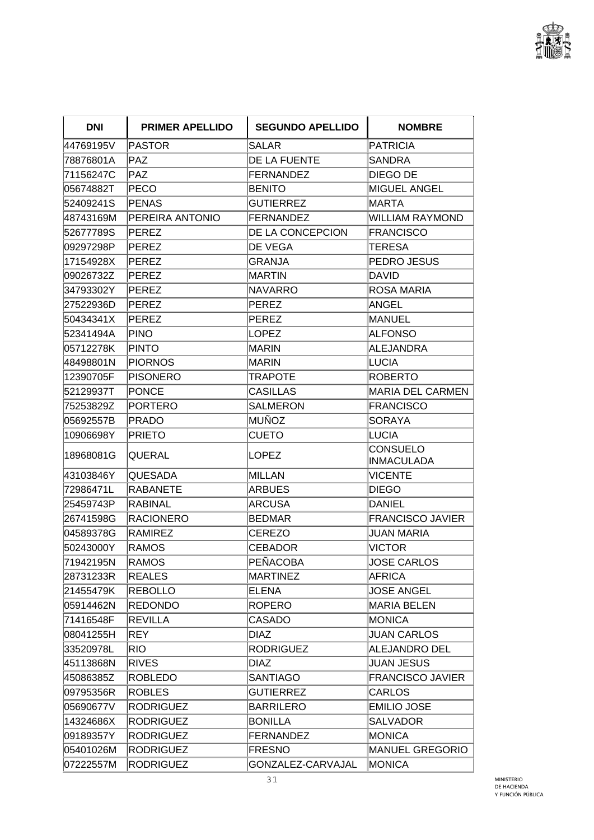

| <b>DNI</b> | <b>PRIMER APELLIDO</b> | <b>SEGUNDO APELLIDO</b> | <b>NOMBRE</b>                        |
|------------|------------------------|-------------------------|--------------------------------------|
| 44769195V  | PASTOR                 | <b>SALAR</b>            | <b>PATRICIA</b>                      |
| 78876801A  | $\mathsf{PAZ}$         | DE LA FUENTE            | <b>SANDRA</b>                        |
| 71156247C  | <b>PAZ</b>             | FERNANDEZ               | DIEGO DE                             |
| 05674882T  | PECO                   | <b>BENITO</b>           | <b>MIGUEL ANGEL</b>                  |
| 52409241S  | PENAS                  | <b>GUTIERREZ</b>        | <b>MARTA</b>                         |
| 48743169M  | PEREIRA ANTONIO        | FERNANDEZ               | <b>WILLIAM RAYMOND</b>               |
| 52677789S  | PEREZ                  | DE LA CONCEPCION        | <b>FRANCISCO</b>                     |
| 09297298P  | <b>PEREZ</b>           | <b>DE VEGA</b>          | <b>TERESA</b>                        |
| 17154928X  | PEREZ                  | <b>GRANJA</b>           | PEDRO JESUS                          |
| 09026732Z  | <b>PEREZ</b>           | MARTIN                  | <b>DAVID</b>                         |
| 34793302Y  | PEREZ                  | NAVARRO                 | <b>ROSA MARIA</b>                    |
| 27522936D  | PEREZ                  | PEREZ                   | ANGEL                                |
| 50434341X  | <b>PEREZ</b>           | PEREZ                   | <b>MANUEL</b>                        |
| 52341494A  | PINO                   | <b>LOPEZ</b>            | <b>ALFONSO</b>                       |
| 05712278K  | <b>PINTO</b>           | MARIN                   | <b>ALEJANDRA</b>                     |
| 48498801N  | <b>PIORNOS</b>         | MARIN                   | <b>LUCIA</b>                         |
| 12390705F  | <b>PISONERO</b>        | <b>TRAPOTE</b>          | <b>ROBERTO</b>                       |
| 52129937T  | <b>PONCE</b>           | <b>CASILLAS</b>         | <b>MARIA DEL CARMEN</b>              |
| 75253829Z  | <b>PORTERO</b>         | <b>SALMERON</b>         | <b>FRANCISCO</b>                     |
| 05692557B  | <b>PRADO</b>           | MUÑOZ                   | <b>SORAYA</b>                        |
| 10906698Y  | <b>PRIETO</b>          | <b>CUETO</b>            | LUCIA                                |
| 18968081G  | QUERAL                 | LOPEZ                   | <b>CONSUELO</b><br><b>INMACULADA</b> |
| 43103846Y  | <b>QUESADA</b>         | MILLAN                  | <b>VICENTE</b>                       |
| 72986471L  | <b>RABANETE</b>        | ARBUES                  | <b>DIEGO</b>                         |
| 25459743P  | <b>RABINAL</b>         | <b>ARCUSA</b>           | <b>DANIEL</b>                        |
| 26741598G  | <b>RACIONERO</b>       | <b>BEDMAR</b>           | <b>FRANCISCO JAVIER</b>              |
| 04589378G  | <b>RAMIREZ</b>         | <b>CEREZO</b>           | <b>JUAN MARIA</b>                    |
| 50243000Y  | <b>RAMOS</b>           | <b>CEBADOR</b>          | <b>VICTOR</b>                        |
| 71942195N  | RAMOS                  | PEÑACOBA                | <b>JOSE CARLOS</b>                   |
| 28731233R  | <b>REALES</b>          | MARTINEZ                | <b>AFRICA</b>                        |
| 21455479K  | <b>REBOLLO</b>         | ELENA                   | <b>JOSE ANGEL</b>                    |
| 05914462N  | <b>REDONDO</b>         | <b>ROPERO</b>           | <b>MARIA BELEN</b>                   |
| 71416548F  | <b>REVILLA</b>         | <b>CASADO</b>           | <b>MONICA</b>                        |
| 08041255H  | REY                    | <b>DIAZ</b>             | <b>JUAN CARLOS</b>                   |
| 33520978L  | <b>RIO</b>             | <b>RODRIGUEZ</b>        | <b>ALEJANDRO DEL</b>                 |
| 45113868N  | <b>RIVES</b>           | DIAZ                    | <b>JUAN JESUS</b>                    |
| 45086385Z  | <b>ROBLEDO</b>         | <b>SANTIAGO</b>         | <b>FRANCISCO JAVIER</b>              |
| 09795356R  | <b>ROBLES</b>          | <b>GUTIERREZ</b>        | <b>CARLOS</b>                        |
| 05690677V  | <b>RODRIGUEZ</b>       | <b>BARRILERO</b>        | <b>EMILIO JOSE</b>                   |
| 14324686X  | <b>RODRIGUEZ</b>       | <b>BONILLA</b>          | <b>SALVADOR</b>                      |
| 09189357Y  | <b>RODRIGUEZ</b>       | FERNANDEZ               | <b>MONICA</b>                        |
| 05401026M  | <b>RODRIGUEZ</b>       | FRESNO                  | <b>MANUEL GREGORIO</b>               |
| 07222557M  | <b>RODRIGUEZ</b>       | GONZALEZ-CARVAJAL       | <b>MONICA</b>                        |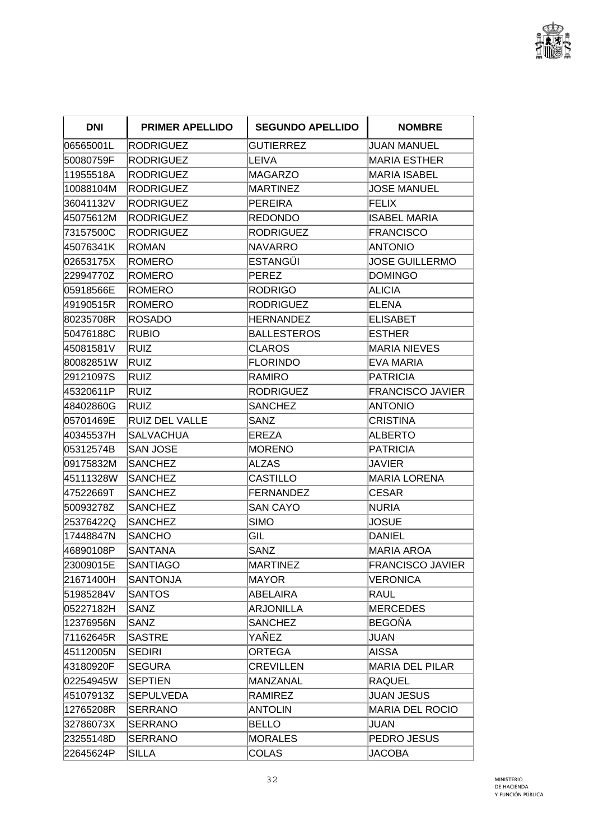

| <b>DNI</b> | <b>PRIMER APELLIDO</b> | <b>SEGUNDO APELLIDO</b> | <b>NOMBRE</b>           |
|------------|------------------------|-------------------------|-------------------------|
| 06565001L  | RODRIGUEZ              | <b>GUTIERREZ</b>        | <b>JUAN MANUEL</b>      |
| 50080759F  | <b>RODRIGUEZ</b>       | ∣LEIVA                  | <b>MARIA ESTHER</b>     |
| 11955518A  | <b>RODRIGUEZ</b>       | MAGARZO                 | <b>MARIA ISABEL</b>     |
| 10088104M  | <b>RODRIGUEZ</b>       | MARTINEZ                | <b>JOSE MANUEL</b>      |
| 36041132V  | <b>RODRIGUEZ</b>       | PEREIRA                 | <b>FELIX</b>            |
| 45075612M  | <b>RODRIGUEZ</b>       | REDONDO                 | <b>ISABEL MARIA</b>     |
| 73157500C  | <b>RODRIGUEZ</b>       | <b>RODRIGUEZ</b>        | <b>FRANCISCO</b>        |
| 45076341K  | <b>ROMAN</b>           | <b>NAVARRO</b>          | <b>ANTONIO</b>          |
| 02653175X  | <b>ROMERO</b>          | <b>IESTANGÜI</b>        | <b>JOSE GUILLERMO</b>   |
| 22994770Z  | <b>ROMERO</b>          | PEREZ                   | <b>DOMINGO</b>          |
| 05918566E  | ROMERO                 | RODRIGO                 | <b>ALICIA</b>           |
| 49190515R  | <b>ROMERO</b>          | RODRIGUEZ               | <b>ELENA</b>            |
| 80235708R  | <b>ROSADO</b>          | <b>HERNANDEZ</b>        | <b>ELISABET</b>         |
| 50476188C  | <b>RUBIO</b>           | <b>BALLESTEROS</b>      | <b>ESTHER</b>           |
| 45081581V  | <b>RUIZ</b>            | <b>CLAROS</b>           | <b>MARIA NIEVES</b>     |
| 80082851W  | RUIZ                   | FLORINDO                | EVA MARIA               |
| 29121097S  | <b>RUIZ</b>            | <b>RAMIRO</b>           | <b>PATRICIA</b>         |
| 45320611P  | RUIZ                   | RODRIGUEZ               | <b>FRANCISCO JAVIER</b> |
| 48402860G  | RUIZ                   | <b>SANCHEZ</b>          | <b>ANTONIO</b>          |
| 05701469E  | <b>RUIZ DEL VALLE</b>  | SANZ                    | <b>CRISTINA</b>         |
| 40345537H  | <b>SALVACHUA</b>       | EREZA                   | <b>ALBERTO</b>          |
| 05312574B  | <b>SAN JOSE</b>        | <b>MORENO</b>           | <b>PATRICIA</b>         |
| 09175832M  | <b>SANCHEZ</b>         | <b>ALZAS</b>            | JAVIER                  |
| 45111328W  | <b>SANCHEZ</b>         | <b>CASTILLO</b>         | <b>MARIA LORENA</b>     |
| 47522669T  | <b>SANCHEZ</b>         | FERNANDEZ               | <b>CESAR</b>            |
| 50093278Z  | <b>SANCHEZ</b>         | <b>SAN CAYO</b>         | <b>NURIA</b>            |
| 25376422Q  | <b>SANCHEZ</b>         | <b>SIMO</b>             | <b>JOSUE</b>            |
| 17448847N  | <b>SANCHO</b>          | GIL                     | <b>DANIEL</b>           |
| 46890108P  | SANTANA                | SANZ                    | <b>MARIA AROA</b>       |
| 23009015E  | <b>SANTIAGO</b>        | MARTINEZ                | <b>FRANCISCO JAVIER</b> |
| 21671400H  | <b>SANTONJA</b>        | MAYOR                   | <b>VERONICA</b>         |
| 51985284V  | <b>SANTOS</b>          | ABELAIRA                | <b>RAUL</b>             |
| 05227182H  | SANZ                   | <b>ARJONILLA</b>        | <b>MERCEDES</b>         |
| 12376956N  | SANZ                   | <b>SANCHEZ</b>          | <b>BEGOÑA</b>           |
| 71162645R  | <b>SASTRE</b>          | YAÑEZ                   | <b>JUAN</b>             |
| 45112005N  | <b>SEDIRI</b>          | <b>ORTEGA</b>           | <b>AISSA</b>            |
| 43180920F  | <b>SEGURA</b>          | <b>CREVILLEN</b>        | <b>MARIA DEL PILAR</b>  |
| 02254945W  | <b>SEPTIEN</b>         | MANZANAL                | <b>RAQUEL</b>           |
| 45107913Z  | <b>SEPULVEDA</b>       | <b>RAMIREZ</b>          | <b>JUAN JESUS</b>       |
| 12765208R  | <b>SERRANO</b>         | <b>ANTOLIN</b>          | <b>MARIA DEL ROCIO</b>  |
| 32786073X  | <b>SERRANO</b>         | BELLO                   | <b>JUAN</b>             |
| 23255148D  | <b>SERRANO</b>         | <b>MORALES</b>          | PEDRO JESUS             |
| 22645624P  | <b>SILLA</b>           | <b>COLAS</b>            | <b>JACOBA</b>           |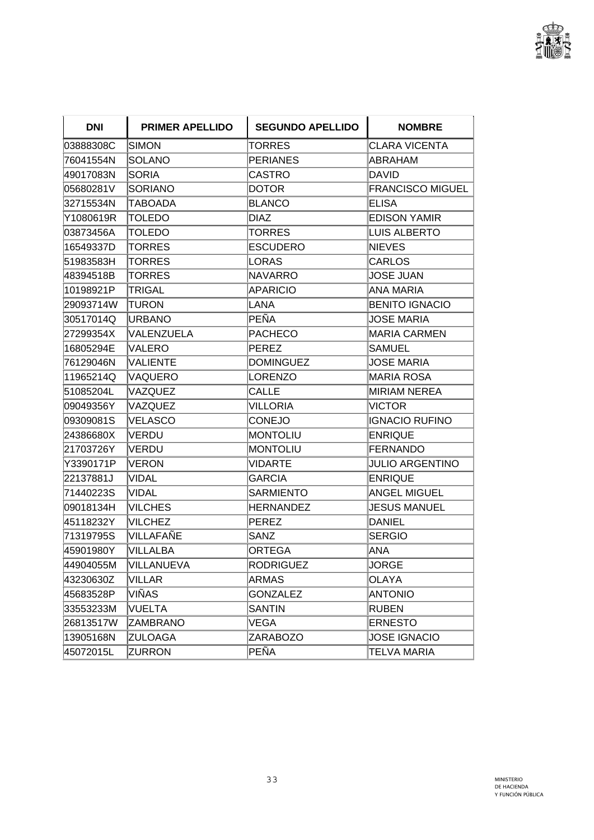

| <b>DNI</b> | <b>PRIMER APELLIDO</b> | <b>SEGUNDO APELLIDO</b> | <b>NOMBRE</b>           |
|------------|------------------------|-------------------------|-------------------------|
| 03888308C  | <b>SIMON</b>           | TORRES                  | <b>CLARA VICENTA</b>    |
| 76041554N  | <b>SOLANO</b>          | <b>PERIANES</b>         | ABRAHAM                 |
| 49017083N  | <b>SORIA</b>           | CASTRO                  | DAVID                   |
| 05680281V  | <b>SORIANO</b>         | <b>DOTOR</b>            | <b>FRANCISCO MIGUEL</b> |
| 32715534N  | TABOADA                | BLANCO                  | <b>ELISA</b>            |
| Y1080619R  | TOLEDO                 | DIAZ                    | <b>EDISON YAMIR</b>     |
| 03873456A  | <b>TOLEDO</b>          | TORRES                  | LUIS ALBERTO            |
| 16549337D  | TORRES                 | <b>ESCUDERO</b>         | <b>NIEVES</b>           |
| 51983583H  | <b>TORRES</b>          | LORAS                   | <b>CARLOS</b>           |
| 48394518B  | TORRES                 | NAVARRO                 | <b>JOSE JUAN</b>        |
| 10198921P  | <b>TRIGAL</b>          | <b>APARICIO</b>         | <b>ANA MARIA</b>        |
| 29093714W  | TURON                  | LANA                    | <b>BENITO IGNACIO</b>   |
| 30517014Q  | <b>URBANO</b>          | PEÑA                    | <b>JOSE MARIA</b>       |
| 27299354X  | VALENZUELA             | <b>PACHECO</b>          | <b>MARIA CARMEN</b>     |
| 16805294E  | VALERO                 | PEREZ                   | SAMUEL                  |
| 76129046N  | <b>VALIENTE</b>        | <b>DOMINGUEZ</b>        | <b>JOSE MARIA</b>       |
| 11965214Q  | VAQUERO                | LORENZO                 | <b>MARIA ROSA</b>       |
| 51085204L  | VAZQUEZ                | CALLE                   | <b>MIRIAM NEREA</b>     |
| 09049356Y  | VAZQUEZ                | <b>VILLORIA</b>         | <b>VICTOR</b>           |
| 09309081S  | VELASCO                | <b>CONEJO</b>           | <b>IGNACIO RUFINO</b>   |
| 24386680X  | <b>VERDU</b>           | MONTOLIU                | <b>ENRIQUE</b>          |
| 21703726Y  | VERDU                  | MONTOLIU                | <b>FERNANDO</b>         |
| Y3390171P  | <b>VERON</b>           | <b>VIDARTE</b>          | <b>JULIO ARGENTINO</b>  |
| 22137881J  | VIDAL                  | GARCIA                  | <b>ENRIQUE</b>          |
| 71440223S  | <b>VIDAL</b>           | <b>SARMIENTO</b>        | <b>ANGEL MIGUEL</b>     |
| 09018134H  | <b>VILCHES</b>         | <b>HERNANDEZ</b>        | <b>JESUS MANUEL</b>     |
| 45118232Y  | <b>VILCHEZ</b>         | <b>PEREZ</b>            | DANIEL                  |
| 71319795S  | VILLAFAÑE              | <b>SANZ</b>             | <b>SERGIO</b>           |
| 45901980Y  | <b>VILLALBA</b>        | ORTEGA                  | <b>ANA</b>              |
| 44904055M  | VILLANUEVA             | <b>RODRIGUEZ</b>        | <b>JORGE</b>            |
| 43230630Z  | VILLAR                 | <b>ARMAS</b>            | <b>OLAYA</b>            |
| 45683528P  | VIÑAS                  | <b>GONZALEZ</b>         | <b>ANTONIO</b>          |
| 33553233M  | <b>VUELTA</b>          | <b>SANTIN</b>           | <b>RUBEN</b>            |
| 26813517W  | <b>ZAMBRANO</b>        | VEGA                    | <b>ERNESTO</b>          |
| 13905168N  | <b>ZULOAGA</b>         | <b>ZARABOZO</b>         | <b>JOSE IGNACIO</b>     |
| 45072015L  | <b>ZURRON</b>          | PEÑA                    | <b>TELVA MARIA</b>      |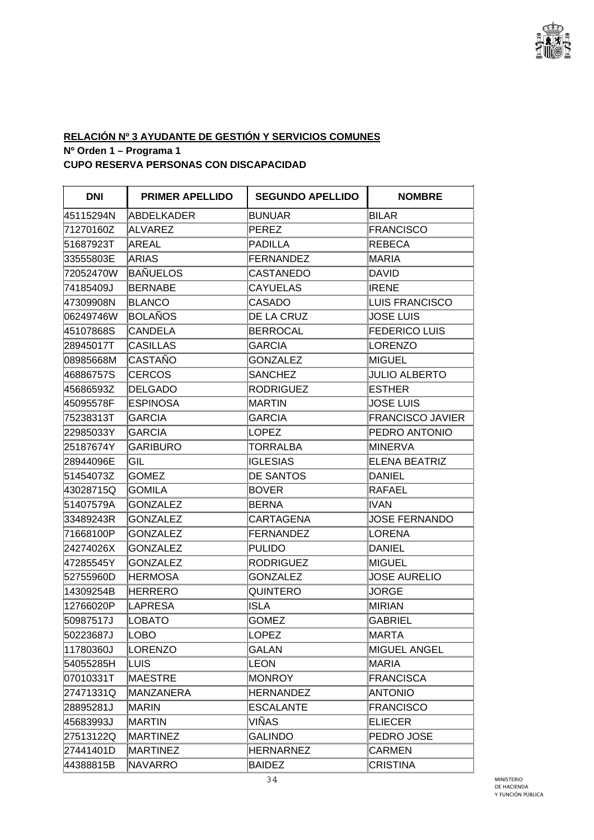

# **RELACIÓN Nº 3 AYUDANTE DE GESTIÓN Y SERVICIOS COMUNES Nº Orden 1 – Programa 1**

**CUPO RESERVA PERSONAS CON DISCAPACIDAD** 

| <b>DNI</b> | <b>PRIMER APELLIDO</b> | <b>SEGUNDO APELLIDO</b> | <b>NOMBRE</b>           |
|------------|------------------------|-------------------------|-------------------------|
| 45115294N  | <b>ABDELKADER</b>      | BUNUAR                  | <b>BILAR</b>            |
| 71270160Z  | ALVAREZ                | PEREZ                   | <b>FRANCISCO</b>        |
| 51687923T  | AREAL                  | PADILLA                 | <b>REBECA</b>           |
| 33555803E  | ARIAS                  | FERNANDEZ               | <b>MARIA</b>            |
| 72052470W  | <b>BAÑUELOS</b>        | <b>CASTANEDO</b>        | <b>DAVID</b>            |
| 74185409J  | <b>BERNABE</b>         | <b>CAYUELAS</b>         | <b>IRENE</b>            |
| 47309908N  | <b>BLANCO</b>          | CASADO                  | <b>LUIS FRANCISCO</b>   |
| 06249746W  | BOLAÑOS                | DE LA CRUZ              | <b>JOSE LUIS</b>        |
| 45107868S  | <b>CANDELA</b>         | <b>BERROCAL</b>         | <b>FEDERICO LUIS</b>    |
| 28945017T  | <b>CASILLAS</b>        | <b>GARCIA</b>           | <b>LORENZO</b>          |
| 08985668M  | CASTAÑO                | <b>GONZALEZ</b>         | MIGUEL                  |
| 46886757S  | <b>CERCOS</b>          | <b>SANCHEZ</b>          | <b>JULIO ALBERTO</b>    |
| 45686593Z  | <b>DELGADO</b>         | <b>RODRIGUEZ</b>        | <b>ESTHER</b>           |
| 45095578F  | <b>ESPINOSA</b>        | MARTIN                  | <b>JOSE LUIS</b>        |
| 75238313T  | <b>GARCIA</b>          | <b>GARCIA</b>           | <b>FRANCISCO JAVIER</b> |
| 22985033Y  | GARCIA                 | LOPEZ                   | PEDRO ANTONIO           |
| 25187674Y  | <b>GARIBURO</b>        | <b>TORRALBA</b>         | <b>MINERVA</b>          |
| 28944096E  | GIL                    | IGLESIAS                | <b>ELENA BEATRIZ</b>    |
| 51454073Z  | <b>GOMEZ</b>           | <b>DE SANTOS</b>        | <b>DANIEL</b>           |
| 43028715Q  | <b>GOMILA</b>          | <b>BOVER</b>            | <b>RAFAEL</b>           |
| 51407579A  | GONZALEZ               | BERNA                   | <b>IVAN</b>             |
| 33489243R  | <b>GONZALEZ</b>        | <b>CARTAGENA</b>        | <b>JOSE FERNANDO</b>    |
| 71668100P  | <b>GONZALEZ</b>        | FERNANDEZ               | LORENA                  |
| 24274026X  | <b>GONZALEZ</b>        | PULIDO                  | <b>DANIEL</b>           |
| 47285545Y  | <b>GONZALEZ</b>        | RODRIGUEZ               | MIGUEL                  |
| 52755960D  | <b>HERMOSA</b>         | <b>GONZALEZ</b>         | <b>JOSE AURELIO</b>     |
| 14309254B  | HERRERO                | <b>QUINTERO</b>         | <b>JORGE</b>            |
| 12766020P  | <b>LAPRESA</b>         | ISLA                    | <b>MIRIAN</b>           |
| 50987517J  | <b>LOBATO</b>          | <b>GOMEZ</b>            | <b>GABRIEL</b>          |
| 50223687J  | LOBO                   | LOPEZ                   | MARTA                   |
| 11780360J  | LORENZO                | GALAN                   | <b>MIGUEL ANGEL</b>     |
| 54055285H  | LUIS.                  | LEON                    | MARIA                   |
| 07010331T  | <b>MAESTRE</b>         | <b>MONROY</b>           | <b>FRANCISCA</b>        |
| 27471331Q  | MANZANERA              | HERNANDEZ               | <b>ANTONIO</b>          |
| 28895281J  | <b>MARIN</b>           | <b>ESCALANTE</b>        | <b>FRANCISCO</b>        |
| 45683993J  | <b>MARTIN</b>          | VIÑAS                   | <b>ELIECER</b>          |
| 27513122Q  | <b>MARTINEZ</b>        | <b>GALINDO</b>          | PEDRO JOSE              |
| 27441401D  | <b>MARTINEZ</b>        | <b>HERNARNEZ</b>        | CARMEN                  |
| 44388815B  | <b>NAVARRO</b>         | <b>BAIDEZ</b>           | <b>CRISTINA</b>         |